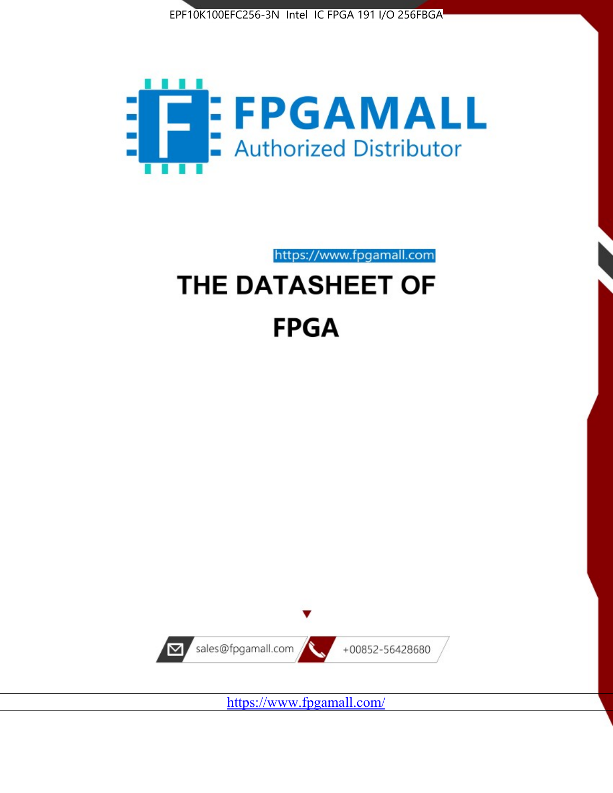



https://www.fpgamall.com THE DATASHEET OF

# **FPGA**



<https://www.fpgamall.com/>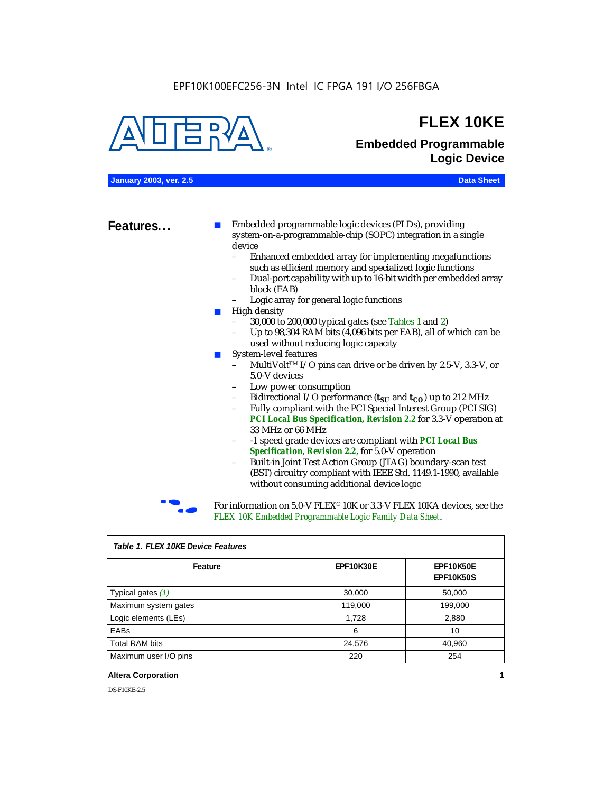

### **FLEX 10KE**

### **Embedded Programmable Logic Device**

**January 2003, ver. 2.5 Data Sheet**

**Features...** ■ Embedded programmable logic devices (PLDs), providing system-on-a-programmable-chip (SOPC) integration in a single device

- Enhanced embedded array for implementing megafunctions such as efficient memory and specialized logic functions
- Dual-port capability with up to 16-bit width per embedded array block (EAB)
- Logic array for general logic functions
- High density
	- 30,000 to 200,000 typical gates (see Tables 1 and 2)
	- Up to 98,304 RAM bits (4,096 bits per EAB), all of which can be used without reducing logic capacity
- System-level features
	- MultiVolt<sup>™</sup> I/O pins can drive or be driven by 2.5-V, 3.3-V, or 5.0-V devices
	- Low power consumption
	- Bidirectional I/O performance  $(t_{SI}$  and  $t_{CO}$ ) up to 212 MHz
	- Fully compliant with the PCI Special Interest Group (PCI SIG) *PCI Local Bus Specification, Revision 2.2* for 3.3-V operation at 33 MHz or 66 MHz
	- -1 speed grade devices are compliant with *PCI Local Bus Specification, Revision 2.2*, for 5.0-V operation
	- Built-in Joint Test Action Group (JTAG) boundary-scan test (BST) circuitry compliant with IEEE Std. 1149.1-1990, available without consuming additional device logic



For information on 5.0-V FLEX<sup>®</sup> 10K or 3.3-V FLEX 10KA devices, see the *FLEX 10K Embedded Programmable Logic Family Data Sheet*.

| Tadie T. Flex Tuke Device Features |                  |                                      |  |  |
|------------------------------------|------------------|--------------------------------------|--|--|
| Feature                            | <b>EPF10K30E</b> | <b>EPF10K50E</b><br><b>EPF10K50S</b> |  |  |
| Typical gates (1)                  | 30,000           | 50,000                               |  |  |
| Maximum system gates               | 119,000          | 199,000                              |  |  |
| Logic elements (LEs)               | 1,728            | 2,880                                |  |  |
| EABs                               | 6                | 10                                   |  |  |
| <b>Total RAM bits</b>              | 24,576           | 40,960                               |  |  |
| Maximum user I/O pins              | 220              | 254                                  |  |  |

#### *Table 1. FLEX 10KE Device Features*

#### **Altera Corporation 1**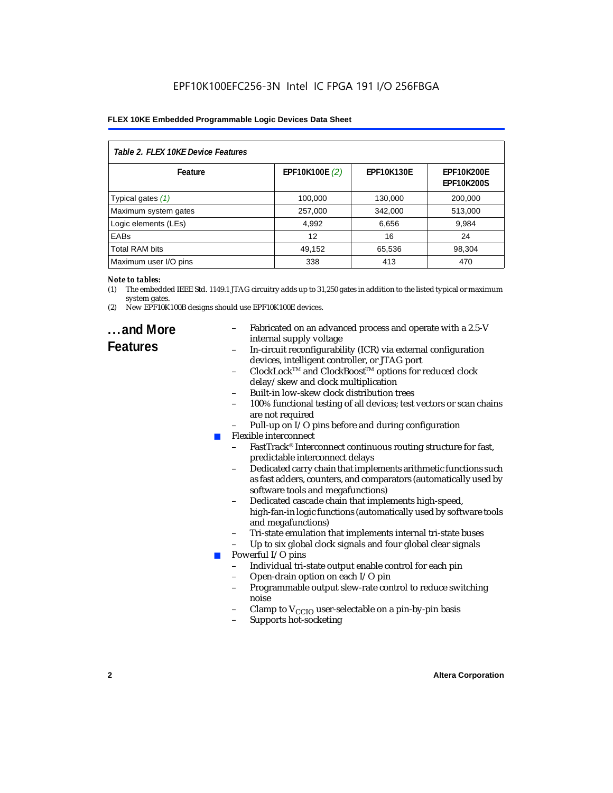| Table 2. FLEX 10KE Device Features |                |                   |                                        |  |
|------------------------------------|----------------|-------------------|----------------------------------------|--|
| Feature                            | EPF10K100E (2) | <b>EPF10K130E</b> | <b>EPF10K200E</b><br><b>EPF10K200S</b> |  |
| Typical gates (1)                  | 100,000        | 130,000           | 200,000                                |  |
| Maximum system gates               | 257,000        | 342,000           | 513,000                                |  |
| Logic elements (LEs)               | 4,992          | 6,656             | 9,984                                  |  |
| <b>EABs</b>                        | 12             | 16                | 24                                     |  |
| <b>Total RAM bits</b>              | 49,152         | 65,536            | 98,304                                 |  |
| Maximum user I/O pins              | 338            | 413               | 470                                    |  |

#### *Note to tables:*

- (1) The embedded IEEE Std. 1149.1 JTAG circuitry adds up to 31,250 gates in addition to the listed typical or maximum system gates.
- (2) New EPF10K100B designs should use EPF10K100E devices.

### **...and More Features**

- Fabricated on an advanced process and operate with a 2.5-V internal supply voltage
- In-circuit reconfigurability (ICR) via external configuration devices, intelligent controller, or JTAG port
- ClockLockTM and ClockBoostTM options for reduced clock delay/skew and clock multiplication
- Built-in low-skew clock distribution trees
- 100% functional testing of all devices; test vectors or scan chains are not required
- Pull-up on I/O pins before and during configuration
- Flexible interconnect
	- FastTrack<sup>®</sup> Interconnect continuous routing structure for fast, predictable interconnect delays
	- Dedicated carry chain that implements arithmetic functions such as fast adders, counters, and comparators (automatically used by software tools and megafunctions)
	- Dedicated cascade chain that implements high-speed, high-fan-in logic functions (automatically used by software tools and megafunctions)
	- Tri-state emulation that implements internal tri-state buses
	- Up to six global clock signals and four global clear signals
	- Powerful I/O pins
		- Individual tri-state output enable control for each pin
		- Open-drain option on each I/O pin
		- Programmable output slew-rate control to reduce switching noise
		- Clamp to  $V_{\text{CCIO}}$  user-selectable on a pin-by-pin basis
		- Supports hot-socketing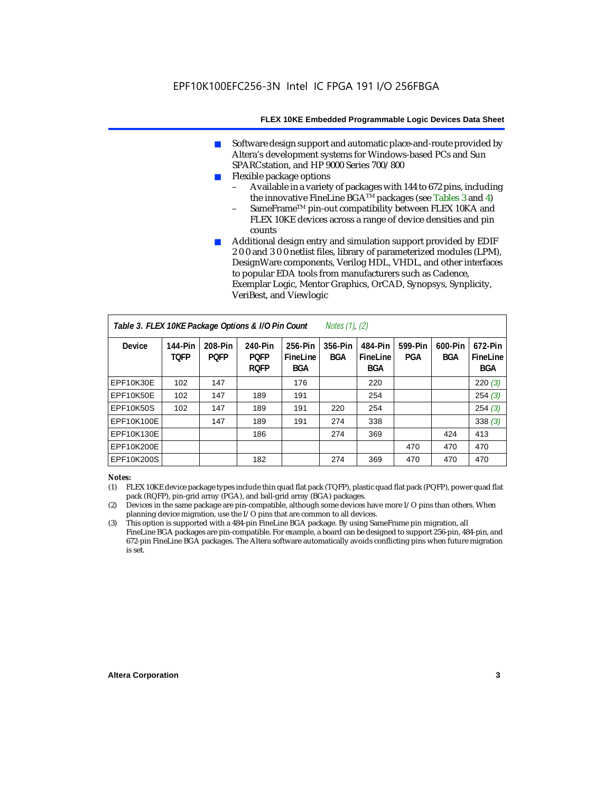- Software design support and automatic place-and-route provided by Altera's development systems for Windows-based PCs and Sun SPARCstation, and HP 9000 Series 700/800
- Flexible package options
	- Available in a variety of packages with 144 to 672 pins, including the innovative FineLine BGA<sup>TM</sup> packages (see Tables 3 and 4)
	- SameFrame™ pin-out compatibility between FLEX 10KA and FLEX 10KE devices across a range of device densities and pin counts
- Additional design entry and simulation support provided by EDIF 2 0 0 and 3 0 0 netlist files, library of parameterized modules (LPM), DesignWare components, Verilog HDL, VHDL, and other interfaces to popular EDA tools from manufacturers such as Cadence, Exemplar Logic, Mentor Graphics, OrCAD, Synopsys, Synplicity, VeriBest, and Viewlogic

| Table 3. FLEX 10KE Package Options & I/O Pin Count<br><i>Notes <math>(1)</math>, <math>(2)</math></i> |                        |                        |                                       |                                   |                |                                   |                |                       |                                   |
|-------------------------------------------------------------------------------------------------------|------------------------|------------------------|---------------------------------------|-----------------------------------|----------------|-----------------------------------|----------------|-----------------------|-----------------------------------|
| <b>Device</b>                                                                                         | 144-Pin<br><b>TOFP</b> | 208-Pin<br><b>POFP</b> | 240-Pin<br><b>POFP</b><br><b>ROFP</b> | 256-Pin<br>FineLine<br><b>BGA</b> | 356-Pin<br>BGA | 484-Pin<br>FineLine<br><b>BGA</b> | 599-Pin<br>PGA | 600-Pin<br><b>BGA</b> | 672-Pin<br>FineLine<br><b>BGA</b> |
| EPF10K30E                                                                                             | 102                    | 147                    |                                       | 176                               |                | 220                               |                |                       | 220(3)                            |
| EPF10K50E                                                                                             | 102                    | 147                    | 189                                   | 191                               |                | 254                               |                |                       | 254(3)                            |
| <b>EPF10K50S</b>                                                                                      | 102                    | 147                    | 189                                   | 191                               | 220            | 254                               |                |                       | 254(3)                            |
| EPF10K100E                                                                                            |                        | 147                    | 189                                   | 191                               | 274            | 338                               |                |                       | 338(3)                            |
| EPF10K130E                                                                                            |                        |                        | 186                                   |                                   | 274            | 369                               |                | 424                   | 413                               |
| EPF10K200E                                                                                            |                        |                        |                                       |                                   |                |                                   | 470            | 470                   | 470                               |
| EPF10K200S                                                                                            |                        |                        | 182                                   |                                   | 274            | 369                               | 470            | 470                   | 470                               |

#### *Notes:*

- (1) FLEX 10KE device package types include thin quad flat pack (TQFP), plastic quad flat pack (PQFP), power quad flat pack (RQFP), pin-grid array (PGA), and ball-grid array (BGA) packages.
- (2) Devices in the same package are pin-compatible, although some devices have more I/O pins than others. When planning device migration, use the I/O pins that are common to all devices.
- (3) This option is supported with a 484-pin FineLine BGA package. By using SameFrame pin migration, all FineLine BGA packages are pin-compatible. For example, a board can be designed to support 256-pin, 484-pin, and 672-pin FineLine BGA packages. The Altera software automatically avoids conflicting pins when future migration is set.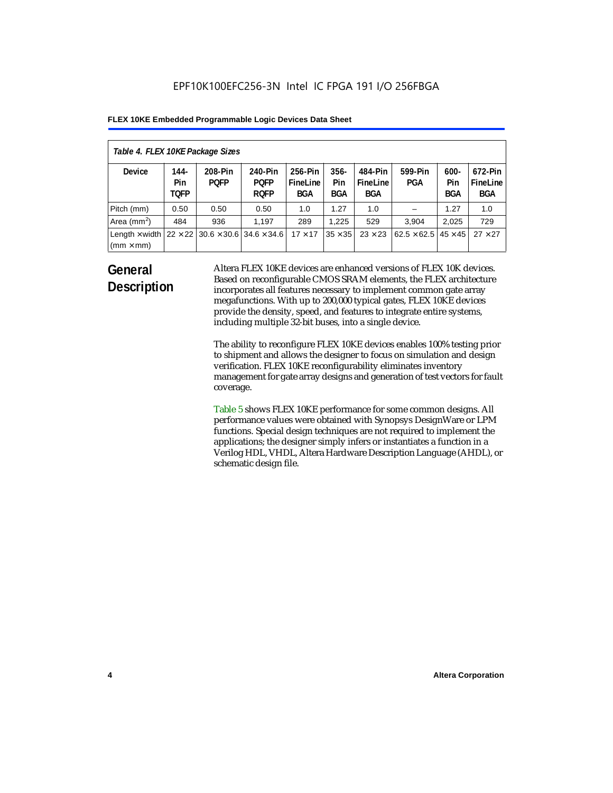| Table 4. FLEX 10KE Package Sizes          |                            |                                                      |                                       |                                   |                       |                            |                                   |                              |                                   |
|-------------------------------------------|----------------------------|------------------------------------------------------|---------------------------------------|-----------------------------------|-----------------------|----------------------------|-----------------------------------|------------------------------|-----------------------------------|
| <b>Device</b>                             | 144-<br>Pin<br><b>TOFP</b> | 208-Pin<br><b>POFP</b>                               | 240-Pin<br><b>POFP</b><br><b>ROFP</b> | 256-Pin<br>FineLine<br><b>BGA</b> | $356 -$<br>Pin<br>BGA | 484-Pin<br>FineLine<br>BGA | 599-Pin<br><b>PGA</b>             | $600 -$<br>Pin<br><b>BGA</b> | 672-Pin<br>FineLine<br><b>BGA</b> |
| Pitch (mm)                                | 0.50                       | 0.50                                                 | 0.50                                  | 1.0                               | 1.27                  | 1.0                        |                                   | 1.27                         | 1.0                               |
| Area $(mm2)$                              | 484                        | 936                                                  | 1.197                                 | 289                               | 1.225                 | 529                        | 3.904                             | 2,025                        | 729                               |
| Length $\times$ width<br>$(mm \times mm)$ |                            | $22 \times 22$ 30.6 $\times$ 30.6 34.6 $\times$ 34.6 |                                       | $17 \times 17$                    | $35 \times 35$        | $23 \times 23$             | $62.5 \times 62.5$ 45 $\times$ 45 |                              | $27 \times 27$                    |

### **General Description**

Altera FLEX 10KE devices are enhanced versions of FLEX 10K devices. Based on reconfigurable CMOS SRAM elements, the FLEX architecture incorporates all features necessary to implement common gate array megafunctions. With up to 200,000 typical gates, FLEX 10KE devices provide the density, speed, and features to integrate entire systems, including multiple 32-bit buses, into a single device.

The ability to reconfigure FLEX 10KE devices enables 100% testing prior to shipment and allows the designer to focus on simulation and design verification. FLEX 10KE reconfigurability eliminates inventory management for gate array designs and generation of test vectors for fault coverage.

Table 5 shows FLEX 10KE performance for some common designs. All performance values were obtained with Synopsys DesignWare or LPM functions. Special design techniques are not required to implement the applications; the designer simply infers or instantiates a function in a Verilog HDL, VHDL, Altera Hardware Description Language (AHDL), or schematic design file.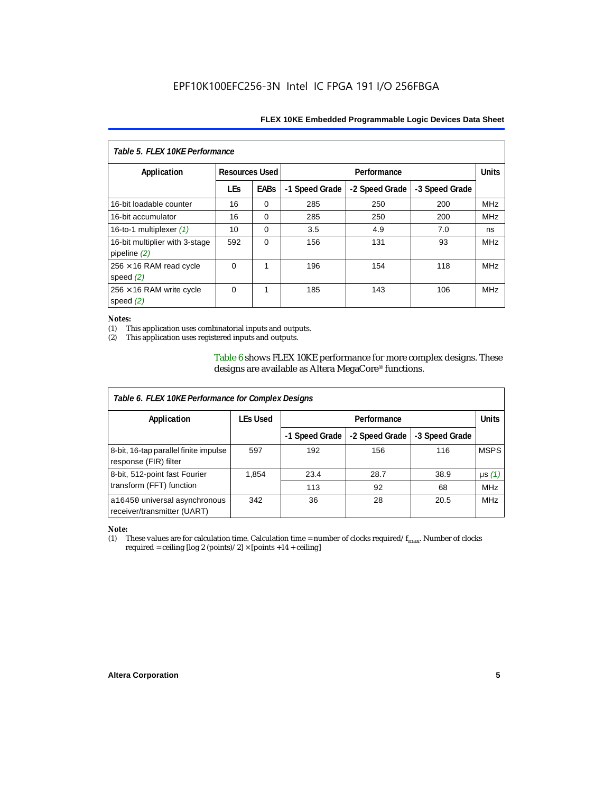| Table 5. FLEX 10KE Performance                   |            |                                      |                |                |                |              |
|--------------------------------------------------|------------|--------------------------------------|----------------|----------------|----------------|--------------|
| Application                                      |            | <b>Resources Used</b><br>Performance |                |                |                | <b>Units</b> |
|                                                  | <b>LEs</b> | <b>EABs</b>                          | -1 Speed Grade | -2 Speed Grade | -3 Speed Grade |              |
| 16-bit loadable counter                          | 16         | $\Omega$                             | 285            | 250            | 200            | <b>MHz</b>   |
| 16-bit accumulator                               | 16         | $\Omega$                             | 285            | 250            | 200            | <b>MHz</b>   |
| 16-to-1 multiplexer $(1)$                        | 10         | $\Omega$                             | 3.5            | 4.9            | 7.0            | ns           |
| 16-bit multiplier with 3-stage<br>pipeline $(2)$ | 592        | $\Omega$                             | 156            | 131            | 93             | <b>MHz</b>   |
| $256 \times 16$ RAM read cycle<br>speed $(2)$    | $\Omega$   | 1                                    | 196            | 154            | 118            | <b>MHz</b>   |
| $256 \times 16$ RAM write cycle<br>speed $(2)$   | $\Omega$   | 1                                    | 185            | 143            | 106            | <b>MHz</b>   |

#### *Notes:*

(1) This application uses combinatorial inputs and outputs.

This application uses registered inputs and outputs.

Table 6 shows FLEX 10KE performance for more complex designs. These designs are available as Altera MegaCore® functions.

| Table 6. FLEX 10KE Performance for Complex Designs             |                 |                |                |                |              |
|----------------------------------------------------------------|-----------------|----------------|----------------|----------------|--------------|
| Application                                                    | <b>LEs Used</b> | Performance    |                |                | <b>Units</b> |
|                                                                |                 | -1 Speed Grade | -2 Speed Grade | -3 Speed Grade |              |
| 8-bit, 16-tap parallel finite impulse<br>response (FIR) filter | 597             | 192            | 156            | 116            | <b>MSPS</b>  |
| 8-bit, 512-point fast Fourier                                  | 1,854           | 23.4           | 28.7           | 38.9           | $\mu s(1)$   |
| transform (FFT) function                                       |                 | 113            | 92             | 68             | <b>MHz</b>   |
| a16450 universal asynchronous<br>receiver/transmitter (UART)   | 342             | 36             | 28             | 20.5           | <b>MHz</b>   |

## *Note:*<br>(1) 1

These values are for calculation time. Calculation time = number of clocks required/ $f_{max}$ . Number of clocks required = ceiling [log 2 (points)/2]  $\times$  [points +14 + ceiling]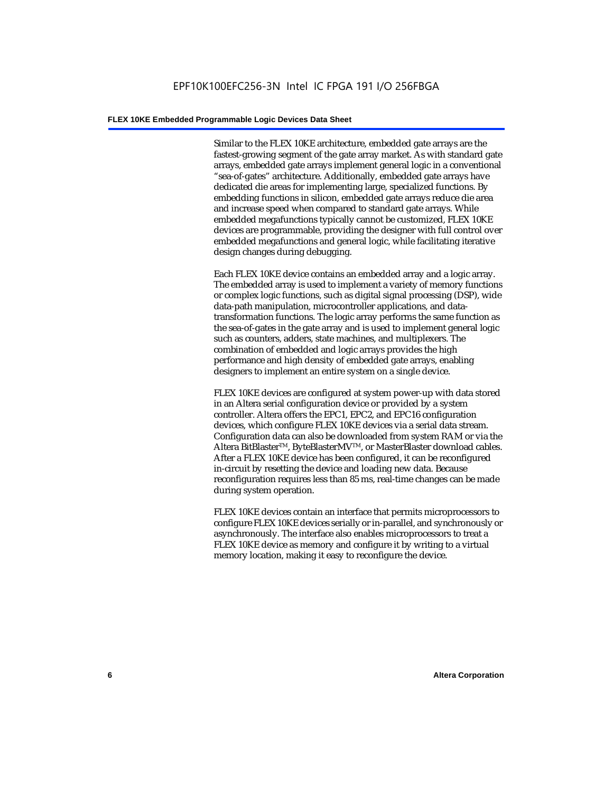Similar to the FLEX 10KE architecture, embedded gate arrays are the fastest-growing segment of the gate array market. As with standard gate arrays, embedded gate arrays implement general logic in a conventional "sea-of-gates" architecture. Additionally, embedded gate arrays have dedicated die areas for implementing large, specialized functions. By embedding functions in silicon, embedded gate arrays reduce die area and increase speed when compared to standard gate arrays. While embedded megafunctions typically cannot be customized, FLEX 10KE devices are programmable, providing the designer with full control over embedded megafunctions and general logic, while facilitating iterative design changes during debugging.

Each FLEX 10KE device contains an embedded array and a logic array. The embedded array is used to implement a variety of memory functions or complex logic functions, such as digital signal processing (DSP), wide data-path manipulation, microcontroller applications, and datatransformation functions. The logic array performs the same function as the sea-of-gates in the gate array and is used to implement general logic such as counters, adders, state machines, and multiplexers. The combination of embedded and logic arrays provides the high performance and high density of embedded gate arrays, enabling designers to implement an entire system on a single device.

FLEX 10KE devices are configured at system power-up with data stored in an Altera serial configuration device or provided by a system controller. Altera offers the EPC1, EPC2, and EPC16 configuration devices, which configure FLEX 10KE devices via a serial data stream. Configuration data can also be downloaded from system RAM or via the Altera BitBlaster™, ByteBlasterMV™, or MasterBlaster download cables. After a FLEX 10KE device has been configured, it can be reconfigured in-circuit by resetting the device and loading new data. Because reconfiguration requires less than 85 ms, real-time changes can be made during system operation.

FLEX 10KE devices contain an interface that permits microprocessors to configure FLEX 10KE devices serially or in-parallel, and synchronously or asynchronously. The interface also enables microprocessors to treat a FLEX 10KE device as memory and configure it by writing to a virtual memory location, making it easy to reconfigure the device.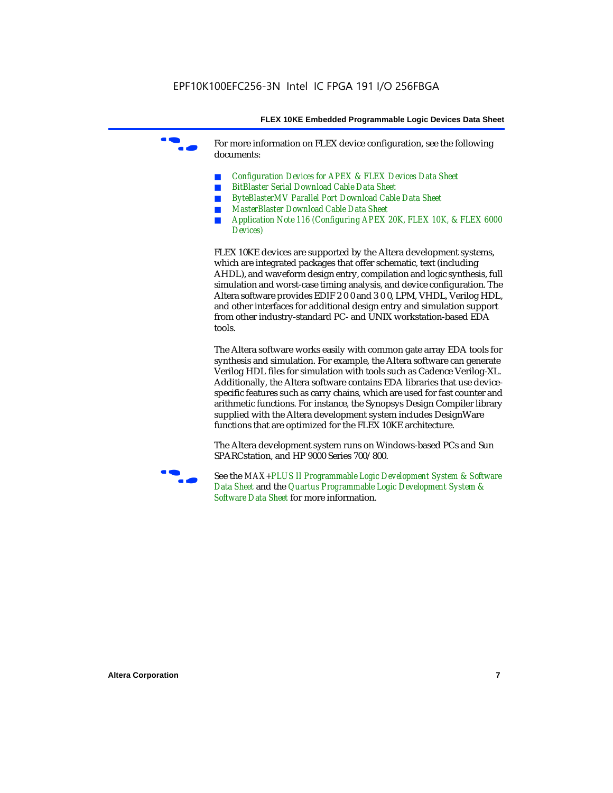For more information on FLEX device configuration, see the following documents:

- *Configuration Devices for APEX & FLEX Devices Data Sheet*
- *BitBlaster Serial Download Cable Data Sheet*
- *ByteBlasterMV Parallel Port Download Cable Data Sheet*
- *MasterBlaster Download Cable Data Sheet*
- *Application Note 116 (Configuring APEX 20K, FLEX 10K, & FLEX 6000 Devices)*

FLEX 10KE devices are supported by the Altera development systems, which are integrated packages that offer schematic, text (including AHDL), and waveform design entry, compilation and logic synthesis, full simulation and worst-case timing analysis, and device configuration. The Altera software provides EDIF 2 0 0 and 3 0 0, LPM, VHDL, Verilog HDL, and other interfaces for additional design entry and simulation support from other industry-standard PC- and UNIX workstation-based EDA tools.

The Altera software works easily with common gate array EDA tools for synthesis and simulation. For example, the Altera software can generate Verilog HDL files for simulation with tools such as Cadence Verilog-XL. Additionally, the Altera software contains EDA libraries that use devicespecific features such as carry chains, which are used for fast counter and arithmetic functions. For instance, the Synopsys Design Compiler library supplied with the Altera development system includes DesignWare functions that are optimized for the FLEX 10KE architecture.

The Altera development system runs on Windows-based PCs and Sun SPARCstation, and HP 9000 Series 700/800.



See the *MAX+PLUS II Programmable Logic Development System & Software Data Sheet* and the *Quartus Programmable Logic Development System & Software Data Sheet* for more information.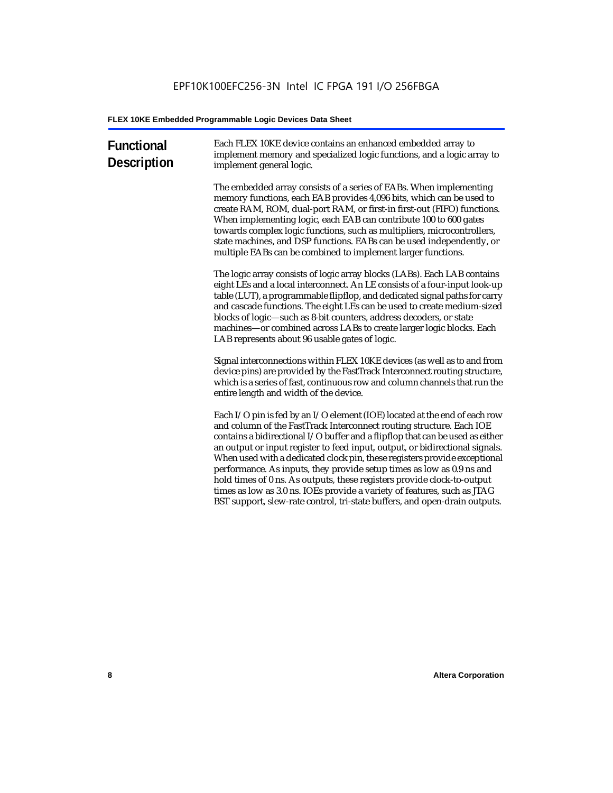| <b>Functional</b><br><b>Description</b> | Each FLEX 10KE device contains an enhanced embedded array to<br>implement memory and specialized logic functions, and a logic array to<br>implement general logic.                                                                                                                                                                                                                                                                                                                                                                                                                                                                                                                                             |
|-----------------------------------------|----------------------------------------------------------------------------------------------------------------------------------------------------------------------------------------------------------------------------------------------------------------------------------------------------------------------------------------------------------------------------------------------------------------------------------------------------------------------------------------------------------------------------------------------------------------------------------------------------------------------------------------------------------------------------------------------------------------|
|                                         | The embedded array consists of a series of EABs. When implementing<br>memory functions, each EAB provides 4,096 bits, which can be used to<br>create RAM, ROM, dual-port RAM, or first-in first-out (FIFO) functions.<br>When implementing logic, each EAB can contribute 100 to 600 gates<br>towards complex logic functions, such as multipliers, microcontrollers,<br>state machines, and DSP functions. EABs can be used independently, or<br>multiple EABs can be combined to implement larger functions.                                                                                                                                                                                                 |
|                                         | The logic array consists of logic array blocks (LABs). Each LAB contains<br>eight LEs and a local interconnect. An LE consists of a four-input look-up<br>table (LUT), a programmable flipflop, and dedicated signal paths for carry<br>and cascade functions. The eight LEs can be used to create medium-sized<br>blocks of logic-such as 8-bit counters, address decoders, or state<br>machines-or combined across LABs to create larger logic blocks. Each<br>LAB represents about 96 usable gates of logic.                                                                                                                                                                                                |
|                                         | Signal interconnections within FLEX 10KE devices (as well as to and from<br>device pins) are provided by the FastTrack Interconnect routing structure,<br>which is a series of fast, continuous row and column channels that run the<br>entire length and width of the device.                                                                                                                                                                                                                                                                                                                                                                                                                                 |
|                                         | Each I/O pin is fed by an I/O element (IOE) located at the end of each row<br>and column of the FastTrack Interconnect routing structure. Each IOE<br>contains a bidirectional I/O buffer and a flipflop that can be used as either<br>an output or input register to feed input, output, or bidirectional signals.<br>When used with a dedicated clock pin, these registers provide exceptional<br>performance. As inputs, they provide setup times as low as 0.9 ns and<br>hold times of 0 ns. As outputs, these registers provide clock-to-output<br>times as low as 3.0 ns. IOEs provide a variety of features, such as JTAG<br>BST support, slew-rate control, tri-state buffers, and open-drain outputs. |
|                                         |                                                                                                                                                                                                                                                                                                                                                                                                                                                                                                                                                                                                                                                                                                                |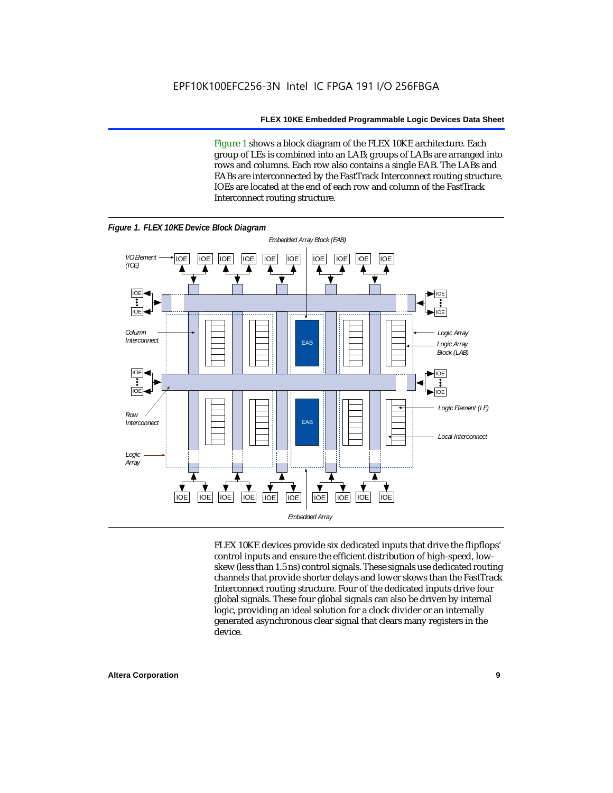Figure 1 shows a block diagram of the FLEX 10KE architecture. Each group of LEs is combined into an LAB; groups of LABs are arranged into rows and columns. Each row also contains a single EAB. The LABs and EABs are interconnected by the FastTrack Interconnect routing structure. IOEs are located at the end of each row and column of the FastTrack Interconnect routing structure.



FLEX 10KE devices provide six dedicated inputs that drive the flipflops' control inputs and ensure the efficient distribution of high-speed, lowskew (less than 1.5 ns) control signals. These signals use dedicated routing channels that provide shorter delays and lower skews than the FastTrack Interconnect routing structure. Four of the dedicated inputs drive four global signals. These four global signals can also be driven by internal logic, providing an ideal solution for a clock divider or an internally generated asynchronous clear signal that clears many registers in the device.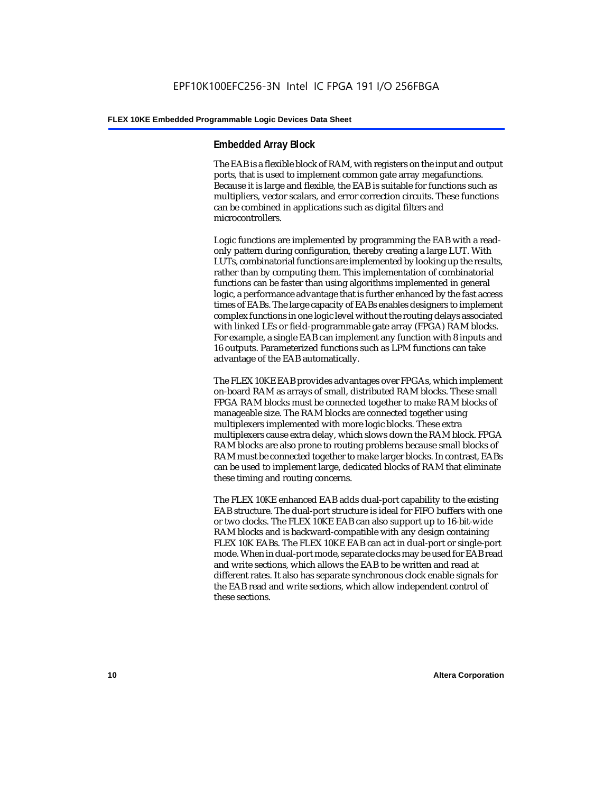#### **Embedded Array Block**

The EAB is a flexible block of RAM, with registers on the input and output ports, that is used to implement common gate array megafunctions. Because it is large and flexible, the EAB is suitable for functions such as multipliers, vector scalars, and error correction circuits. These functions can be combined in applications such as digital filters and microcontrollers.

Logic functions are implemented by programming the EAB with a readonly pattern during configuration, thereby creating a large LUT. With LUTs, combinatorial functions are implemented by looking up the results, rather than by computing them. This implementation of combinatorial functions can be faster than using algorithms implemented in general logic, a performance advantage that is further enhanced by the fast access times of EABs. The large capacity of EABs enables designers to implement complex functions in one logic level without the routing delays associated with linked LEs or field-programmable gate array (FPGA) RAM blocks. For example, a single EAB can implement any function with 8 inputs and 16 outputs. Parameterized functions such as LPM functions can take advantage of the EAB automatically.

The FLEX 10KE EAB provides advantages over FPGAs, which implement on-board RAM as arrays of small, distributed RAM blocks. These small FPGA RAM blocks must be connected together to make RAM blocks of manageable size. The RAM blocks are connected together using multiplexers implemented with more logic blocks. These extra multiplexers cause extra delay, which slows down the RAM block. FPGA RAM blocks are also prone to routing problems because small blocks of RAM must be connected together to make larger blocks. In contrast, EABs can be used to implement large, dedicated blocks of RAM that eliminate these timing and routing concerns.

The FLEX 10KE enhanced EAB adds dual-port capability to the existing EAB structure. The dual-port structure is ideal for FIFO buffers with one or two clocks. The FLEX 10KE EAB can also support up to 16-bit-wide RAM blocks and is backward-compatible with any design containing FLEX 10K EABs. The FLEX 10KE EAB can act in dual-port or single-port mode. When in dual-port mode, separate clocks may be used for EAB read and write sections, which allows the EAB to be written and read at different rates. It also has separate synchronous clock enable signals for the EAB read and write sections, which allow independent control of these sections.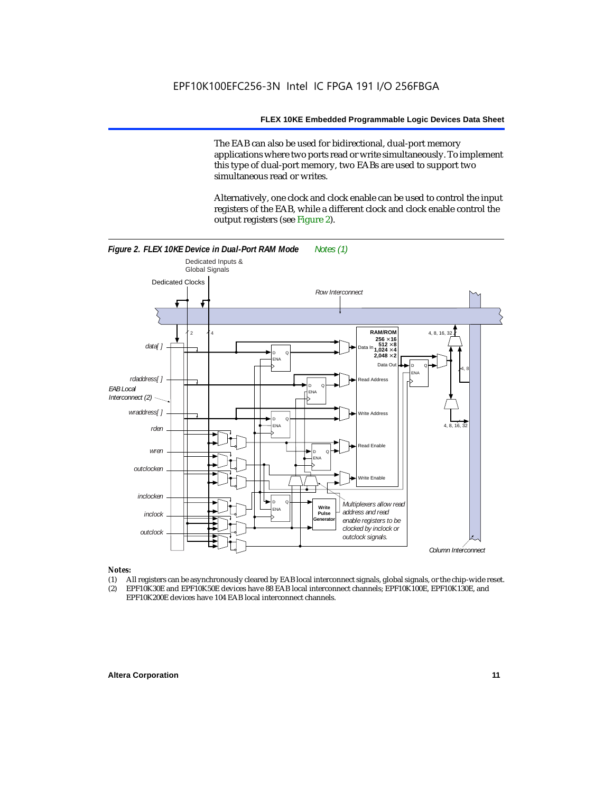The EAB can also be used for bidirectional, dual-port memory applications where two ports read or write simultaneously. To implement this type of dual-port memory, two EABs are used to support two simultaneous read or writes.

Alternatively, one clock and clock enable can be used to control the input registers of the EAB, while a different clock and clock enable control the output registers (see Figure 2).



#### *Notes:*

- (1) All registers can be asynchronously cleared by EAB local interconnect signals, global signals, or the chip-wide reset.
- (2) EPF10K30E and EPF10K50E devices have 88 EAB local interconnect channels; EPF10K100E, EPF10K130E, and EPF10K200E devices have 104 EAB local interconnect channels.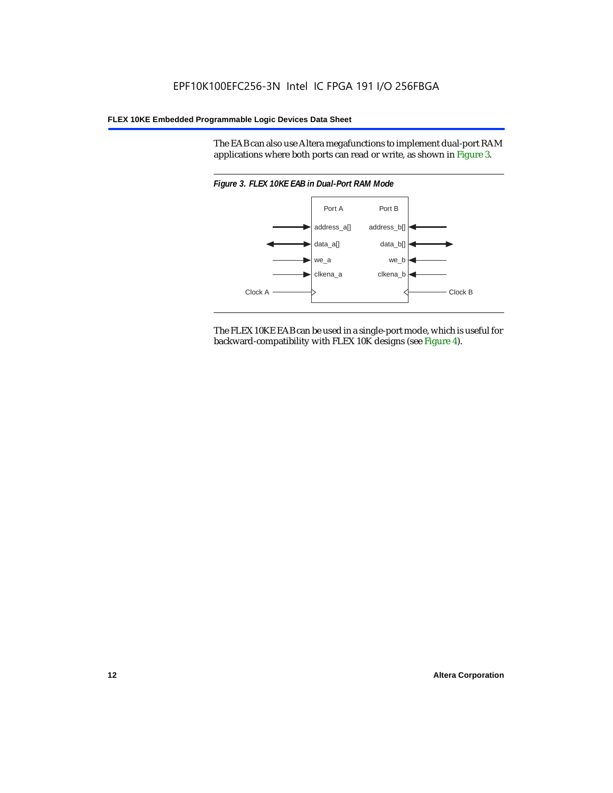The EAB can also use Altera megafunctions to implement dual-port RAM applications where both ports can read or write, as shown in Figure 3.



The FLEX 10KE EAB can be used in a single-port mode, which is useful for backward-compatibility with FLEX 10K designs (see Figure 4).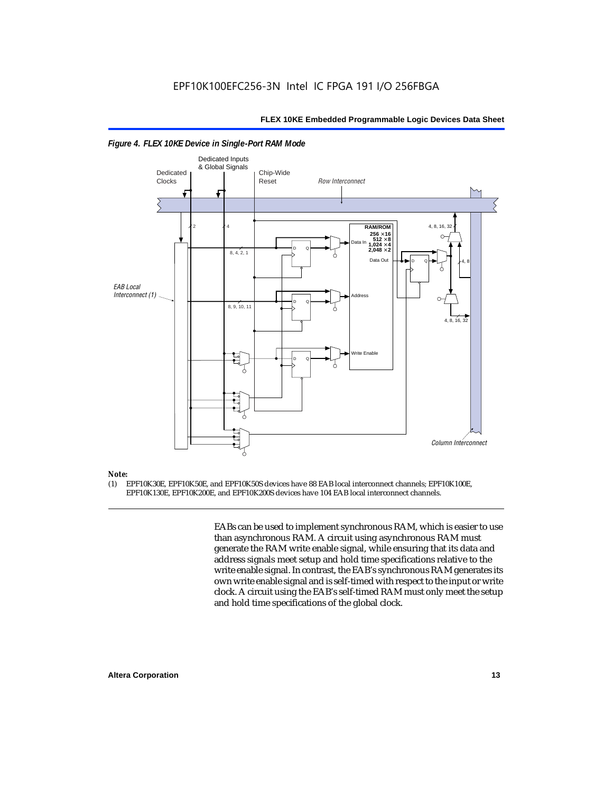

#### *Figure 4. FLEX 10KE Device in Single-Port RAM Mode*

### *Note:*<br>(1) **F**

(1) EPF10K30E, EPF10K50E, and EPF10K50S devices have 88 EAB local interconnect channels; EPF10K100E, EPF10K130E, EPF10K200E, and EPF10K200S devices have 104 EAB local interconnect channels.

> EABs can be used to implement synchronous RAM, which is easier to use than asynchronous RAM. A circuit using asynchronous RAM must generate the RAM write enable signal, while ensuring that its data and address signals meet setup and hold time specifications relative to the write enable signal. In contrast, the EAB's synchronous RAM generates its own write enable signal and is self-timed with respect to the input or write clock. A circuit using the EAB's self-timed RAM must only meet the setup and hold time specifications of the global clock.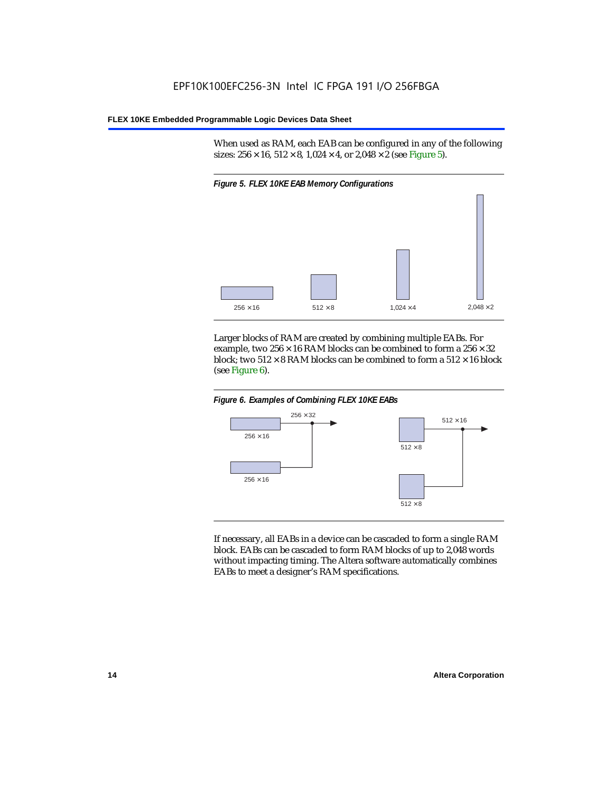When used as RAM, each EAB can be configured in any of the following sizes:  $256 \times 16$ ,  $512 \times 8$ ,  $1,024 \times 4$ , or  $2,048 \times 2$  (see Figure 5).



Larger blocks of RAM are created by combining multiple EABs. For example, two  $256 \times 16$  RAM blocks can be combined to form a  $256 \times 32$ block; two  $512 \times 8$  RAM blocks can be combined to form a  $512 \times 16$  block (see Figure 6).





If necessary, all EABs in a device can be cascaded to form a single RAM block. EABs can be cascaded to form RAM blocks of up to 2,048 words without impacting timing. The Altera software automatically combines EABs to meet a designer's RAM specifications.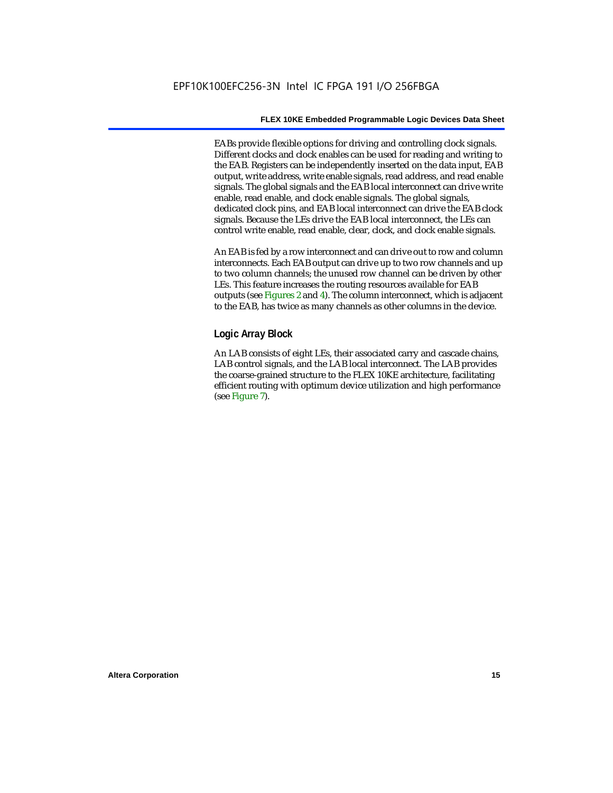EABs provide flexible options for driving and controlling clock signals. Different clocks and clock enables can be used for reading and writing to the EAB. Registers can be independently inserted on the data input, EAB output, write address, write enable signals, read address, and read enable signals. The global signals and the EAB local interconnect can drive write enable, read enable, and clock enable signals. The global signals, dedicated clock pins, and EAB local interconnect can drive the EAB clock signals. Because the LEs drive the EAB local interconnect, the LEs can control write enable, read enable, clear, clock, and clock enable signals.

An EAB is fed by a row interconnect and can drive out to row and column interconnects. Each EAB output can drive up to two row channels and up to two column channels; the unused row channel can be driven by other LEs. This feature increases the routing resources available for EAB outputs (see Figures 2 and 4). The column interconnect, which is adjacent to the EAB, has twice as many channels as other columns in the device.

#### **Logic Array Block**

An LAB consists of eight LEs, their associated carry and cascade chains, LAB control signals, and the LAB local interconnect. The LAB provides the coarse-grained structure to the FLEX 10KE architecture, facilitating efficient routing with optimum device utilization and high performance (see Figure 7).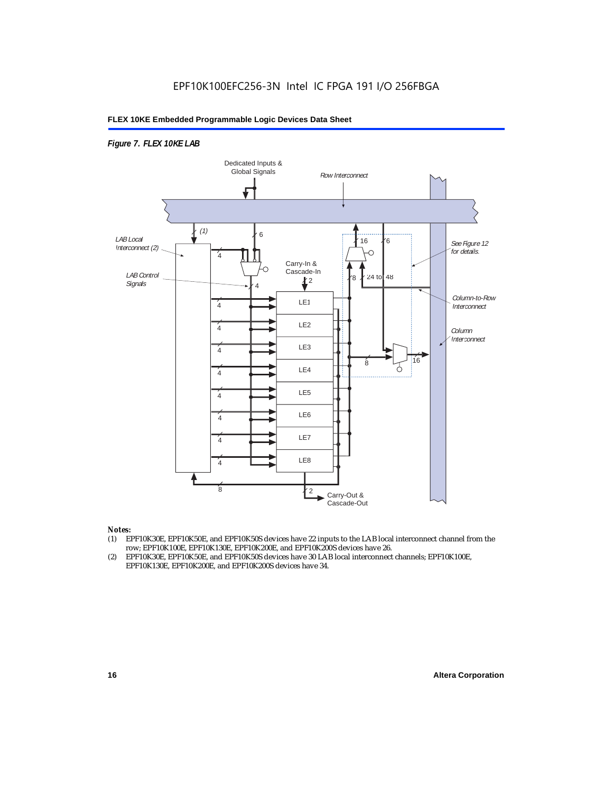#### *Figure 7. FLEX 10KE LAB*



#### *Notes:*

- (1) EPF10K30E, EPF10K50E, and EPF10K50S devices have 22 inputs to the LAB local interconnect channel from the row; EPF10K100E, EPF10K130E, EPF10K200E, and EPF10K200S devices have 26.
- (2) EPF10K30E, EPF10K50E, and EPF10K50S devices have 30 LAB local interconnect channels; EPF10K100E, EPF10K130E, EPF10K200E, and EPF10K200S devices have 34.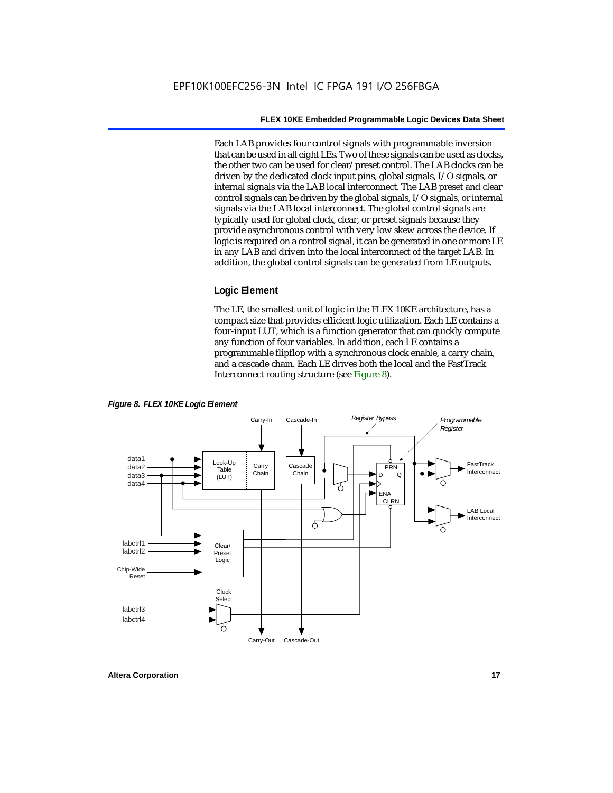Each LAB provides four control signals with programmable inversion that can be used in all eight LEs. Two of these signals can be used as clocks, the other two can be used for clear/preset control. The LAB clocks can be driven by the dedicated clock input pins, global signals, I/O signals, or internal signals via the LAB local interconnect. The LAB preset and clear control signals can be driven by the global signals, I/O signals, or internal signals via the LAB local interconnect. The global control signals are typically used for global clock, clear, or preset signals because they provide asynchronous control with very low skew across the device. If logic is required on a control signal, it can be generated in one or more LE in any LAB and driven into the local interconnect of the target LAB. In addition, the global control signals can be generated from LE outputs.

#### **Logic Element**

The LE, the smallest unit of logic in the FLEX 10KE architecture, has a compact size that provides efficient logic utilization. Each LE contains a four-input LUT, which is a function generator that can quickly compute any function of four variables. In addition, each LE contains a programmable flipflop with a synchronous clock enable, a carry chain, and a cascade chain. Each LE drives both the local and the FastTrack Interconnect routing structure (see Figure 8).

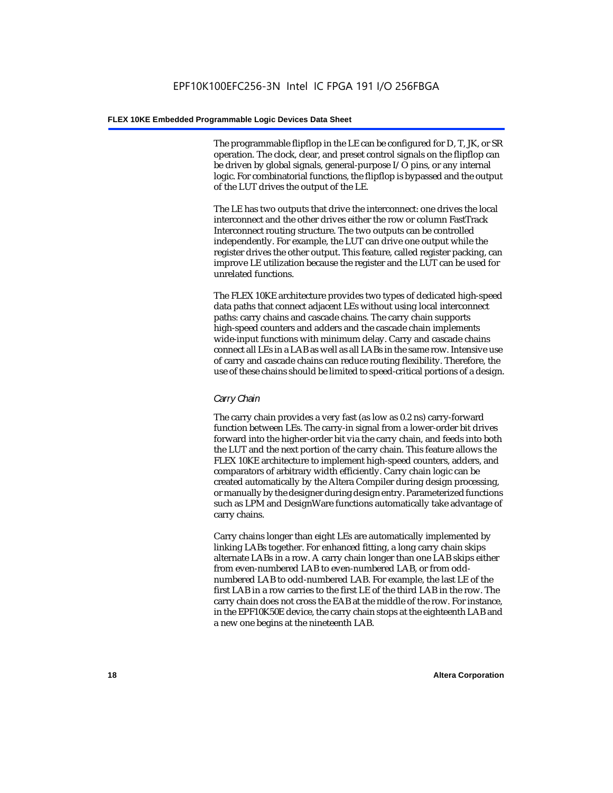The programmable flipflop in the LE can be configured for D, T, JK, or SR operation. The clock, clear, and preset control signals on the flipflop can be driven by global signals, general-purpose I/O pins, or any internal logic. For combinatorial functions, the flipflop is bypassed and the output of the LUT drives the output of the LE.

The LE has two outputs that drive the interconnect: one drives the local interconnect and the other drives either the row or column FastTrack Interconnect routing structure. The two outputs can be controlled independently. For example, the LUT can drive one output while the register drives the other output. This feature, called register packing, can improve LE utilization because the register and the LUT can be used for unrelated functions.

The FLEX 10KE architecture provides two types of dedicated high-speed data paths that connect adjacent LEs without using local interconnect paths: carry chains and cascade chains. The carry chain supports high-speed counters and adders and the cascade chain implements wide-input functions with minimum delay. Carry and cascade chains connect all LEs in a LAB as well as all LABs in the same row. Intensive use of carry and cascade chains can reduce routing flexibility. Therefore, the use of these chains should be limited to speed-critical portions of a design.

#### *Carry Chain*

The carry chain provides a very fast (as low as 0.2 ns) carry-forward function between LEs. The carry-in signal from a lower-order bit drives forward into the higher-order bit via the carry chain, and feeds into both the LUT and the next portion of the carry chain. This feature allows the FLEX 10KE architecture to implement high-speed counters, adders, and comparators of arbitrary width efficiently. Carry chain logic can be created automatically by the Altera Compiler during design processing, or manually by the designer during design entry. Parameterized functions such as LPM and DesignWare functions automatically take advantage of carry chains.

Carry chains longer than eight LEs are automatically implemented by linking LABs together. For enhanced fitting, a long carry chain skips alternate LABs in a row. A carry chain longer than one LAB skips either from even-numbered LAB to even-numbered LAB, or from oddnumbered LAB to odd-numbered LAB. For example, the last LE of the first LAB in a row carries to the first LE of the third LAB in the row. The carry chain does not cross the EAB at the middle of the row. For instance, in the EPF10K50E device, the carry chain stops at the eighteenth LAB and a new one begins at the nineteenth LAB.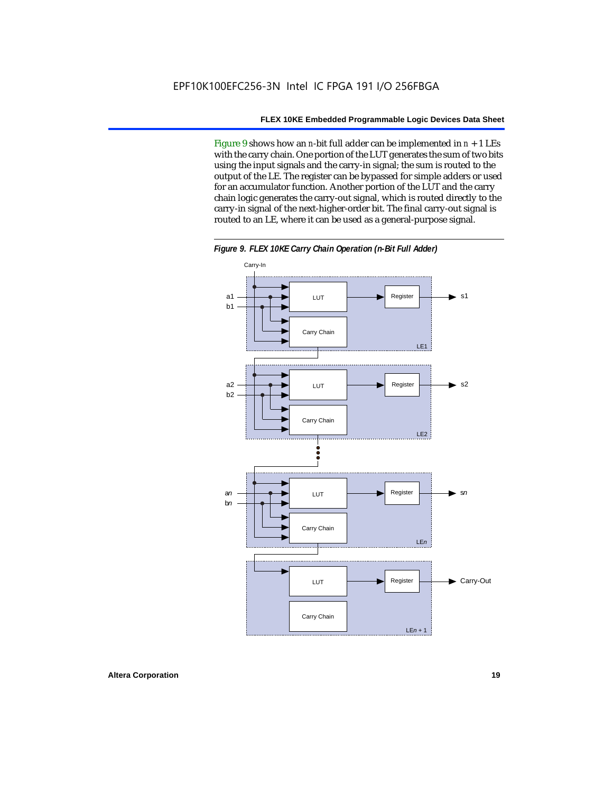Figure 9 shows how an *n*-bit full adder can be implemented in  $n + 1$  LEs with the carry chain. One portion of the LUT generates the sum of two bits using the input signals and the carry-in signal; the sum is routed to the output of the LE. The register can be bypassed for simple adders or used for an accumulator function. Another portion of the LUT and the carry chain logic generates the carry-out signal, which is routed directly to the carry-in signal of the next-higher-order bit. The final carry-out signal is routed to an LE, where it can be used as a general-purpose signal.



*Figure 9. FLEX 10KE Carry Chain Operation (n-Bit Full Adder)*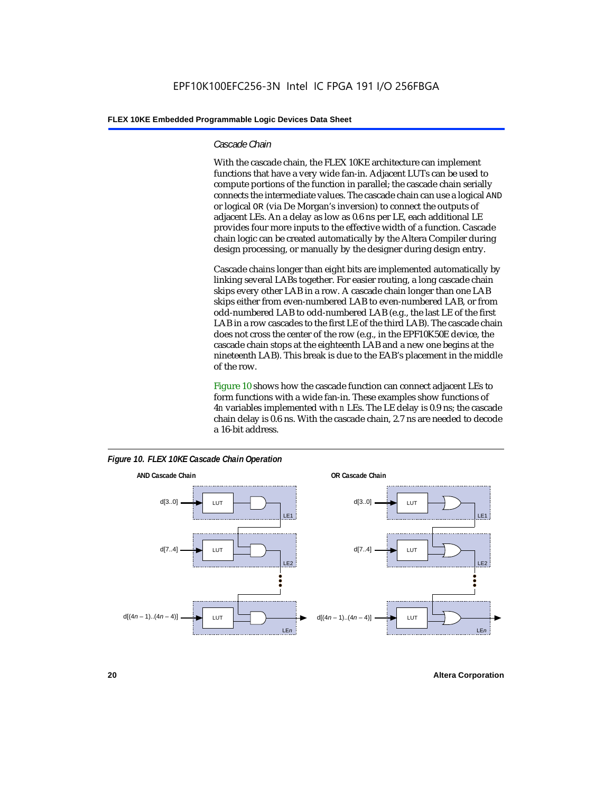#### *Cascade Chain*

With the cascade chain, the FLEX 10KE architecture can implement functions that have a very wide fan-in. Adjacent LUTs can be used to compute portions of the function in parallel; the cascade chain serially connects the intermediate values. The cascade chain can use a logical AND or logical OR (via De Morgan's inversion) to connect the outputs of adjacent LEs. An a delay as low as 0.6 ns per LE, each additional LE provides four more inputs to the effective width of a function. Cascade chain logic can be created automatically by the Altera Compiler during design processing, or manually by the designer during design entry.

Cascade chains longer than eight bits are implemented automatically by linking several LABs together. For easier routing, a long cascade chain skips every other LAB in a row. A cascade chain longer than one LAB skips either from even-numbered LAB to even-numbered LAB, or from odd-numbered LAB to odd-numbered LAB (e.g., the last LE of the first LAB in a row cascades to the first LE of the third LAB). The cascade chain does not cross the center of the row (e.g., in the EPF10K50E device, the cascade chain stops at the eighteenth LAB and a new one begins at the nineteenth LAB). This break is due to the EAB's placement in the middle of the row.

Figure 10 shows how the cascade function can connect adjacent LEs to form functions with a wide fan-in. These examples show functions of 4*n* variables implemented with *n* LEs. The LE delay is 0.9 ns; the cascade chain delay is 0.6 ns. With the cascade chain, 2.7 ns are needed to decode a 16-bit address.



*Figure 10. FLEX 10KE Cascade Chain Operation*

**20 Altera Corporation**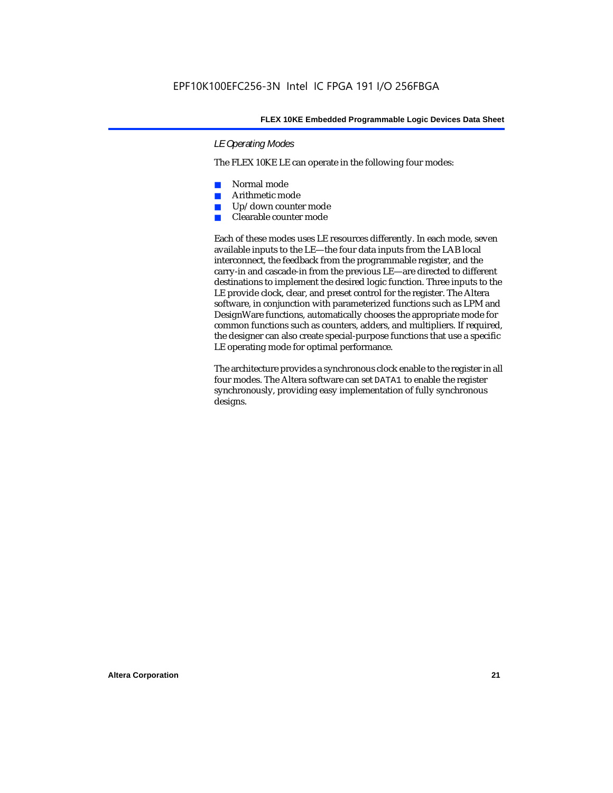#### *LE Operating Modes*

The FLEX 10KE LE can operate in the following four modes:

- Normal mode
- Arithmetic mode
- Up/down counter mode
- Clearable counter mode

Each of these modes uses LE resources differently. In each mode, seven available inputs to the LE—the four data inputs from the LAB local interconnect, the feedback from the programmable register, and the carry-in and cascade-in from the previous LE—are directed to different destinations to implement the desired logic function. Three inputs to the LE provide clock, clear, and preset control for the register. The Altera software, in conjunction with parameterized functions such as LPM and DesignWare functions, automatically chooses the appropriate mode for common functions such as counters, adders, and multipliers. If required, the designer can also create special-purpose functions that use a specific LE operating mode for optimal performance.

The architecture provides a synchronous clock enable to the register in all four modes. The Altera software can set DATA1 to enable the register synchronously, providing easy implementation of fully synchronous designs.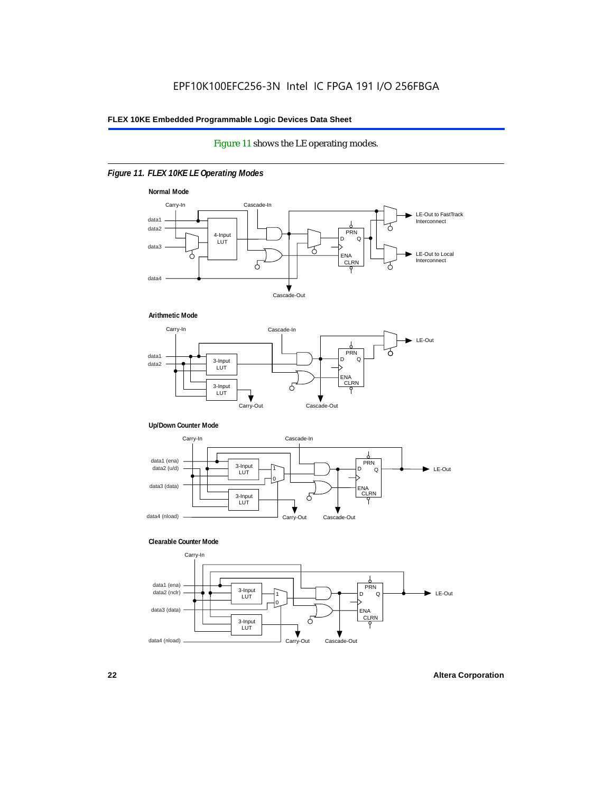#### Figure 11 shows the LE operating modes.

#### *Figure 11. FLEX 10KE LE Operating Modes*









#### **Clearable Counter Mode**

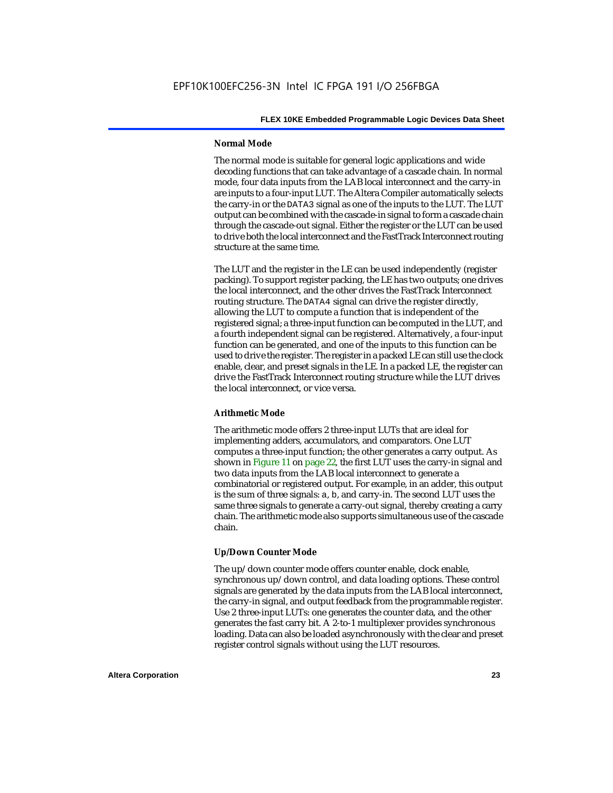#### **Normal Mode**

The normal mode is suitable for general logic applications and wide decoding functions that can take advantage of a cascade chain. In normal mode, four data inputs from the LAB local interconnect and the carry-in are inputs to a four-input LUT. The Altera Compiler automatically selects the carry-in or the DATA3 signal as one of the inputs to the LUT. The LUT output can be combined with the cascade-in signal to form a cascade chain through the cascade-out signal. Either the register or the LUT can be used to drive both the local interconnect and the FastTrack Interconnect routing structure at the same time.

The LUT and the register in the LE can be used independently (register packing). To support register packing, the LE has two outputs; one drives the local interconnect, and the other drives the FastTrack Interconnect routing structure. The DATA4 signal can drive the register directly, allowing the LUT to compute a function that is independent of the registered signal; a three-input function can be computed in the LUT, and a fourth independent signal can be registered. Alternatively, a four-input function can be generated, and one of the inputs to this function can be used to drive the register. The register in a packed LE can still use the clock enable, clear, and preset signals in the LE. In a packed LE, the register can drive the FastTrack Interconnect routing structure while the LUT drives the local interconnect, or vice versa.

#### **Arithmetic Mode**

The arithmetic mode offers 2 three-input LUTs that are ideal for implementing adders, accumulators, and comparators. One LUT computes a three-input function; the other generates a carry output. As shown in Figure 11 on page 22, the first LUT uses the carry-in signal and two data inputs from the LAB local interconnect to generate a combinatorial or registered output. For example, in an adder, this output is the sum of three signals: a, b, and carry-in. The second LUT uses the same three signals to generate a carry-out signal, thereby creating a carry chain. The arithmetic mode also supports simultaneous use of the cascade chain.

#### **Up/Down Counter Mode**

The up/down counter mode offers counter enable, clock enable, synchronous up/down control, and data loading options. These control signals are generated by the data inputs from the LAB local interconnect, the carry-in signal, and output feedback from the programmable register. Use 2 three-input LUTs: one generates the counter data, and the other generates the fast carry bit. A 2-to-1 multiplexer provides synchronous loading. Data can also be loaded asynchronously with the clear and preset register control signals without using the LUT resources.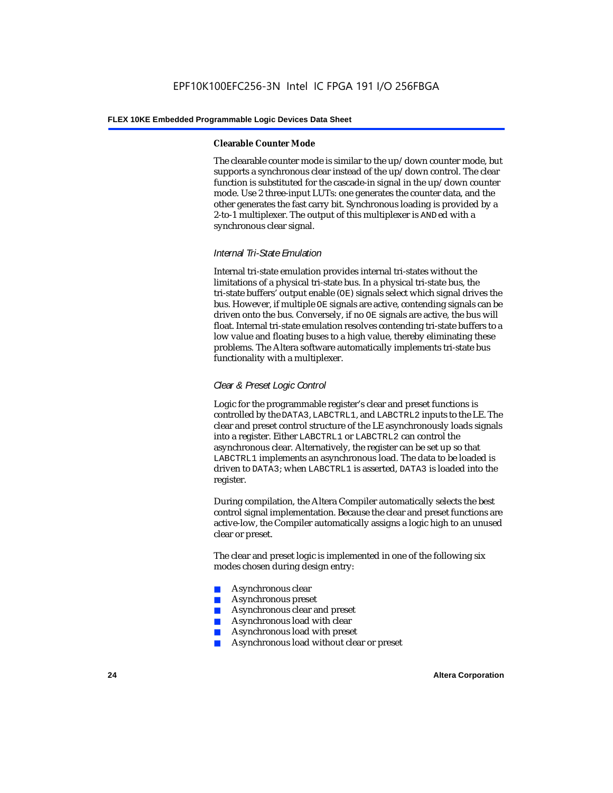#### **Clearable Counter Mode**

The clearable counter mode is similar to the up/down counter mode, but supports a synchronous clear instead of the up/down control. The clear function is substituted for the cascade-in signal in the up/down counter mode. Use 2 three-input LUTs: one generates the counter data, and the other generates the fast carry bit. Synchronous loading is provided by a 2-to-1 multiplexer. The output of this multiplexer is ANDed with a synchronous clear signal.

#### *Internal Tri-State Emulation*

Internal tri-state emulation provides internal tri-states without the limitations of a physical tri-state bus. In a physical tri-state bus, the tri-state buffers' output enable (OE) signals select which signal drives the bus. However, if multiple OE signals are active, contending signals can be driven onto the bus. Conversely, if no OE signals are active, the bus will float. Internal tri-state emulation resolves contending tri-state buffers to a low value and floating buses to a high value, thereby eliminating these problems. The Altera software automatically implements tri-state bus functionality with a multiplexer.

#### *Clear & Preset Logic Control*

Logic for the programmable register's clear and preset functions is controlled by the DATA3, LABCTRL1, and LABCTRL2 inputs to the LE. The clear and preset control structure of the LE asynchronously loads signals into a register. Either LABCTRL1 or LABCTRL2 can control the asynchronous clear. Alternatively, the register can be set up so that LABCTRL1 implements an asynchronous load. The data to be loaded is driven to DATA3; when LABCTRL1 is asserted, DATA3 is loaded into the register.

During compilation, the Altera Compiler automatically selects the best control signal implementation. Because the clear and preset functions are active-low, the Compiler automatically assigns a logic high to an unused clear or preset.

The clear and preset logic is implemented in one of the following six modes chosen during design entry:

- Asynchronous clear
- Asynchronous preset
- Asynchronous clear and preset
- Asynchronous load with clear
- Asynchronous load with preset
- Asynchronous load without clear or preset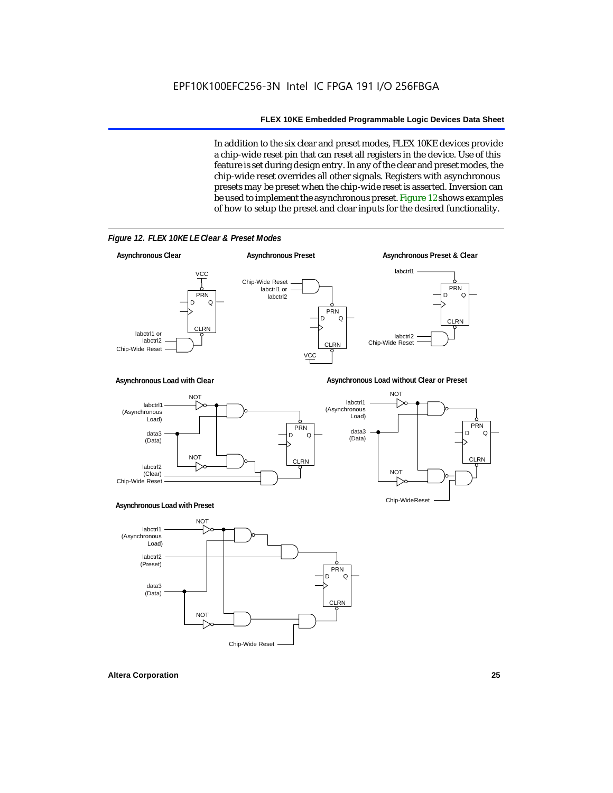In addition to the six clear and preset modes, FLEX 10KE devices provide a chip-wide reset pin that can reset all registers in the device. Use of this feature is set during design entry. In any of the clear and preset modes, the chip-wide reset overrides all other signals. Registers with asynchronous presets may be preset when the chip-wide reset is asserted. Inversion can be used to implement the asynchronous preset. Figure 12 shows examples of how to setup the preset and clear inputs for the desired functionality.

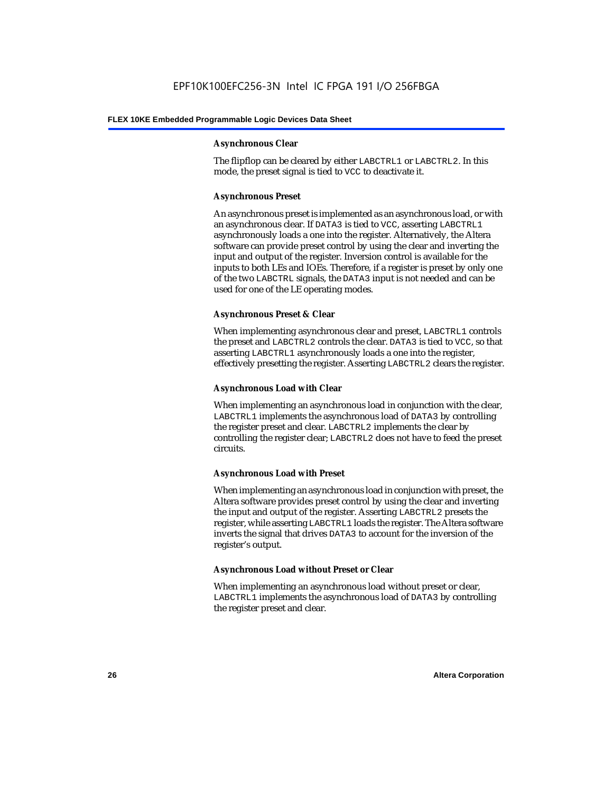#### **Asynchronous Clear**

The flipflop can be cleared by either LABCTRL1 or LABCTRL2. In this mode, the preset signal is tied to VCC to deactivate it.

#### **Asynchronous Preset**

An asynchronous preset is implemented as an asynchronous load, or with an asynchronous clear. If DATA3 is tied to VCC, asserting LABCTRL1 asynchronously loads a one into the register. Alternatively, the Altera software can provide preset control by using the clear and inverting the input and output of the register. Inversion control is available for the inputs to both LEs and IOEs. Therefore, if a register is preset by only one of the two LABCTRL signals, the DATA3 input is not needed and can be used for one of the LE operating modes.

#### **Asynchronous Preset & Clear**

When implementing asynchronous clear and preset, LABCTRL1 controls the preset and LABCTRL2 controls the clear. DATA3 is tied to VCC, so that asserting LABCTRL1 asynchronously loads a one into the register, effectively presetting the register. Asserting LABCTRL2 clears the register.

#### **Asynchronous Load with Clear**

When implementing an asynchronous load in conjunction with the clear, LABCTRL1 implements the asynchronous load of DATA3 by controlling the register preset and clear. LABCTRL2 implements the clear by controlling the register clear; LABCTRL2 does not have to feed the preset circuits.

#### **Asynchronous Load with Preset**

When implementing an asynchronous load in conjunction with preset, the Altera software provides preset control by using the clear and inverting the input and output of the register. Asserting LABCTRL2 presets the register, while asserting LABCTRL1 loads the register. The Altera software inverts the signal that drives DATA3 to account for the inversion of the register's output.

#### **Asynchronous Load without Preset or Clear**

When implementing an asynchronous load without preset or clear, LABCTRL1 implements the asynchronous load of DATA3 by controlling the register preset and clear.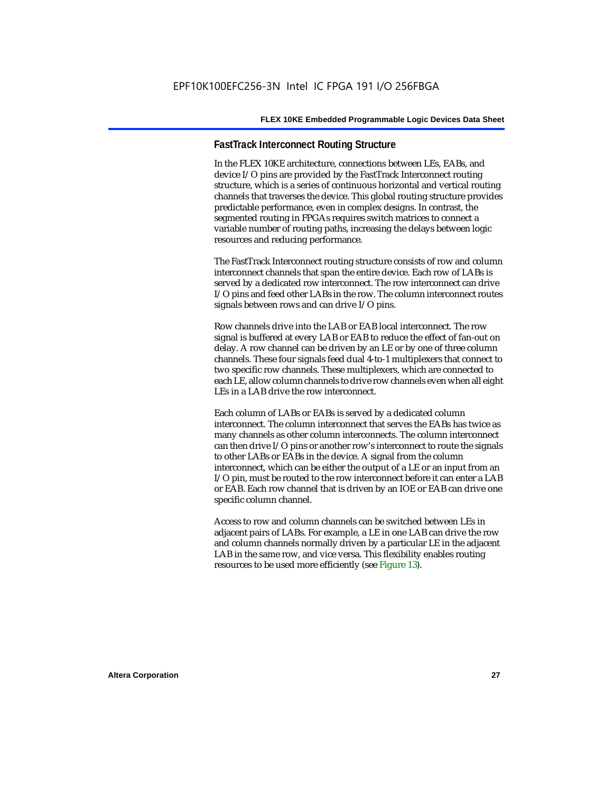#### **FastTrack Interconnect Routing Structure**

In the FLEX 10KE architecture, connections between LEs, EABs, and device I/O pins are provided by the FastTrack Interconnect routing structure, which is a series of continuous horizontal and vertical routing channels that traverses the device. This global routing structure provides predictable performance, even in complex designs. In contrast, the segmented routing in FPGAs requires switch matrices to connect a variable number of routing paths, increasing the delays between logic resources and reducing performance.

The FastTrack Interconnect routing structure consists of row and column interconnect channels that span the entire device. Each row of LABs is served by a dedicated row interconnect. The row interconnect can drive I/O pins and feed other LABs in the row. The column interconnect routes signals between rows and can drive I/O pins.

Row channels drive into the LAB or EAB local interconnect. The row signal is buffered at every LAB or EAB to reduce the effect of fan-out on delay. A row channel can be driven by an LE or by one of three column channels. These four signals feed dual 4-to-1 multiplexers that connect to two specific row channels. These multiplexers, which are connected to each LE, allow column channels to drive row channels even when all eight LEs in a LAB drive the row interconnect.

Each column of LABs or EABs is served by a dedicated column interconnect. The column interconnect that serves the EABs has twice as many channels as other column interconnects. The column interconnect can then drive I/O pins or another row's interconnect to route the signals to other LABs or EABs in the device. A signal from the column interconnect, which can be either the output of a LE or an input from an I/O pin, must be routed to the row interconnect before it can enter a LAB or EAB. Each row channel that is driven by an IOE or EAB can drive one specific column channel.

Access to row and column channels can be switched between LEs in adjacent pairs of LABs. For example, a LE in one LAB can drive the row and column channels normally driven by a particular LE in the adjacent LAB in the same row, and vice versa. This flexibility enables routing resources to be used more efficiently (see Figure 13).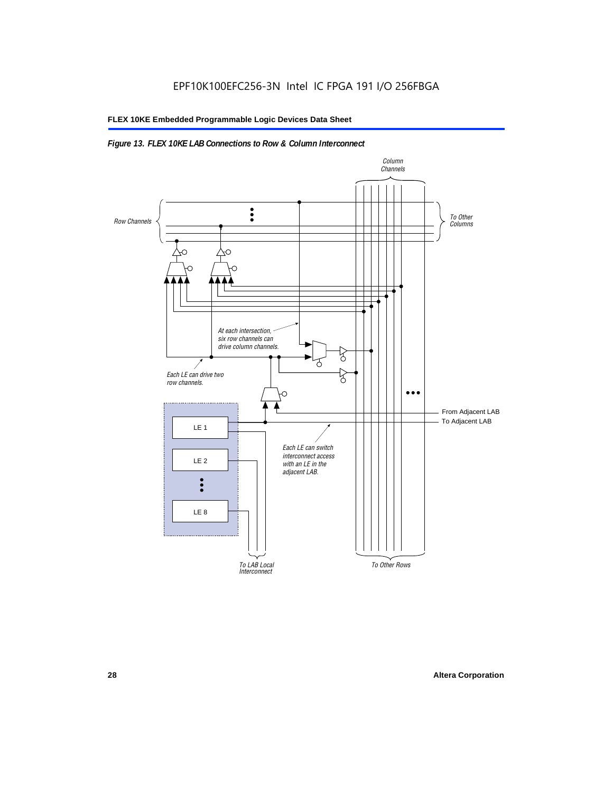#### *Figure 13. FLEX 10KE LAB Connections to Row & Column Interconnect*

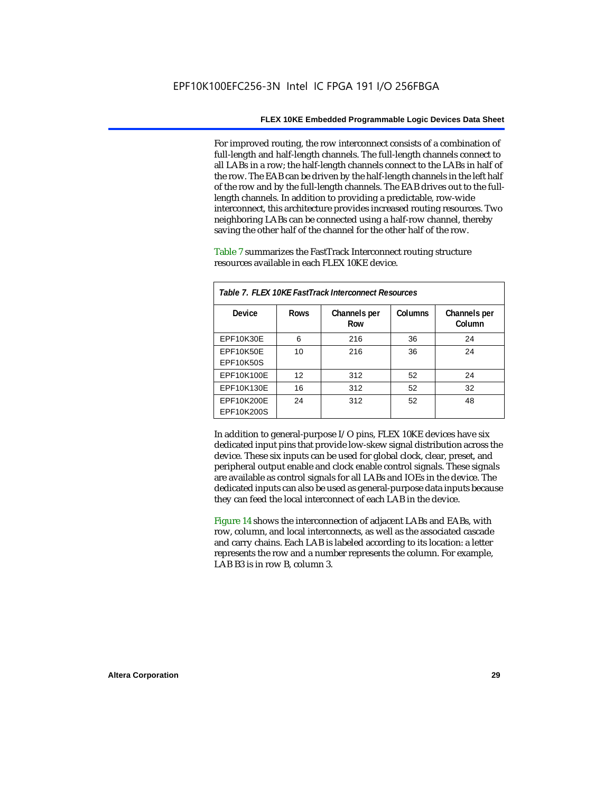For improved routing, the row interconnect consists of a combination of full-length and half-length channels. The full-length channels connect to all LABs in a row; the half-length channels connect to the LABs in half of the row. The EAB can be driven by the half-length channels in the left half of the row and by the full-length channels. The EAB drives out to the fulllength channels. In addition to providing a predictable, row-wide interconnect, this architecture provides increased routing resources. Two neighboring LABs can be connected using a half-row channel, thereby saving the other half of the channel for the other half of the row.

Table 7 summarizes the FastTrack Interconnect routing structure resources available in each FLEX 10KE device.

| Table 7. FLEX 10KE FastTrack Interconnect Resources |             |                     |         |                        |
|-----------------------------------------------------|-------------|---------------------|---------|------------------------|
| Device                                              | <b>Rows</b> | Channels per<br>Row | Columns | Channels per<br>Column |
| <b>EPF10K30E</b>                                    | 6           | 216                 | 36      | 24                     |
| EPF10K50E<br>EPF10K50S                              | 10          | 216                 | 36      | 24                     |
| EPF10K100E                                          | 12          | 312                 | 52      | 24                     |
| EPF10K130E                                          | 16          | 312                 | 52      | 32                     |
| EPF10K200E<br>EPF10K200S                            | 24          | 312                 | 52      | 48                     |

In addition to general-purpose I/O pins, FLEX 10KE devices have six dedicated input pins that provide low-skew signal distribution across the device. These six inputs can be used for global clock, clear, preset, and peripheral output enable and clock enable control signals. These signals are available as control signals for all LABs and IOEs in the device. The dedicated inputs can also be used as general-purpose data inputs because they can feed the local interconnect of each LAB in the device.

Figure 14 shows the interconnection of adjacent LABs and EABs, with row, column, and local interconnects, as well as the associated cascade and carry chains. Each LAB is labeled according to its location: a letter represents the row and a number represents the column. For example, LAB B3 is in row B, column 3.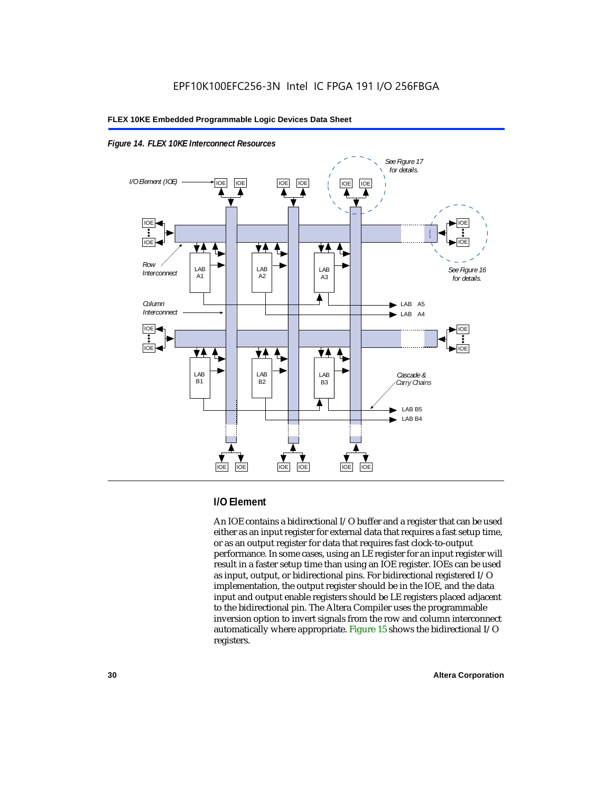



#### **I/O Element**

An IOE contains a bidirectional I/O buffer and a register that can be used either as an input register for external data that requires a fast setup time, or as an output register for data that requires fast clock-to-output performance. In some cases, using an LE register for an input register will result in a faster setup time than using an IOE register. IOEs can be used as input, output, or bidirectional pins. For bidirectional registered I/O implementation, the output register should be in the IOE, and the data input and output enable registers should be LE registers placed adjacent to the bidirectional pin. The Altera Compiler uses the programmable inversion option to invert signals from the row and column interconnect automatically where appropriate. Figure 15 shows the bidirectional I/O registers.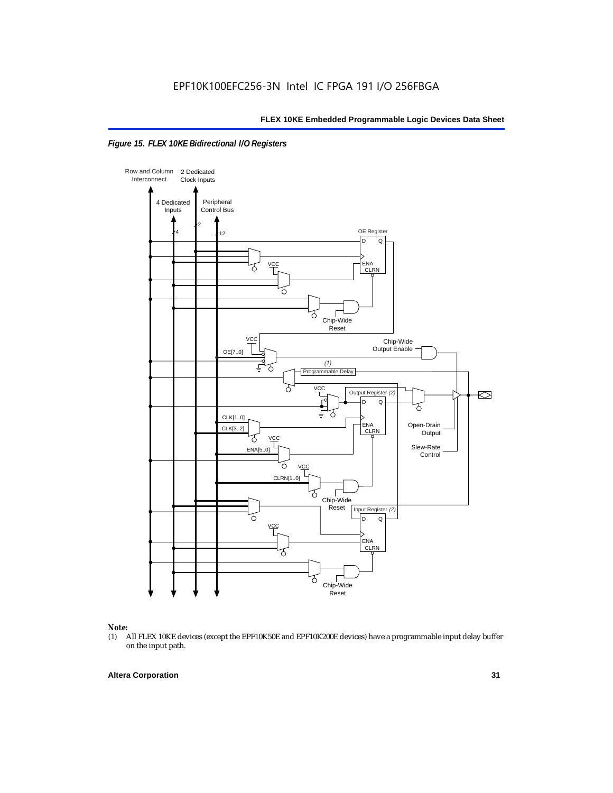



### *Note:*<br>(1) *A*

(1) All FLEX 10KE devices (except the EPF10K50E and EPF10K200E devices) have a programmable input delay buffer on the input path.

#### **Altera Corporation 31**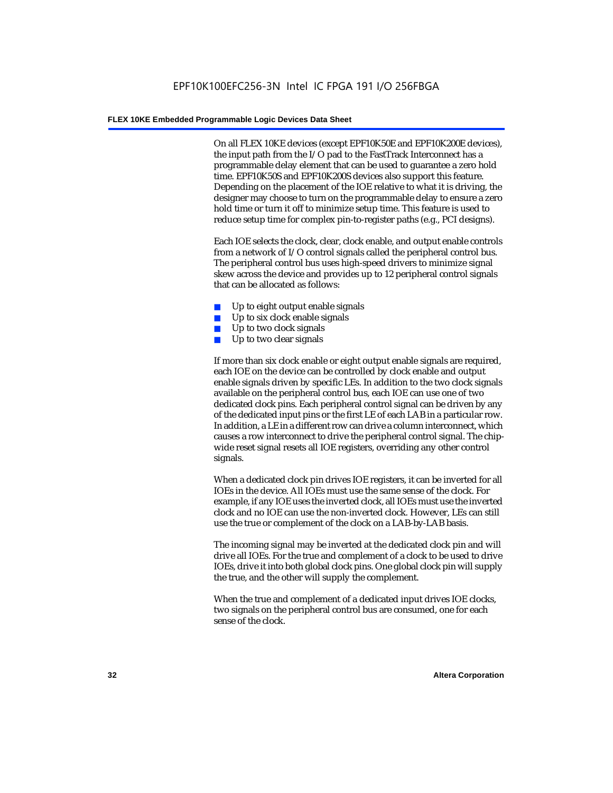On all FLEX 10KE devices (except EPF10K50E and EPF10K200E devices), the input path from the I/O pad to the FastTrack Interconnect has a programmable delay element that can be used to guarantee a zero hold time. EPF10K50S and EPF10K200S devices also support this feature. Depending on the placement of the IOE relative to what it is driving, the designer may choose to turn on the programmable delay to ensure a zero hold time or turn it off to minimize setup time. This feature is used to reduce setup time for complex pin-to-register paths (e.g., PCI designs).

Each IOE selects the clock, clear, clock enable, and output enable controls from a network of I/O control signals called the peripheral control bus. The peripheral control bus uses high-speed drivers to minimize signal skew across the device and provides up to 12 peripheral control signals that can be allocated as follows:

- Up to eight output enable signals
- Up to six clock enable signals
- Up to two clock signals
- Up to two clear signals

If more than six clock enable or eight output enable signals are required, each IOE on the device can be controlled by clock enable and output enable signals driven by specific LEs. In addition to the two clock signals available on the peripheral control bus, each IOE can use one of two dedicated clock pins. Each peripheral control signal can be driven by any of the dedicated input pins or the first LE of each LAB in a particular row. In addition, a LE in a different row can drive a column interconnect, which causes a row interconnect to drive the peripheral control signal. The chipwide reset signal resets all IOE registers, overriding any other control signals.

When a dedicated clock pin drives IOE registers, it can be inverted for all IOEs in the device. All IOEs must use the same sense of the clock. For example, if any IOE uses the inverted clock, all IOEs must use the inverted clock and no IOE can use the non-inverted clock. However, LEs can still use the true or complement of the clock on a LAB-by-LAB basis.

The incoming signal may be inverted at the dedicated clock pin and will drive all IOEs. For the true and complement of a clock to be used to drive IOEs, drive it into both global clock pins. One global clock pin will supply the true, and the other will supply the complement.

When the true and complement of a dedicated input drives IOE clocks, two signals on the peripheral control bus are consumed, one for each sense of the clock.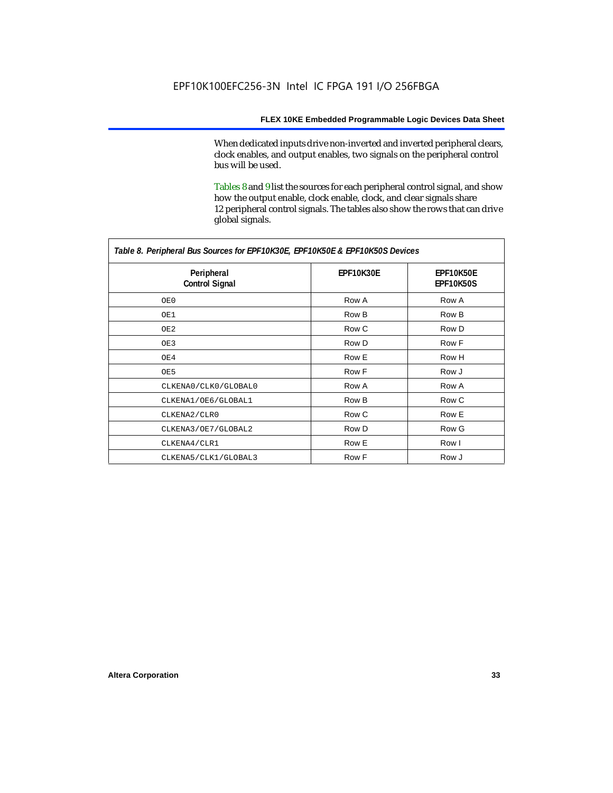When dedicated inputs drive non-inverted and inverted peripheral clears, clock enables, and output enables, two signals on the peripheral control bus will be used.

Tables 8 and 9 list the sources for each peripheral control signal, and show how the output enable, clock enable, clock, and clear signals share 12 peripheral control signals. The tables also show the rows that can drive global signals.

| Table 8. Peripheral Bus Sources for EPF10K30E, EPF10K50E & EPF10K50S Devices |                  |                        |  |  |
|------------------------------------------------------------------------------|------------------|------------------------|--|--|
| Peripheral<br><b>Control Signal</b>                                          | <b>EPF10K30E</b> | EPF10K50E<br>EPF10K50S |  |  |
| OE0                                                                          | Row A            | Row A                  |  |  |
| OE1                                                                          | Row B            | Row B                  |  |  |
| OE2                                                                          | Row C            | Row D                  |  |  |
| OE3                                                                          | Row D            | Row F                  |  |  |
| OE4                                                                          | Row E            | Row H                  |  |  |
| OE5                                                                          | Row F            | Row J                  |  |  |
| CLKENA0/CLK0/GLOBAL0                                                         | Row A            | Row A                  |  |  |
| CLKENA1/OE6/GLOBAL1                                                          | Row B            | Row C                  |  |  |
| CLKENA2/CLR0                                                                 | Row C            | Row E                  |  |  |
| CLKENA3/OE7/GLOBAL2                                                          | Row D            | Row G                  |  |  |
| CLKENA4/CLR1                                                                 | Row E            | Row I                  |  |  |
| CLKENA5/CLK1/GLOBAL3                                                         | Row F            | Row J                  |  |  |

*Table 8. Peripheral Bus Sources for EPF10K30E, EPF10K50E & EPF10K50S Devices*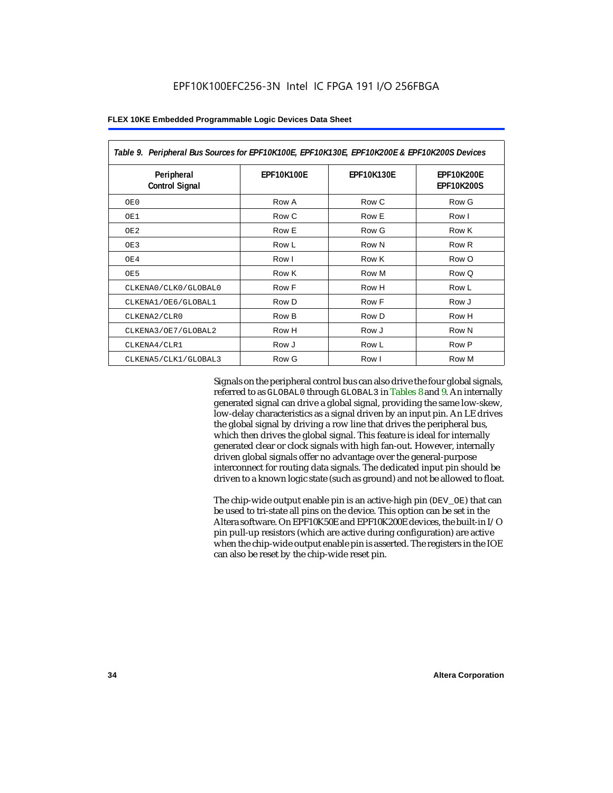| Table 9. Peripheral Bus Sources for EPF10K100E, EPF10K130E, EPF10K200E & EPF10K200S Devices |                   |                   |                                        |  |
|---------------------------------------------------------------------------------------------|-------------------|-------------------|----------------------------------------|--|
| Peripheral<br><b>Control Signal</b>                                                         | <b>EPF10K100E</b> | <b>EPF10K130E</b> | <b>EPF10K200E</b><br><b>EPF10K200S</b> |  |
| OE0                                                                                         | Row A             | Row C             | Row G                                  |  |
| OE1                                                                                         | Row C             | Row E             | Row I                                  |  |
| OE <sub>2</sub>                                                                             | Row E             | Row G             | Row K                                  |  |
| OE3                                                                                         | Row L             | Row N             | Row <sub>R</sub>                       |  |
| OE4                                                                                         | Row I             | Row K             | Row O                                  |  |
| OE5                                                                                         | Row K             | Row M             | Row Q                                  |  |
| CLKENA0/CLK0/GLOBAL0                                                                        | Row F             | Row H             | Row L                                  |  |
| CLKENA1/OE6/GLOBAL1                                                                         | Row D             | Row F             | Row J                                  |  |
| CLKENA2/CLR0                                                                                | Row B             | Row D             | Row H                                  |  |
| CLKENA3/OE7/GLOBAL2                                                                         | Row H             | Row J             | Row N                                  |  |
| CLKENA4/CLR1                                                                                | Row J             | Row L             | Row P                                  |  |
| CLKENA5/CLK1/GLOBAL3                                                                        | Row G             | Row I             | Row M                                  |  |

Signals on the peripheral control bus can also drive the four global signals, referred to as GLOBAL0 through GLOBAL3 in Tables 8 and 9. An internally generated signal can drive a global signal, providing the same low-skew, low-delay characteristics as a signal driven by an input pin. An LE drives the global signal by driving a row line that drives the peripheral bus, which then drives the global signal. This feature is ideal for internally generated clear or clock signals with high fan-out. However, internally driven global signals offer no advantage over the general-purpose interconnect for routing data signals. The dedicated input pin should be driven to a known logic state (such as ground) and not be allowed to float.

The chip-wide output enable pin is an active-high pin (DEV\_OE) that can be used to tri-state all pins on the device. This option can be set in the Altera software. On EPF10K50E and EPF10K200E devices, the built-in I/O pin pull-up resistors (which are active during configuration) are active when the chip-wide output enable pin is asserted. The registers in the IOE can also be reset by the chip-wide reset pin.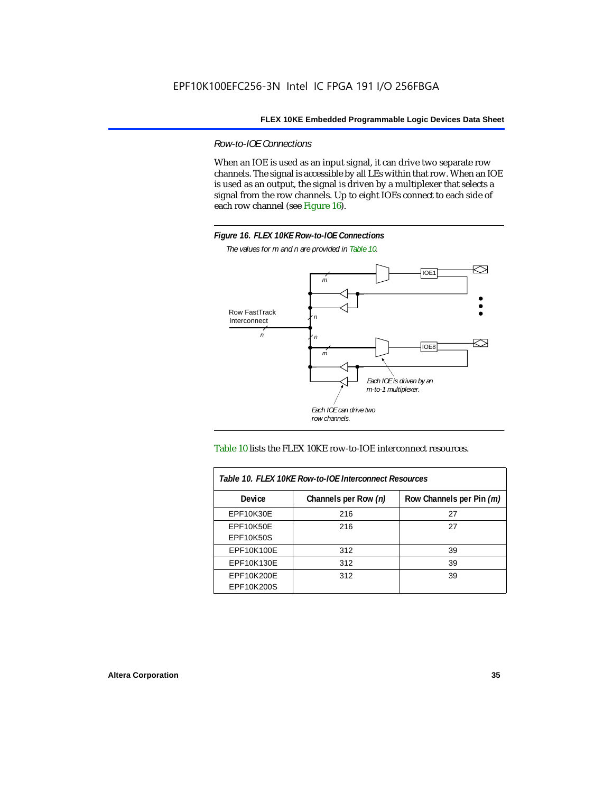*Row-to-IOE Connections*

When an IOE is used as an input signal, it can drive two separate row channels. The signal is accessible by all LEs within that row. When an IOE is used as an output, the signal is driven by a multiplexer that selects a signal from the row channels. Up to eight IOEs connect to each side of each row channel (see Figure 16).



*The values for m and n are provided in Table 10.*





| Table 10. FLEX 10KE Row-to-IOE Interconnect Resources |                      |                          |  |  |
|-------------------------------------------------------|----------------------|--------------------------|--|--|
| <b>Device</b>                                         | Channels per Row (n) | Row Channels per Pin (m) |  |  |
| <b>EPF10K30E</b>                                      | 216                  | 27                       |  |  |
| EPF10K50E                                             | 216                  | 27                       |  |  |
| <b>EPF10K50S</b>                                      |                      |                          |  |  |
| EPF10K100E                                            | 312                  | 39                       |  |  |
| EPF10K130E                                            | 312                  | 39                       |  |  |
| EPF10K200E<br>EPF10K200S                              | 312                  | 39                       |  |  |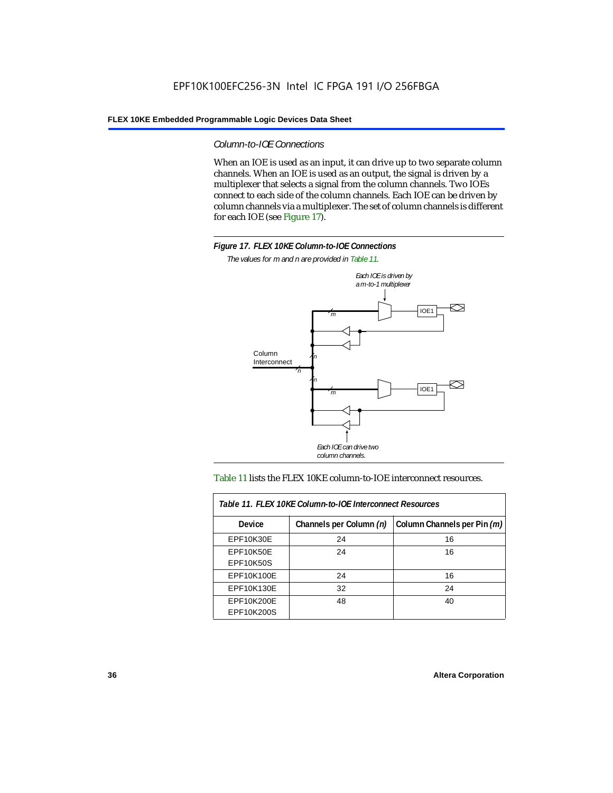#### *Column-to-IOE Connections*

When an IOE is used as an input, it can drive up to two separate column channels. When an IOE is used as an output, the signal is driven by a multiplexer that selects a signal from the column channels. Two IOEs connect to each side of the column channels. Each IOE can be driven by column channels via a multiplexer. The set of column channels is different for each IOE (see Figure 17).



*The values for m and n are provided in Table 11.*



#### Table 11 lists the FLEX 10KE column-to-IOE interconnect resources.

| Table 11. FLEX 10KE Column-to-IOE Interconnect Resources |                         |                             |  |  |  |
|----------------------------------------------------------|-------------------------|-----------------------------|--|--|--|
| <b>Device</b>                                            | Channels per Column (n) | Column Channels per Pin (m) |  |  |  |
| EPF10K30E                                                | 24                      | 16                          |  |  |  |
| EPF10K50E<br><b>EPF10K50S</b>                            | 24                      | 16                          |  |  |  |
| EPF10K100E                                               | 24                      | 16                          |  |  |  |
| EPF10K130E                                               | 32                      | 24                          |  |  |  |
| EPF10K200E<br>EPF10K200S                                 | 48                      | 40                          |  |  |  |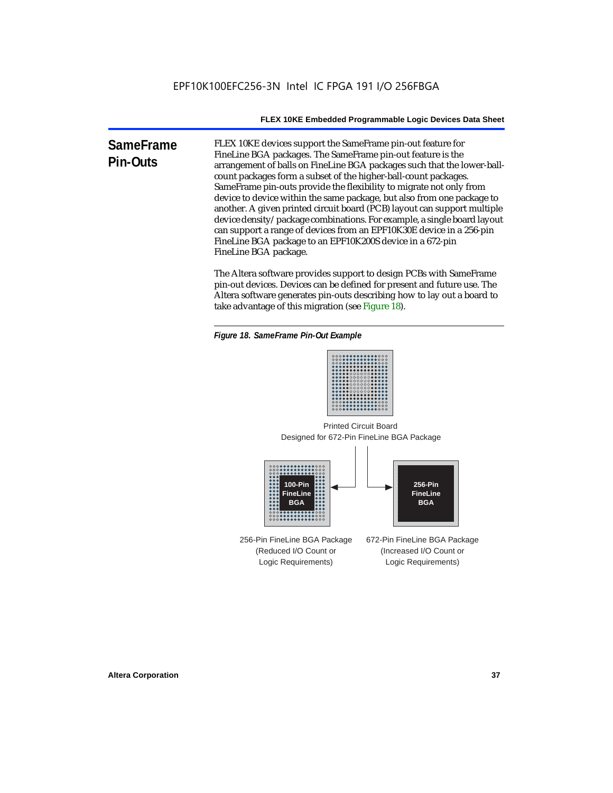**SameFrame Pin-Outs** FLEX 10KE devices support the SameFrame pin-out feature for FineLine BGA packages. The SameFrame pin-out feature is the arrangement of balls on FineLine BGA packages such that the lower-ballcount packages form a subset of the higher-ball-count packages. SameFrame pin-outs provide the flexibility to migrate not only from device to device within the same package, but also from one package to another. A given printed circuit board (PCB) layout can support multiple device density/package combinations. For example, a single board layout can support a range of devices from an EPF10K30E device in a 256-pin FineLine BGA package to an EPF10K200S device in a 672-pin FineLine BGA package.

> The Altera software provides support to design PCBs with SameFrame pin-out devices. Devices can be defined for present and future use. The Altera software generates pin-outs describing how to lay out a board to take advantage of this migration (see Figure 18).





Designed for 672-Pin FineLine BGA Package Printed Circuit Board



256-Pin FineLine BGA Package (Reduced I/O Count or Logic Requirements) 672-Pin FineLine BGA Package (Increased I/O Count or Logic Requirements)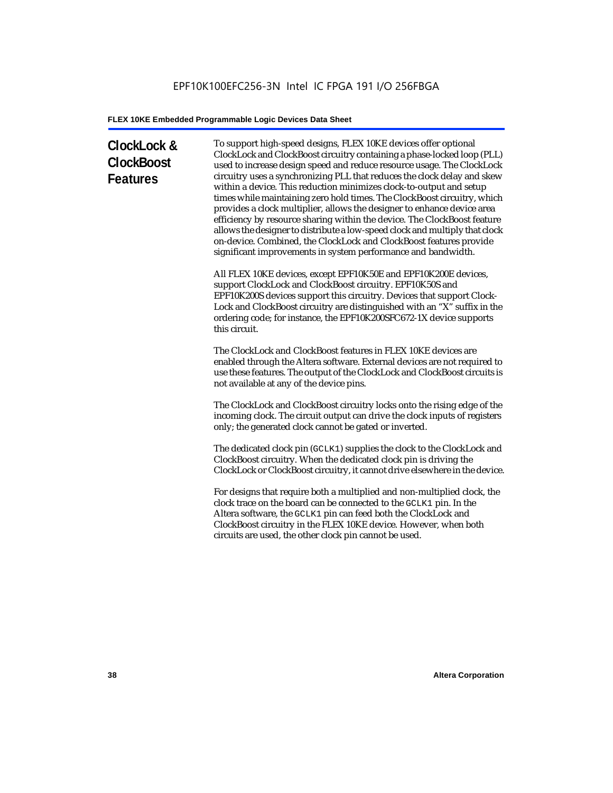# **ClockLock & ClockBoost Features**

To support high-speed designs, FLEX 10KE devices offer optional ClockLock and ClockBoost circuitry containing a phase-locked loop (PLL) used to increase design speed and reduce resource usage. The ClockLock circuitry uses a synchronizing PLL that reduces the clock delay and skew within a device. This reduction minimizes clock-to-output and setup times while maintaining zero hold times. The ClockBoost circuitry, which provides a clock multiplier, allows the designer to enhance device area efficiency by resource sharing within the device. The ClockBoost feature allows the designer to distribute a low-speed clock and multiply that clock on-device. Combined, the ClockLock and ClockBoost features provide significant improvements in system performance and bandwidth.

All FLEX 10KE devices, except EPF10K50E and EPF10K200E devices, support ClockLock and ClockBoost circuitry. EPF10K50S and EPF10K200S devices support this circuitry. Devices that support Clock-Lock and ClockBoost circuitry are distinguished with an "X" suffix in the ordering code; for instance, the EPF10K200SFC672-1X device supports this circuit.

The ClockLock and ClockBoost features in FLEX 10KE devices are enabled through the Altera software. External devices are not required to use these features. The output of the ClockLock and ClockBoost circuits is not available at any of the device pins.

The ClockLock and ClockBoost circuitry locks onto the rising edge of the incoming clock. The circuit output can drive the clock inputs of registers only; the generated clock cannot be gated or inverted.

The dedicated clock pin (GCLK1) supplies the clock to the ClockLock and ClockBoost circuitry. When the dedicated clock pin is driving the ClockLock or ClockBoost circuitry, it cannot drive elsewhere in the device.

For designs that require both a multiplied and non-multiplied clock, the clock trace on the board can be connected to the GCLK1 pin. In the Altera software, the GCLK1 pin can feed both the ClockLock and ClockBoost circuitry in the FLEX 10KE device. However, when both circuits are used, the other clock pin cannot be used.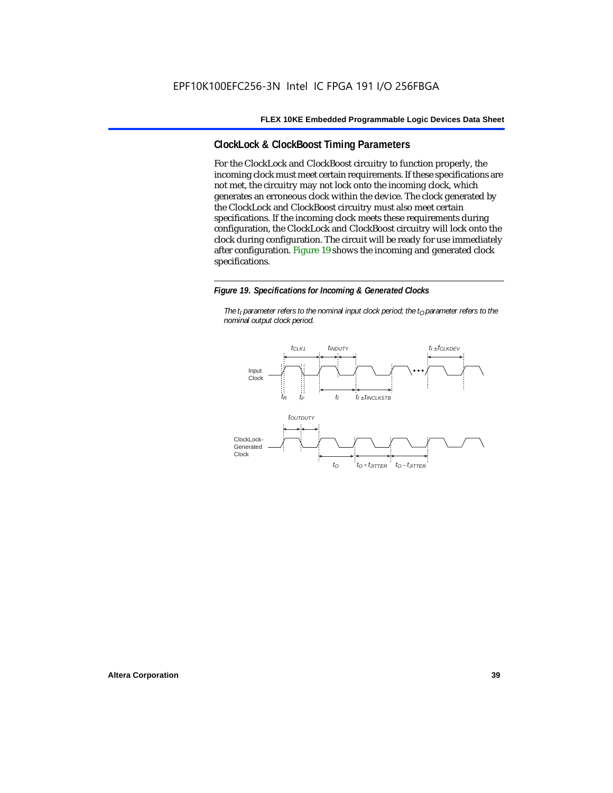# **ClockLock & ClockBoost Timing Parameters**

For the ClockLock and ClockBoost circuitry to function properly, the incoming clock must meet certain requirements. If these specifications are not met, the circuitry may not lock onto the incoming clock, which generates an erroneous clock within the device. The clock generated by the ClockLock and ClockBoost circuitry must also meet certain specifications. If the incoming clock meets these requirements during configuration, the ClockLock and ClockBoost circuitry will lock onto the clock during configuration. The circuit will be ready for use immediately after configuration. Figure 19 shows the incoming and generated clock specifications.

#### *Figure 19. Specifications for Incoming & Generated Clocks*

*The t<sub>I</sub> parameter refers to the nominal input clock period; the t<sub>0</sub> parameter refers to the nominal output clock period.*

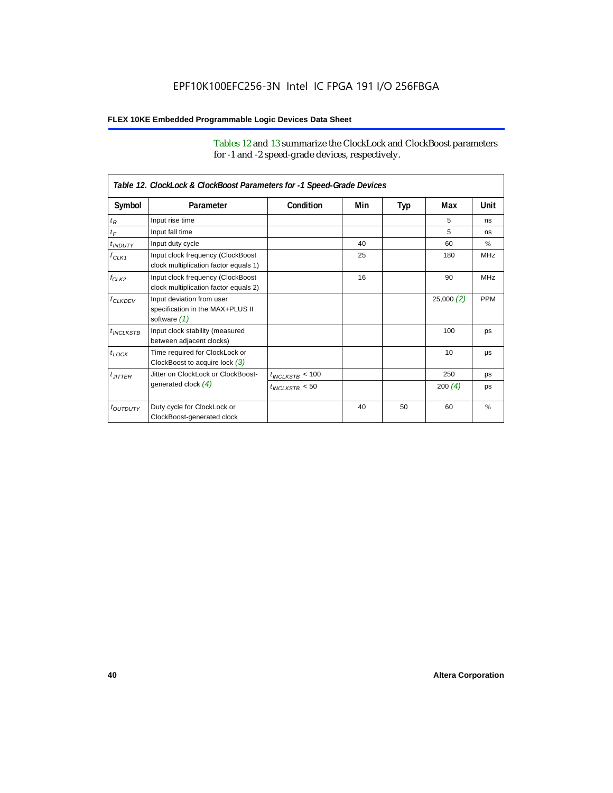Tables 12 and 13 summarize the ClockLock and ClockBoost parameters for -1 and -2 speed-grade devices, respectively.

| Table 12. ClockLock & ClockBoost Parameters for -1 Speed-Grade Devices |                                                                               |                      |     |     |                 |               |
|------------------------------------------------------------------------|-------------------------------------------------------------------------------|----------------------|-----|-----|-----------------|---------------|
| Symbol                                                                 | Parameter                                                                     | Condition            | Min | Typ | Max             | Unit          |
| $t_R$                                                                  | Input rise time                                                               |                      |     |     | 5               | ns            |
| $t_F$                                                                  | Input fall time                                                               |                      |     |     | 5               | ns            |
| $t$ <sub>INDUTY</sub>                                                  | Input duty cycle                                                              |                      | 40  |     | 60              | $\frac{9}{6}$ |
| $f_{CLK1}$                                                             | Input clock frequency (ClockBoost<br>clock multiplication factor equals 1)    |                      | 25  |     | 180             | <b>MHz</b>    |
| $f_{CLK2}$                                                             | Input clock frequency (ClockBoost<br>clock multiplication factor equals 2)    |                      | 16  |     | 90              | <b>MHz</b>    |
| $f_{CLKDEV}$                                                           | Input deviation from user<br>specification in the MAX+PLUS II<br>software (1) |                      |     |     | 25,000(2)       | <b>PPM</b>    |
| $t_{INCIKSTB}$                                                         | Input clock stability (measured<br>between adjacent clocks)                   |                      |     |     | 100             | ps            |
| $t_{LOCK}$                                                             | Time required for ClockLock or<br>ClockBoost to acquire lock $(3)$            |                      |     |     | 10 <sup>1</sup> | μs            |
| $t_{JITTER}$                                                           | Jitter on ClockLock or ClockBoost-                                            | $t_{INCLKSTB} < 100$ |     |     | 250             | ps            |
|                                                                        | generated clock $(4)$                                                         | $t_{INCLEKSTB}$ < 50 |     |     | 200(4)          | ps            |
| <i>toutbuty</i>                                                        | Duty cycle for ClockLock or<br>ClockBoost-generated clock                     |                      | 40  | 50  | 60              | $\frac{9}{6}$ |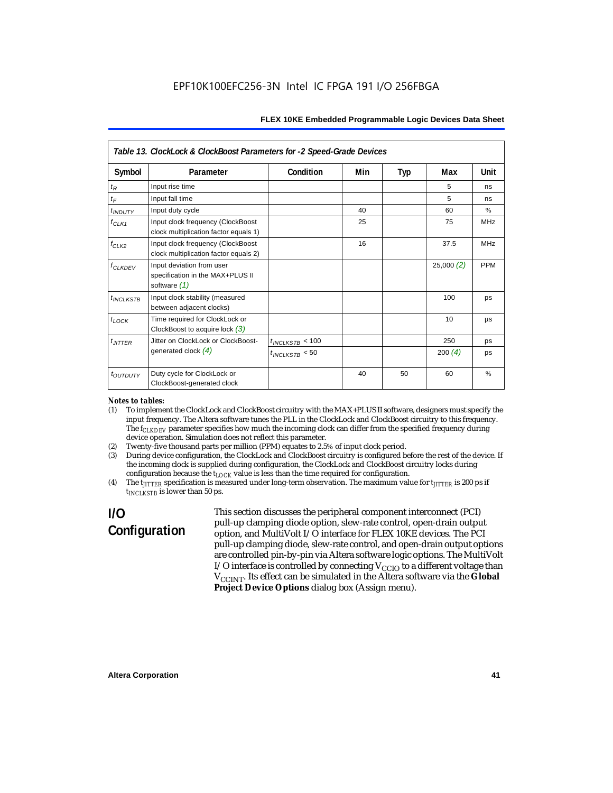|                                  | Table 13. ClockLock & ClockBoost Parameters for -2 Speed-Grade Devices          |                      |     |            |           |            |  |
|----------------------------------|---------------------------------------------------------------------------------|----------------------|-----|------------|-----------|------------|--|
| Symbol                           | Parameter                                                                       | Condition            | Min | <b>Typ</b> | Max       | Unit       |  |
| $t_{R}$                          | Input rise time                                                                 |                      |     |            | 5         | ns         |  |
| $t_F$                            | Input fall time                                                                 |                      |     |            | 5         | ns         |  |
| t <sub>INDUTY</sub>              | Input duty cycle                                                                |                      | 40  |            | 60        | $\%$       |  |
| $f_{CLK1}$                       | Input clock frequency (ClockBoost<br>clock multiplication factor equals 1)      |                      | 25  |            | 75        | <b>MHz</b> |  |
| $f_{CLK2}$                       | Input clock frequency (ClockBoost<br>clock multiplication factor equals 2)      |                      | 16  |            | 37.5      | <b>MHz</b> |  |
| $f_{\ensuremath{\text{CLKDFV}}}$ | Input deviation from user<br>specification in the MAX+PLUS II<br>software $(1)$ |                      |     |            | 25,000(2) | <b>PPM</b> |  |
| $t_{INCLKSTB}$                   | Input clock stability (measured<br>between adjacent clocks)                     |                      |     |            | 100       | ps         |  |
| $t_{LOCK}$                       | Time required for ClockLock or<br>ClockBoost to acquire lock $(3)$              |                      |     |            | 10        | μs         |  |
| $t_{JITTER}$                     | Jitter on ClockLock or ClockBoost-                                              | $t_{INCLKSTB}$ < 100 |     |            | 250       | ps         |  |
|                                  | generated clock $(4)$                                                           | $t_{INCLKSTB}$ < 50  |     |            | 200(4)    | ps         |  |
| <i>toutbuty</i>                  | Duty cycle for ClockLock or<br>ClockBoost-generated clock                       |                      | 40  | 50         | 60        | $\%$       |  |

#### *Notes to tables:*

- (1) To implement the ClockLock and ClockBoost circuitry with the MAX+PLUS II software, designers must specify the input frequency. The Altera software tunes the PLL in the ClockLock and ClockBoost circuitry to this frequency. The *f<sub>CLKDEV</sub>* parameter specifies how much the incoming clock can differ from the specified frequency during device operation. Simulation does not reflect this parameter.
- (2) Twenty-five thousand parts per million (PPM) equates to 2.5% of input clock period.<br>(3) During device configuration, the ClockLock and ClockBoost circuitry is configured b
- (3) During device configuration, the ClockLock and ClockBoost circuitry is configured before the rest of the device. If the incoming clock is supplied during configuration, the ClockLock and ClockBoost circuitry locks during configuration because the  $t_{LOCK}$  value is less than the time required for configuration.
- (4) The *tJITTER* specification is measured under long-term observation. The maximum value for *tJITTER* is 200 ps if  $t_{INCI KSTB}$  is lower than 50 ps.

# **I/O Configuration**

This section discusses the peripheral component interconnect (PCI) pull-up clamping diode option, slew-rate control, open-drain output option, and MultiVolt I/O interface for FLEX 10KE devices. The PCI pull-up clamping diode, slew-rate control, and open-drain output options are controlled pin-by-pin via Altera software logic options. The MultiVolt I/O interface is controlled by connecting  $V_{CCIO}$  to a different voltage than V<sub>CCINT</sub>. Its effect can be simulated in the Altera software via the Global **Project Device Options** dialog box (Assign menu).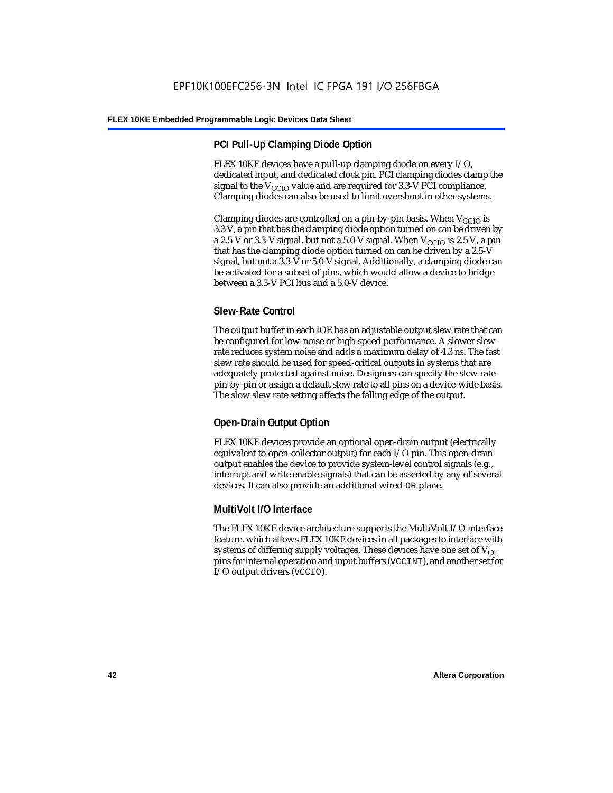# **PCI Pull-Up Clamping Diode Option**

FLEX 10KE devices have a pull-up clamping diode on every I/O, dedicated input, and dedicated clock pin. PCI clamping diodes clamp the signal to the  $V_{\text{CCIO}}$  value and are required for 3.3-V PCI compliance. Clamping diodes can also be used to limit overshoot in other systems.

Clamping diodes are controlled on a pin-by-pin basis. When  $V_{CCIO}$  is 3.3 V, a pin that has the clamping diode option turned on can be driven by a 2.5-V or 3.3-V signal, but not a 5.0-V signal. When  $V_{CCIO}$  is 2.5 V, a pin that has the clamping diode option turned on can be driven by a 2.5-V signal, but not a 3.3-V or 5.0-V signal. Additionally, a clamping diode can be activated for a subset of pins, which would allow a device to bridge between a 3.3-V PCI bus and a 5.0-V device.

# **Slew-Rate Control**

The output buffer in each IOE has an adjustable output slew rate that can be configured for low-noise or high-speed performance. A slower slew rate reduces system noise and adds a maximum delay of 4.3 ns. The fast slew rate should be used for speed-critical outputs in systems that are adequately protected against noise. Designers can specify the slew rate pin-by-pin or assign a default slew rate to all pins on a device-wide basis. The slow slew rate setting affects the falling edge of the output.

# **Open-Drain Output Option**

FLEX 10KE devices provide an optional open-drain output (electrically equivalent to open-collector output) for each I/O pin. This open-drain output enables the device to provide system-level control signals (e.g., interrupt and write enable signals) that can be asserted by any of several devices. It can also provide an additional wired-OR plane.

# **MultiVolt I/O Interface**

The FLEX 10KE device architecture supports the MultiVolt I/O interface feature, which allows FLEX 10KE devices in all packages to interface with systems of differing supply voltages. These devices have one set of  $V_{CC}$ pins for internal operation and input buffers (VCCINT), and another set for I/O output drivers (VCCIO).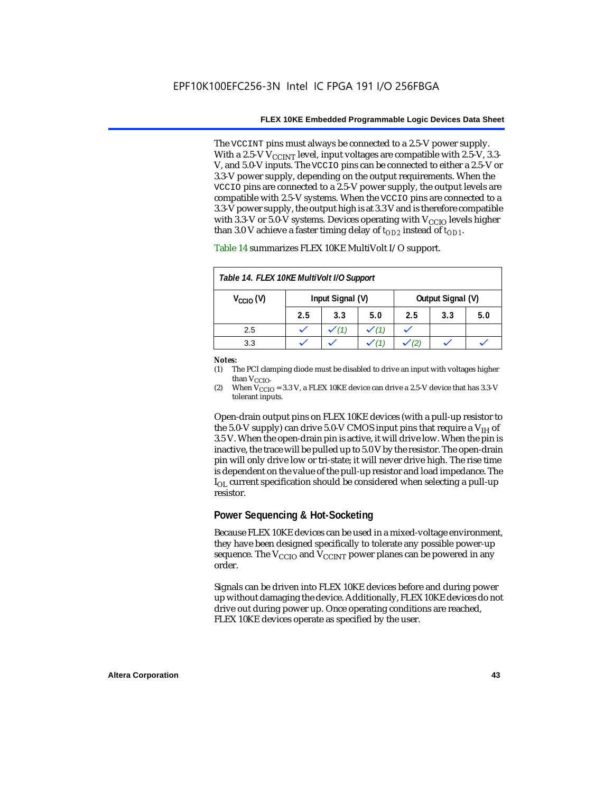The VCCINT pins must always be connected to a 2.5-V power supply. With a 2.5-V  $V_{CCMT}$  level, input voltages are compatible with 2.5-V, 3.3-V, and 5.0-V inputs. The VCCIO pins can be connected to either a 2.5-V or 3.3-V power supply, depending on the output requirements. When the VCCIO pins are connected to a 2.5-V power supply, the output levels are compatible with 2.5-V systems. When the VCCIO pins are connected to a 3.3-V power supply, the output high is at 3.3 V and is therefore compatible with 3.3-V or 5.0-V systems. Devices operating with  $V_{CCIO}$  levels higher than 3.0 V achieve a faster timing delay of  $t_{OD2}$  instead of  $t_{OD1}$ .

| Table 14. FLEX 10KE MultiVolt I/O Support |                  |     |     |                   |     |     |
|-------------------------------------------|------------------|-----|-----|-------------------|-----|-----|
| $V_{\text{CCIO}}(V)$                      | Input Signal (V) |     |     | Output Signal (V) |     |     |
|                                           | 2.5              | 3.3 | 5.0 | 2.5               | 3.3 | 5.0 |
| 2.5                                       |                  |     |     |                   |     |     |
| 3.3                                       |                  |     |     |                   |     |     |

Table 14 summarizes FLEX 10KE MultiVolt I/O support.

#### *Notes:*

(1) The PCI clamping diode must be disabled to drive an input with voltages higher than  $V_{CCIO}$ .

(2) When  $V_{\text{CCIO}} = 3.3$  V, a FLEX 10KE device can drive a 2.5-V device that has 3.3-V tolerant inputs.

Open-drain output pins on FLEX 10KE devices (with a pull-up resistor to the 5.0-V supply) can drive 5.0-V CMOS input pins that require a  $V_{\text{H}}$  of 3.5 V. When the open-drain pin is active, it will drive low. When the pin is inactive, the trace will be pulled up to 5.0 V by the resistor. The open-drain pin will only drive low or tri-state; it will never drive high. The rise time is dependent on the value of the pull-up resistor and load impedance. The  $I_{\text{OL}}$  current specification should be considered when selecting a pull-up resistor.

### **Power Sequencing & Hot-Socketing**

Because FLEX 10KE devices can be used in a mixed-voltage environment, they have been designed specifically to tolerate any possible power-up sequence. The  $V_{\text{CCIO}}$  and  $V_{\text{CCINT}}$  power planes can be powered in any order.

Signals can be driven into FLEX 10KE devices before and during power up without damaging the device. Additionally, FLEX 10KE devices do not drive out during power up. Once operating conditions are reached, FLEX 10KE devices operate as specified by the user.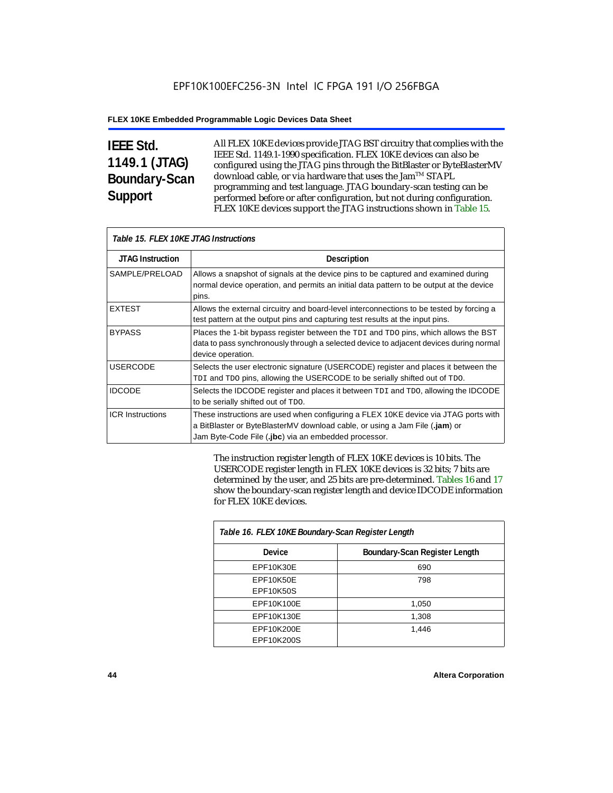# **IEEE Std. 1149.1 (JTAG) Boundary-Scan Support**

All FLEX 10KE devices provide JTAG BST circuitry that complies with the IEEE Std. 1149.1-1990 specification. FLEX 10KE devices can also be configured using the JTAG pins through the BitBlaster or ByteBlasterMV download cable, or via hardware that uses the Jam™ STAPL programming and test language. JTAG boundary-scan testing can be performed before or after configuration, but not during configuration. FLEX 10KE devices support the JTAG instructions shown in Table 15.

| Table 15. FLEX 10KE JTAG Instructions |                                                                                                                                                                                                                            |  |  |  |
|---------------------------------------|----------------------------------------------------------------------------------------------------------------------------------------------------------------------------------------------------------------------------|--|--|--|
| <b>JTAG Instruction</b>               | <b>Description</b>                                                                                                                                                                                                         |  |  |  |
| SAMPLE/PRELOAD                        | Allows a snapshot of signals at the device pins to be captured and examined during<br>normal device operation, and permits an initial data pattern to be output at the device<br>pins.                                     |  |  |  |
| <b>EXTEST</b>                         | Allows the external circuitry and board-level interconnections to be tested by forcing a<br>test pattern at the output pins and capturing test results at the input pins.                                                  |  |  |  |
| <b>BYPASS</b>                         | Places the 1-bit bypass register between the TDI and TDO pins, which allows the BST<br>data to pass synchronously through a selected device to adjacent devices during normal<br>device operation.                         |  |  |  |
| <b>USERCODE</b>                       | Selects the user electronic signature (USERCODE) register and places it between the<br>TDI and TDO pins, allowing the USERCODE to be serially shifted out of TDO.                                                          |  |  |  |
| <b>IDCODE</b>                         | Selects the IDCODE register and places it between TDI and TDO, allowing the IDCODE<br>to be serially shifted out of TDO.                                                                                                   |  |  |  |
| <b>ICR Instructions</b>               | These instructions are used when configuring a FLEX 10KE device via JTAG ports with<br>a BitBlaster or ByteBlasterMV download cable, or using a Jam File (.jam) or<br>Jam Byte-Code File (.jbc) via an embedded processor. |  |  |  |

The instruction register length of FLEX 10KE devices is 10 bits. The USERCODE register length in FLEX 10KE devices is 32 bits; 7 bits are determined by the user, and 25 bits are pre-determined. Tables 16 and 17 show the boundary-scan register length and device IDCODE information for FLEX 10KE devices.

| Table 16. FLEX 10KE Boundary-Scan Register Length |                               |  |  |
|---------------------------------------------------|-------------------------------|--|--|
| <b>Device</b>                                     | Boundary-Scan Register Length |  |  |
| EPF10K30E                                         | 690                           |  |  |
| EPF10K50E                                         | 798                           |  |  |
| <b>EPF10K50S</b>                                  |                               |  |  |
| EPF10K100E                                        | 1,050                         |  |  |
| EPF10K130E                                        | 1,308                         |  |  |
| EPF10K200E                                        | 1.446                         |  |  |
| EPF10K200S                                        |                               |  |  |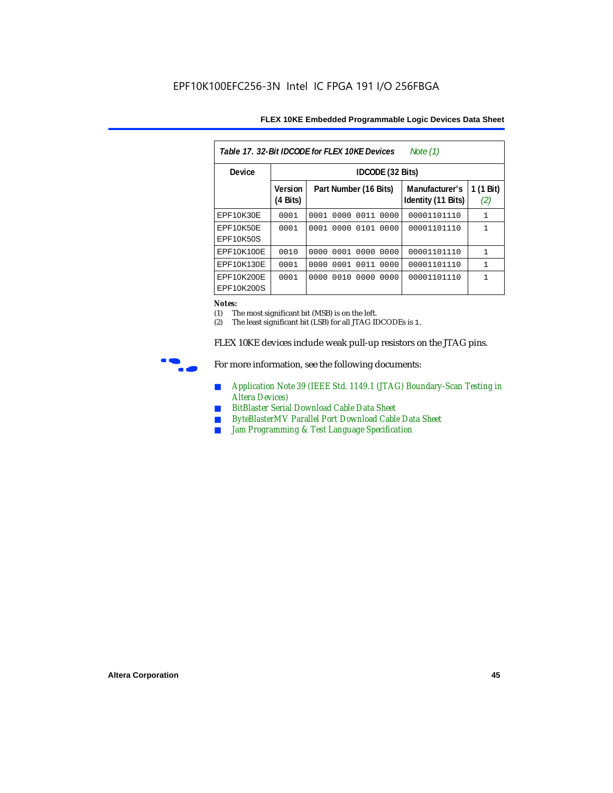| Table 17, 32-Bit IDCODE for FLEX 10KE Devices<br>Note (1) |                            |                              |                                      |                  |  |  |  |
|-----------------------------------------------------------|----------------------------|------------------------------|--------------------------------------|------------------|--|--|--|
| Device                                                    |                            | IDCODE (32 Bits)             |                                      |                  |  |  |  |
|                                                           | <b>Version</b><br>(4 Bits) | Part Number (16 Bits)        | Manufacturer's<br>Identity (11 Bits) | 1 (1 Bit)<br>(2) |  |  |  |
| EPF10K30E                                                 | 0001                       | 0001<br>0000<br>0011<br>0000 | 00001101110                          | $\mathbf{1}$     |  |  |  |
| EPF10K50E<br>EPF10K50S                                    | 0001                       | 0101<br>0000<br>0000<br>0001 | 00001101110                          | 1                |  |  |  |
| EPF10K100E                                                | 0010                       | 0000 0001 0000<br>0000       | 00001101110                          | $\mathbf{1}$     |  |  |  |
| EPF10K130E                                                | 0001                       | 0011<br>0001<br>0000<br>0000 | 00001101110                          | 1                |  |  |  |
| EPF10K200E<br>EPF10K200S                                  | 0001                       | 0010<br>0000<br>0000<br>0000 | 00001101110                          | 1                |  |  |  |

#### *Notes:*

(1) The most significant bit (MSB) is on the left.

(2) The least significant bit (LSB) for all JTAG IDCODEs is 1.

FLEX 10KE devices include weak pull-up resistors on the JTAG pins.



For more information, see the following documents:

- *Application Note 39 (IEEE Std. 1149.1 (JTAG) Boundary-Scan Testing in Altera Devices)*
- *BitBlaster Serial Download Cable Data Sheet*
- *ByteBlasterMV Parallel Port Download Cable Data Sheet*
- *Jam Programming & Test Language Specification*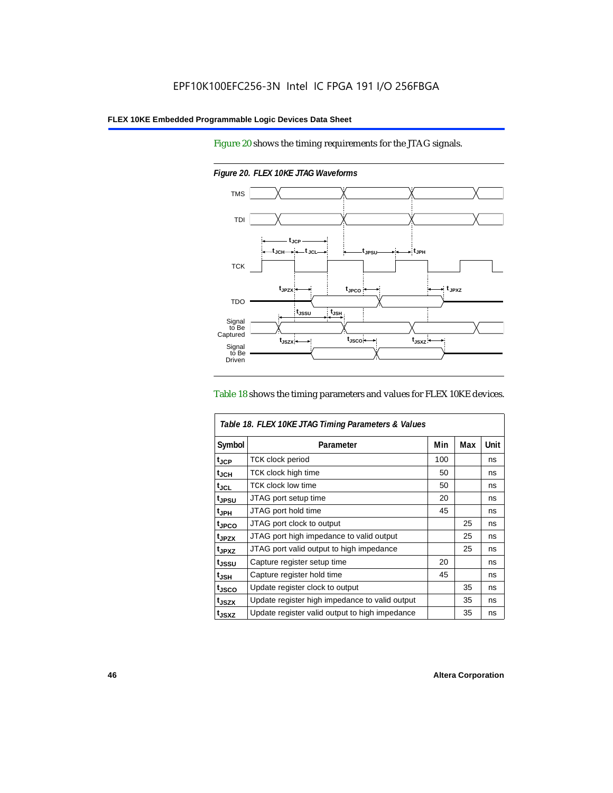Figure 20 shows the timing requirements for the JTAG signals.



*Figure 20. FLEX 10KE JTAG Waveforms*

#### Table 18 shows the timing parameters and values for FLEX 10KE devices.

|                    | Table 18. FLEX 10KE JTAG Timing Parameters & Values |     |     |      |  |
|--------------------|-----------------------------------------------------|-----|-----|------|--|
| Symbol             | Parameter                                           | Min | Max | Unit |  |
| t <sub>JCP</sub>   | <b>TCK clock period</b>                             | 100 |     | ns   |  |
| $t_{JCH}$          | TCK clock high time                                 | 50  |     | ns   |  |
| $t_{JCL}$          | TCK clock low time                                  | 50  |     | ns   |  |
| tjpsu              | JTAG port setup time                                | 20  |     | ns   |  |
| t <sub>JPH</sub>   | JTAG port hold time                                 | 45  |     | ns   |  |
| t <sub>JPCO</sub>  | JTAG port clock to output                           |     | 25  | ns   |  |
| t <sub>.IPZX</sub> | JTAG port high impedance to valid output            |     | 25  | ns   |  |
| t <sub>JPXZ</sub>  | JTAG port valid output to high impedance            |     | 25  | ns   |  |
| tjssu              | Capture register setup time                         | 20  |     | ns   |  |
| $t_{JSH}$          | Capture register hold time                          | 45  |     | ns   |  |
| tjsco              | Update register clock to output                     |     | 35  | ns   |  |
| t <sub>JSZX</sub>  | Update register high impedance to valid output      |     | 35  | ns   |  |
| t <sub>JSXZ</sub>  | Update register valid output to high impedance      |     | 35  | ns   |  |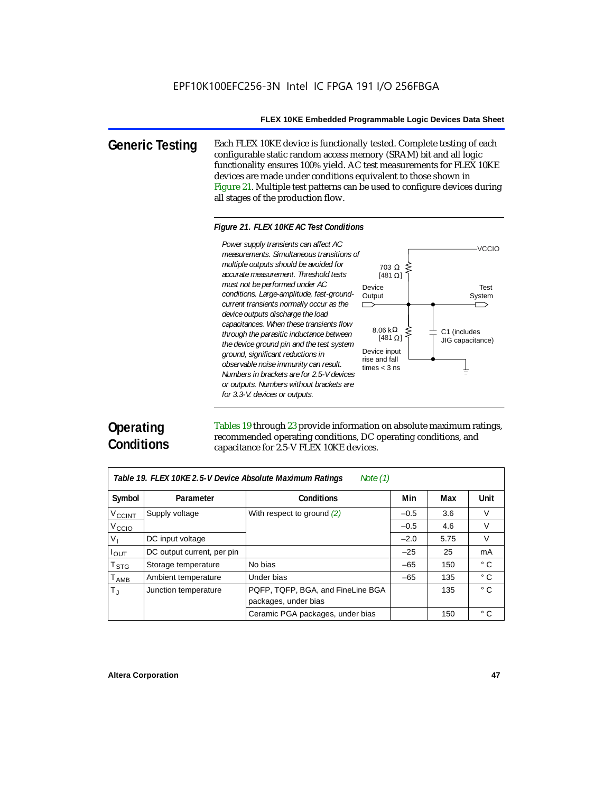703 Ω

[481 $\Omega$ ]

 $[481 \Omega]$ 

**Generic Testing** Each FLEX 10KE device is functionally tested. Complete testing of each configurable static random access memory (SRAM) bit and all logic functionality ensures 100% yield. AC test measurements for FLEX 10KE devices are made under conditions equivalent to those shown in Figure 21. Multiple test patterns can be used to configure devices during all stages of the production flow.

#### *Figure 21. FLEX 10KE AC Test Conditions*

Power supply transients can affect AC *Power supply transients can affect AC measurements. Simultaneous transitions of multiple outputs should be avoided for accurate measurement. Threshold tests must not be performed under AC*  Device *conditions. Large-amplitude, fast-ground-***Output** *current transients normally occur as the*   $\Box$ *device outputs discharge the load capacitances. When these transients flow*  8.06 kΩ *through the parasitic inductance between the device ground pin and the test system*  Device input *ground, significant reductions in*  rise and fall *observable noise immunity can result.*  times < 3 ns *Numbers in brackets are for 2.5-V devices or outputs. Numbers without brackets are for 3.3-V. devices or outputs.*

# **Operating Conditions**

Tables 19 through 23 provide information on absolute maximum ratings, recommended operating conditions, DC operating conditions, and capacitance for 2.5-V FLEX 10KE devices.

| Table 19. FLEX 10KE 2.5-V Device Absolute Maximum Ratings<br>Note $(1)$ |                            |                                                           |        |      |              |  |
|-------------------------------------------------------------------------|----------------------------|-----------------------------------------------------------|--------|------|--------------|--|
| Symbol                                                                  | Parameter                  | <b>Conditions</b>                                         | Min    | Max  | <b>Unit</b>  |  |
| $V_{\text{CCINT}}$                                                      | Supply voltage             | With respect to ground (2)                                | $-0.5$ | 3.6  | $\vee$       |  |
| V <sub>CCIO</sub>                                                       |                            |                                                           | $-0.5$ | 4.6  | V            |  |
| $V_{I}$                                                                 | DC input voltage           |                                                           | $-2.0$ | 5.75 | $\vee$       |  |
| $I_{\text{OUT}}$                                                        | DC output current, per pin |                                                           | $-25$  | 25   | mA           |  |
| $T_{\tt STG}$                                                           | Storage temperature        | No bias                                                   | $-65$  | 150  | $^{\circ}$ C |  |
| $T_{AMB}$                                                               | Ambient temperature        | Under bias                                                | $-65$  | 135  | $^{\circ}$ C |  |
| $T_{\rm J}$                                                             | Junction temperature       | PQFP, TQFP, BGA, and FineLine BGA<br>packages, under bias |        | 135  | $^{\circ}$ C |  |
|                                                                         |                            | Ceramic PGA packages, under bias                          |        | 150  | $^{\circ}$ C |  |

Test System

C1 (includes JIG capacitance)

╧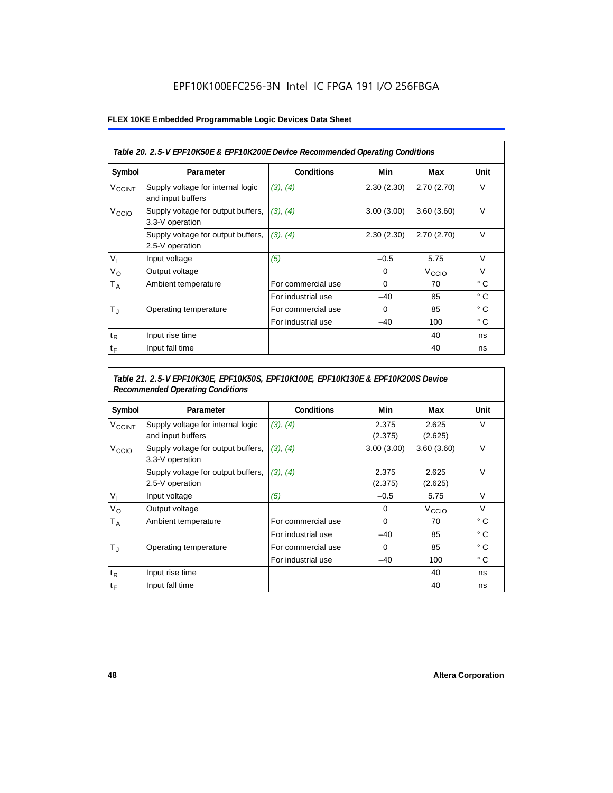# EPF10K100EFC256-3N Intel IC FPGA 191 I/O 256FBGA

#### **FLEX 10KE Embedded Programmable Logic Devices Data Sheet**

| Table 20. 2.5-V EPF10K50E & EPF10K200E Device Recommended Operating Conditions |                                                        |                    |            |                   |              |  |
|--------------------------------------------------------------------------------|--------------------------------------------------------|--------------------|------------|-------------------|--------------|--|
| Symbol                                                                         | Parameter                                              | <b>Conditions</b>  | Min        | Max               | Unit         |  |
| <b>V<sub>CCINT</sub></b>                                                       | Supply voltage for internal logic<br>and input buffers | (3), (4)           | 2.30(2.30) | 2.70(2.70)        | $\vee$       |  |
| V <sub>CCIO</sub>                                                              | Supply voltage for output buffers,<br>3.3-V operation  | (3), (4)           | 3.00(3.00) | 3.60(3.60)        | $\vee$       |  |
|                                                                                | Supply voltage for output buffers,<br>2.5-V operation  | (3), (4)           | 2.30(2.30) | 2.70(2.70)        | $\vee$       |  |
| $V_{1}$                                                                        | Input voltage                                          | (5)                | $-0.5$     | 5.75              | $\vee$       |  |
| $V_{\rm O}$                                                                    | Output voltage                                         |                    | 0          | V <sub>CCIO</sub> | $\vee$       |  |
| Т <sub>А</sub>                                                                 | Ambient temperature                                    | For commercial use | $\Omega$   | 70                | ° C          |  |
|                                                                                |                                                        | For industrial use | $-40$      | 85                | $^{\circ}$ C |  |
| $T_{\rm J}$                                                                    | Operating temperature                                  | For commercial use | $\Omega$   | 85                | °C           |  |
|                                                                                |                                                        | For industrial use | $-40$      | 100               | $^{\circ}$ C |  |
| $t_{R}$                                                                        | Input rise time                                        |                    |            | 40                | ns           |  |
| $t_F$                                                                          | Input fall time                                        |                    |            | 40                | ns           |  |

### *Table 21. 2.5-V EPF10K30E, EPF10K50S, EPF10K100E, EPF10K130E & EPF10K200S Device Recommended Operating Conditions*

| Symbol                   | Parameter                                              | <b>Conditions</b>  | Min              | Max               | Unit         |
|--------------------------|--------------------------------------------------------|--------------------|------------------|-------------------|--------------|
| <b>V<sub>CCINT</sub></b> | Supply voltage for internal logic<br>and input buffers | (3), (4)           | 2.375<br>(2.375) | 2.625<br>(2.625)  | $\vee$       |
| V <sub>CCIO</sub>        | Supply voltage for output buffers,<br>3.3-V operation  | (3), (4)           | 3.00(3.00)       | 3.60(3.60)        | $\vee$       |
|                          | Supply voltage for output buffers,<br>2.5-V operation  | (3), (4)           | 2.375<br>(2.375) | 2.625<br>(2.625)  | $\vee$       |
| $V_{1}$                  | Input voltage                                          | (5)                | $-0.5$           | 5.75              | $\vee$       |
| $V_{\rm O}$              | Output voltage                                         |                    | 0                | V <sub>CCIO</sub> | $\vee$       |
| $T_A$                    | Ambient temperature                                    | For commercial use | 0                | 70                | ° C          |
|                          |                                                        | For industrial use | $-40$            | 85                | $^{\circ}$ C |
| $T_{\rm J}$              | Operating temperature                                  | For commercial use | $\mathbf 0$      | 85                | °C           |
|                          |                                                        | For industrial use | $-40$            | 100               | $^{\circ}$ C |
| $t_{R}$                  | Input rise time                                        |                    |                  | 40                | ns           |
| $t_F$                    | Input fall time                                        |                    |                  | 40                | ns           |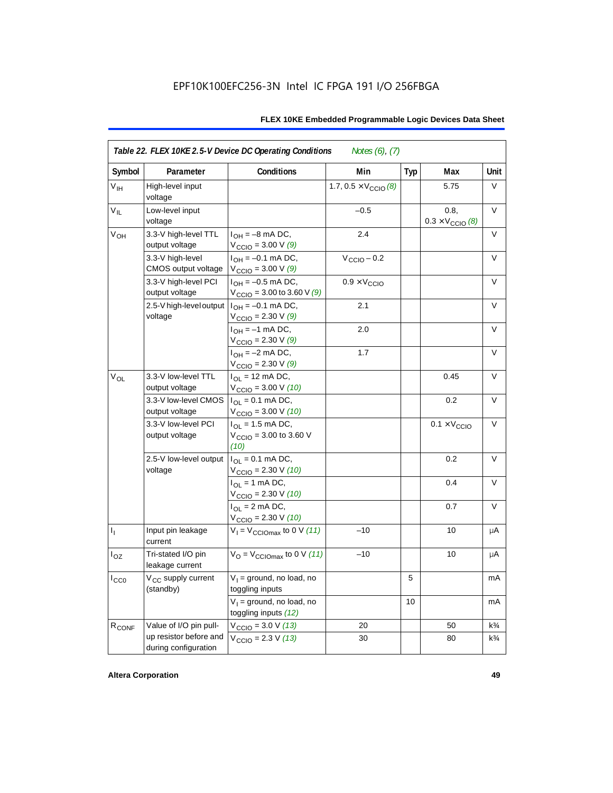| Symbol            | Parameter                                      | Conditions                                                             | Min                                   | <b>Typ</b> | Max                                      | Unit           |
|-------------------|------------------------------------------------|------------------------------------------------------------------------|---------------------------------------|------------|------------------------------------------|----------------|
| V <sub>IH</sub>   | High-level input<br>voltage                    |                                                                        | 1.7, $0.5 \times V_{\text{CCIO}}$ (8) |            | 5.75                                     | V              |
| $V_{IL}$          | Low-level input<br>voltage                     |                                                                        | $-0.5$                                |            | 0.8,<br>$0.3 \times V_{\text{CCIO}}$ (8) | V              |
| $V_{OH}$          | 3.3-V high-level TTL<br>output voltage         | $I_{OH} = -8$ mA DC,<br>$V_{\text{CCIO}} = 3.00 V(9)$                  | 2.4                                   |            |                                          | V              |
|                   | 3.3-V high-level<br>CMOS output voltage        | $I_{OH} = -0.1$ mA DC,<br>$V_{\text{CCIO}} = 3.00 V(9)$                | $V_{\text{CCIO}} - 0.2$               |            |                                          | V              |
|                   | 3.3-V high-level PCI<br>output voltage         | $I_{OH} = -0.5$ mA DC,<br>$V_{\text{CCIO}} = 3.00$ to 3.60 V (9)       | $0.9 \times V_{\text{CCIO}}$          |            |                                          | $\vee$         |
|                   | 2.5-V high-level output<br>voltage             | $I_{OH} = -0.1$ mA DC,<br>$V_{\text{CCIO}} = 2.30 \text{ V } (9)$      | 2.1                                   |            |                                          | V              |
|                   |                                                | $I_{OH} = -1$ mA DC,<br>$V_{\text{CCIO}} = 2.30 \text{ V} (9)$         | 2.0                                   |            |                                          | V              |
|                   |                                                | $I_{OH} = -2$ mA DC,<br>$V_{\text{CCIO}} = 2.30 \text{ V} (9)$         | 1.7                                   |            |                                          | V              |
| $V_{OL}$          | 3.3-V low-level TTL<br>output voltage          | $I_{OL}$ = 12 mA DC,<br>$V_{\text{CCIO}} = 3.00 V (10)$                |                                       |            | 0.45                                     | $\vee$         |
|                   | 3.3-V low-level CMOS<br>output voltage         | $I_{OL} = 0.1$ mA DC,<br>$V_{\text{CCIO}} = 3.00 V (10)$               |                                       |            | 0.2                                      | V              |
|                   | 3.3-V low-level PCI<br>output voltage          | $I_{OL}$ = 1.5 mA DC,<br>$V_{\text{CCIO}} = 3.00$ to 3.60 V<br>(10)    |                                       |            | $0.1 \times V_{\text{CCIO}}$             | $\vee$         |
|                   | 2.5-V low-level output<br>voltage              | $I_{\Omega I} = 0.1$ mA DC,<br>$V_{\text{CCIO}} = 2.30 V (10)$         |                                       |            | 0.2                                      | V              |
|                   |                                                | $I_{\text{OI}} = 1 \text{ mA DC}$ ,<br>$V_{\text{CCIO}} = 2.30 V (10)$ |                                       |            | 0.4                                      | V              |
|                   |                                                | $I_{OL}$ = 2 mA DC,<br>$V_{\text{CCIO}} = 2.30 V (10)$                 |                                       |            | 0.7                                      | V              |
| $I_1$             | Input pin leakage<br>current                   | $V_1 = V_{\text{CCIOMAX}}$ to 0 V (11)                                 | $-10$                                 |            | 10                                       | μA             |
| $I_{OZ}$          | Tri-stated I/O pin<br>leakage current          | $V_{\text{O}} = V_{\text{CCIOMax}}$ to 0 V (11)                        | $-10$                                 |            | 10                                       | μA             |
| $I_{CC0}$         | V <sub>CC</sub> supply current<br>(standby)    | $V_1$ = ground, no load, no<br>toggling inputs                         |                                       | 5          |                                          | mA             |
|                   |                                                | $V_1$ = ground, no load, no<br>toggling inputs (12)                    |                                       | 10         |                                          | mA             |
| R <sub>CONF</sub> | Value of I/O pin pull-                         | $V_{\text{CCIO}} = 3.0 V (13)$                                         | 20                                    |            | 50                                       | $k\frac{3}{4}$ |
|                   | up resistor before and<br>during configuration | $V_{\text{CCIO}} = 2.3 V (13)$                                         | 30                                    |            | 80                                       | $k\frac{3}{4}$ |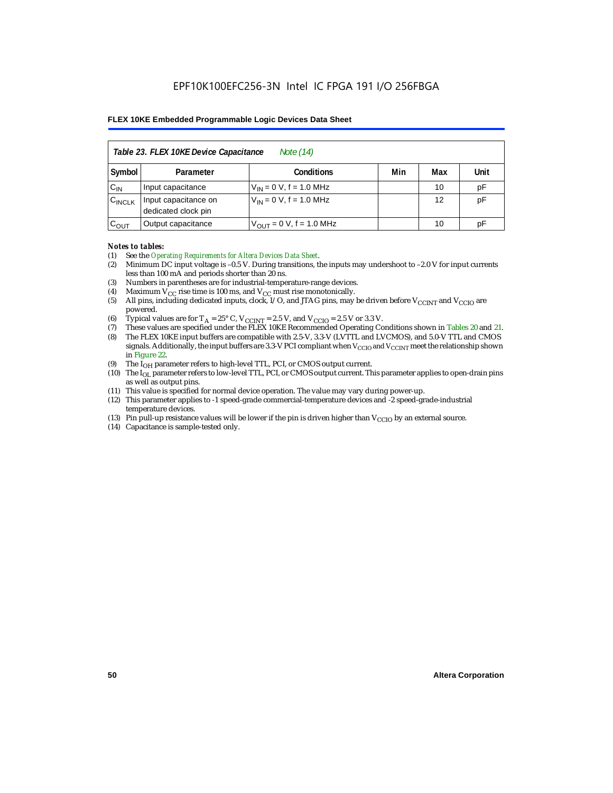| Table 23. FLEX 10KE Device Capacitance<br>Note (14) |                                                      |                              |  |    |    |  |  |  |
|-----------------------------------------------------|------------------------------------------------------|------------------------------|--|----|----|--|--|--|
| Symbol                                              | Min<br>Unit<br><b>Conditions</b><br>Max<br>Parameter |                              |  |    |    |  |  |  |
| $C_{IN}$                                            | Input capacitance                                    | $V_{IN} = 0 V$ , f = 1.0 MHz |  | 10 | pF |  |  |  |
| $C_{\text{INCLK}}$                                  | Input capacitance on<br>dedicated clock pin          | $V_{IN} = 0 V$ , f = 1.0 MHz |  | 12 | pF |  |  |  |
| $C_{OUT}$                                           | Output capacitance                                   | $V_{OUT} = 0 V, f = 1.0 MHz$ |  | 10 | рF |  |  |  |

#### *Notes to tables:*

- (1) See the *Operating Requirements for Altera Devices Data Sheet*.
- (2) Minimum DC input voltage is –0.5 V. During transitions, the inputs may undershoot to –2.0 V for input currents less than 100 mA and periods shorter than 20 ns.
- (3) Numbers in parentheses are for industrial-temperature-range devices.
- (4) Maximum  $V_{CC}$  rise time is 100 ms, and  $V_{CC}$  must rise monotonically.<br>(5) All pins, including dedicated inputs, clock, I/O, and JTAG pins, may
- All pins, including dedicated inputs, clock, I/O, and JTAG pins, may be driven before  $V_{CCTNT}$  and  $V_{CCTO}$  are powered.
- (6) Typical values are for  $T_A = 25^\circ$  C,  $V_{CClNT} = 2.5$  V, and  $V_{CClO} = 2.5$  V or 3.3 V.<br>(7) These values are specified under the FLEX 10KE Recommended Operating Co
- (7) These values are specified under the FLEX 10KE Recommended Operating Conditions shown in Tables 20 and 21.<br>(8) The FLEX 10KE input buffers are compatible with 2.5-V. 3.3-V (LVTTL and LVCMOS), and 5.0-V TTL and CMOS (8) The FLEX 10KE input buffers are compatible with 2.5-V, 3.3-V (LVTTL and LVCMOS), and 5.0-V TTL and CMOS
- signals. Additionally, the input buffers are 3.3-V PCI compliant when  $V_{CCIO}$  and  $V_{CCIVT}$  meet the relationship shown in Figure 22.
- (9) The  $I<sub>OH</sub>$  parameter refers to high-level TTL, PCI, or CMOS output current.
- (10) The IOL parameter refers to low-level TTL, PCI, or CMOS output current. This parameter applies to open-drain pins as well as output pins.
- (11) This value is specified for normal device operation. The value may vary during power-up.
- (12) This parameter applies to -1 speed-grade commercial-temperature devices and -2 speed-grade-industrial temperature devices.
- (13) Pin pull-up resistance values will be lower if the pin is driven higher than  $V_{CCIO}$  by an external source.
- (14) Capacitance is sample-tested only.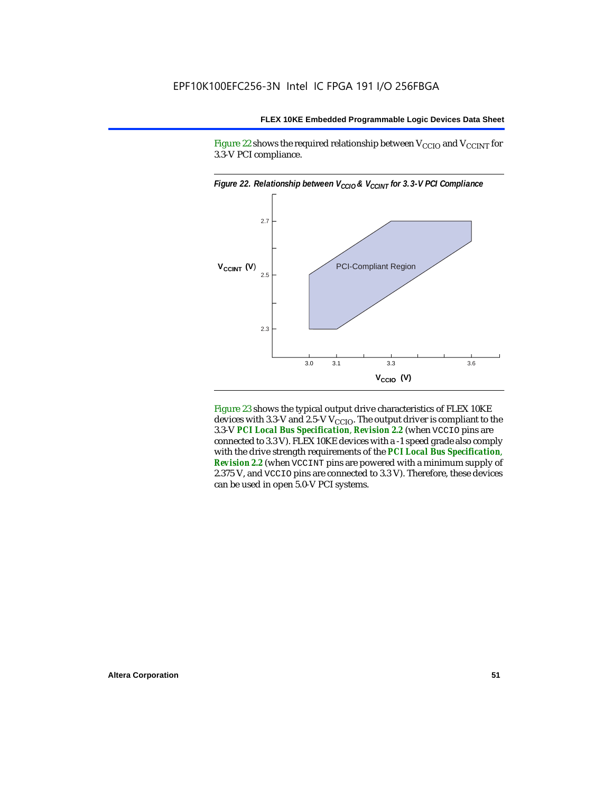Figure 22 shows the required relationship between  $V_{\text{CCIO}}$  and  $V_{\text{CCINT}}$  for 3.3-V PCI compliance.



Figure 23 shows the typical output drive characteristics of FLEX 10KE devices with 3.3-V and 2.5-V  $V_{\text{CCIO}}$ . The output driver is compliant to the 3.3-V *PCI Local Bus Specification*, *Revision 2.2* (when VCCIO pins are connected to 3.3 V). FLEX 10KE devices with a -1 speed grade also comply with the drive strength requirements of the *PCI Local Bus Specification*, *Revision 2.2* (when VCCINT pins are powered with a minimum supply of 2.375 V, and VCCIO pins are connected to 3.3 V). Therefore, these devices can be used in open 5.0-V PCI systems.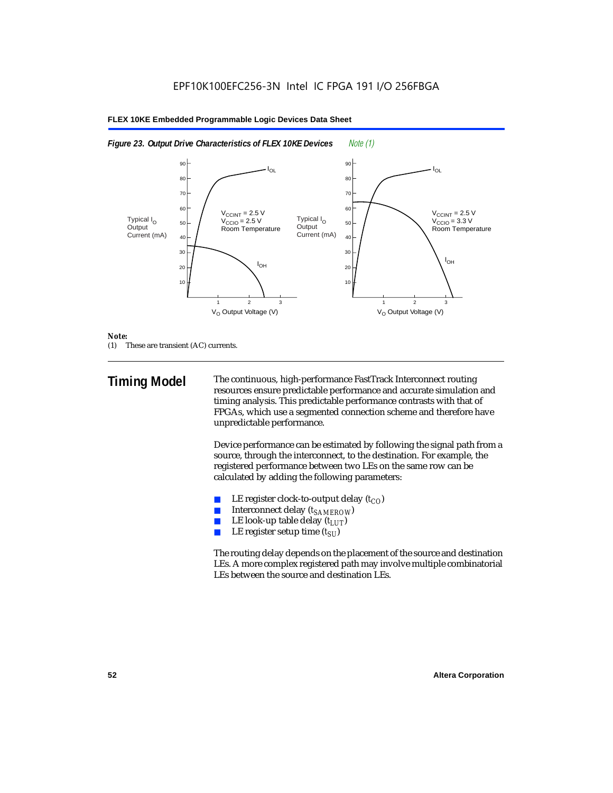



#### *Note:*

(1) These are transient (AC) currents.

**Timing Model** The continuous, high-performance FastTrack Interconnect routing resources ensure predictable performance and accurate simulation and timing analysis. This predictable performance contrasts with that of FPGAs, which use a segmented connection scheme and therefore have unpredictable performance.

> Device performance can be estimated by following the signal path from a source, through the interconnect, to the destination. For example, the registered performance between two LEs on the same row can be calculated by adding the following parameters:

- LE register clock-to-output delay  $(t_{CO})$
- **■** Interconnect delay  $(t_{SAMEROW})$ <br> **■** I.E look-up table delay  $(t_{LUT})$
- LE look-up table delay  $(t_{LUT})$
- LE register setup time  $(t_{SI})$

The routing delay depends on the placement of the source and destination LEs. A more complex registered path may involve multiple combinatorial LEs between the source and destination LEs.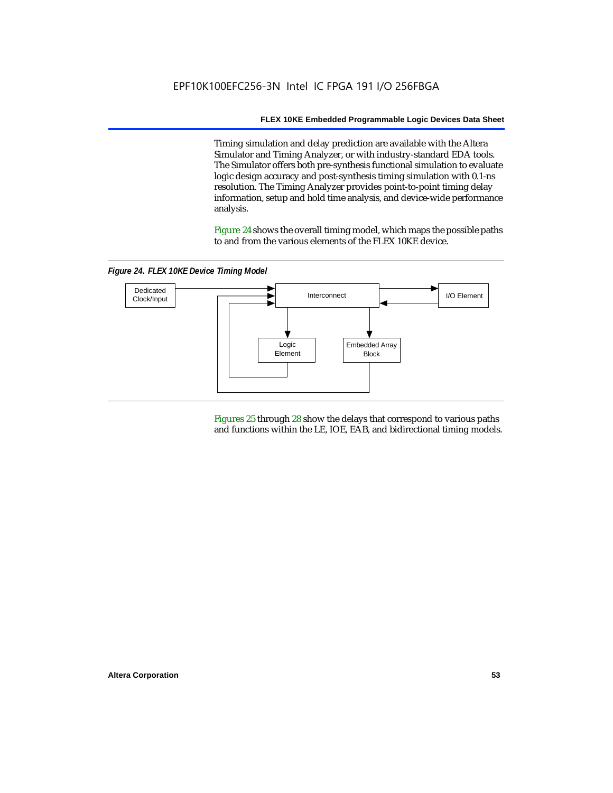Timing simulation and delay prediction are available with the Altera Simulator and Timing Analyzer, or with industry-standard EDA tools. The Simulator offers both pre-synthesis functional simulation to evaluate logic design accuracy and post-synthesis timing simulation with 0.1-ns resolution. The Timing Analyzer provides point-to-point timing delay information, setup and hold time analysis, and device-wide performance analysis.

Figure 24 shows the overall timing model, which maps the possible paths to and from the various elements of the FLEX 10KE device.

*Figure 24. FLEX 10KE Device Timing Model*



Figures 25 through 28 show the delays that correspond to various paths and functions within the LE, IOE, EAB, and bidirectional timing models.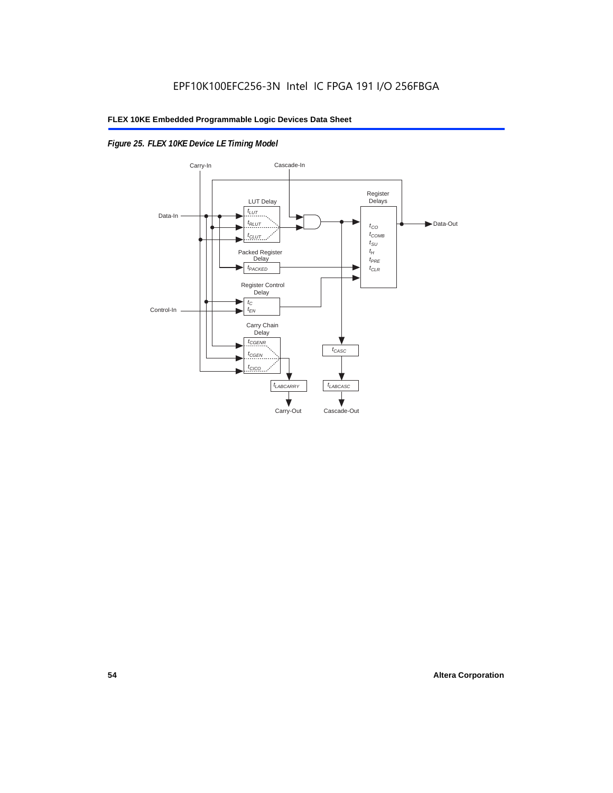# *Figure 25. FLEX 10KE Device LE Timing Model*

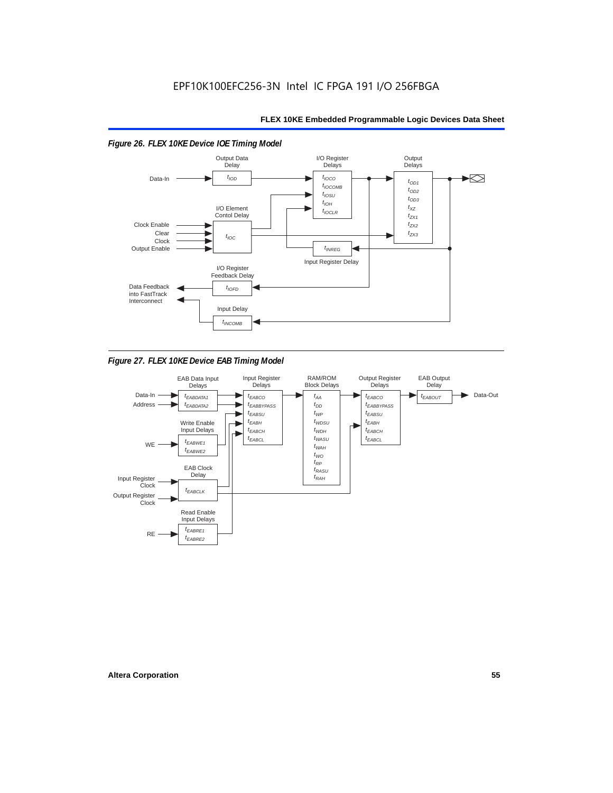

*Figure 27. FLEX 10KE Device EAB Timing Model*

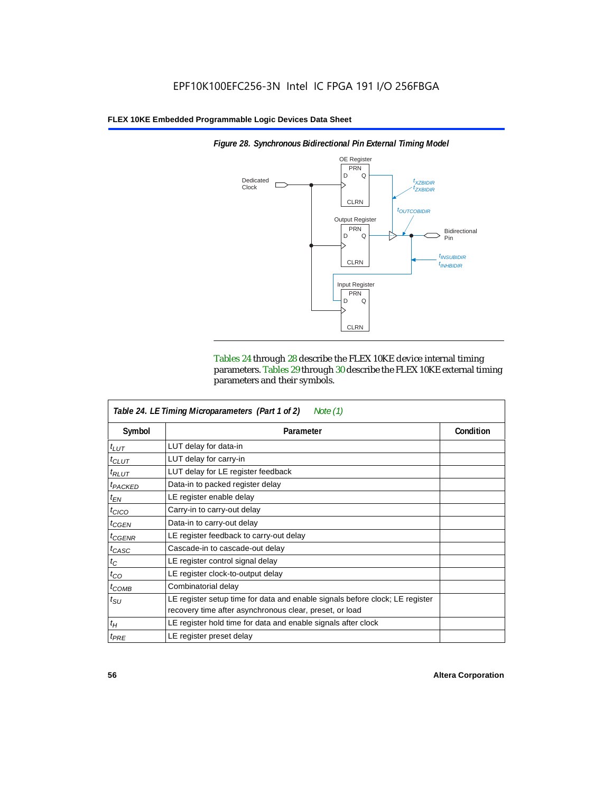

*Figure 28. Synchronous Bidirectional Pin External Timing Model*

Tables 24 through 28 describe the FLEX 10KE device internal timing parameters. Tables 29 through 30 describe the FLEX 10KE external timing parameters and their symbols.

| Table 24. LE Timing Microparameters (Part 1 of 2)<br>Note $(1)$ |                                                                                                                                         |           |  |  |  |
|-----------------------------------------------------------------|-----------------------------------------------------------------------------------------------------------------------------------------|-----------|--|--|--|
| Symbol                                                          | Parameter                                                                                                                               | Condition |  |  |  |
| $t_{LUT}$                                                       | LUT delay for data-in                                                                                                                   |           |  |  |  |
| $t_{CLUT}$                                                      | LUT delay for carry-in                                                                                                                  |           |  |  |  |
| $t_{RLUT}$                                                      | LUT delay for LE register feedback                                                                                                      |           |  |  |  |
| <sup>t</sup> PACKED                                             | Data-in to packed register delay                                                                                                        |           |  |  |  |
| $t_{EN}$                                                        | LE register enable delay                                                                                                                |           |  |  |  |
| $t_{CICO}$                                                      | Carry-in to carry-out delay                                                                                                             |           |  |  |  |
| $t_{GEN}$                                                       | Data-in to carry-out delay                                                                                                              |           |  |  |  |
| ${}^{t}$ CGENR                                                  | LE register feedback to carry-out delay                                                                                                 |           |  |  |  |
| $t_{CASC}$                                                      | Cascade-in to cascade-out delay                                                                                                         |           |  |  |  |
| $t_C$                                                           | LE register control signal delay                                                                                                        |           |  |  |  |
| $t_{CO}$                                                        | LE register clock-to-output delay                                                                                                       |           |  |  |  |
| $t_{COMB}$                                                      | Combinatorial delay                                                                                                                     |           |  |  |  |
| $t_{\rm SU}$                                                    | LE register setup time for data and enable signals before clock; LE register<br>recovery time after asynchronous clear, preset, or load |           |  |  |  |
| $t_H$                                                           | LE register hold time for data and enable signals after clock                                                                           |           |  |  |  |
| $t_{PRE}$                                                       | LE register preset delay                                                                                                                |           |  |  |  |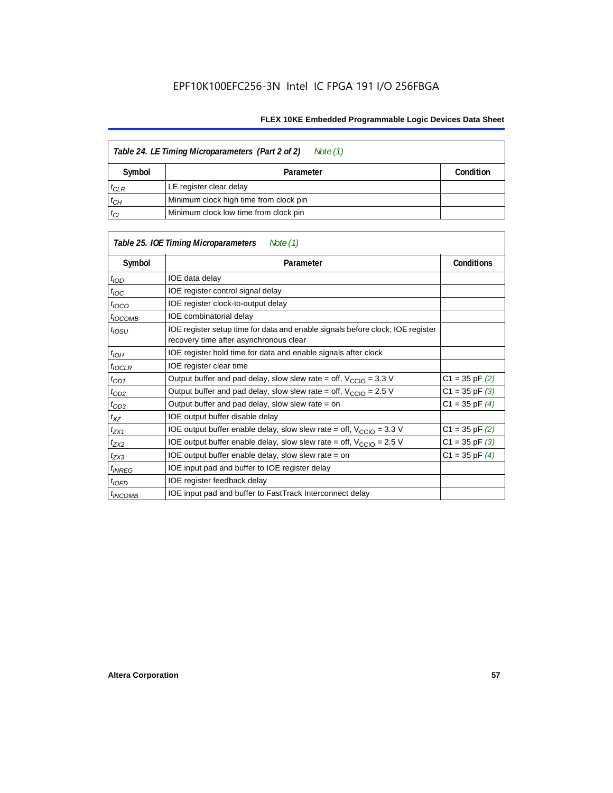| Table 24. LE Timing Microparameters (Part 2 of 2)<br>Note (1) |                                        |  |  |  |  |
|---------------------------------------------------------------|----------------------------------------|--|--|--|--|
| Symbol                                                        | Condition<br>Parameter                 |  |  |  |  |
| $t_{CLR}$                                                     | LE register clear delay                |  |  |  |  |
| $t_{CH}$                                                      | Minimum clock high time from clock pin |  |  |  |  |
| $t_{CL}$                                                      | Minimum clock low time from clock pin  |  |  |  |  |

| Table 25. IOE Timing Microparameters<br>Note (1) |                                                                                                                          |                    |  |  |  |  |
|--------------------------------------------------|--------------------------------------------------------------------------------------------------------------------------|--------------------|--|--|--|--|
| Symbol                                           | Parameter                                                                                                                | <b>Conditions</b>  |  |  |  |  |
| $t$ <sub>IOD</sub>                               | IOE data delay                                                                                                           |                    |  |  |  |  |
| $t_{\text{IOC}}$                                 | IOE register control signal delay                                                                                        |                    |  |  |  |  |
| $t_{\text{IOCO}}$                                | IOE register clock-to-output delay                                                                                       |                    |  |  |  |  |
| <sup>t</sup> IOCOMB                              | IOE combinatorial delay                                                                                                  |                    |  |  |  |  |
| t <sub>iosu</sub>                                | IOE register setup time for data and enable signals before clock; IOE register<br>recovery time after asynchronous clear |                    |  |  |  |  |
| t <sub>IOH</sub>                                 | IOE register hold time for data and enable signals after clock                                                           |                    |  |  |  |  |
| $t_{IOCLR}$                                      | IOE register clear time                                                                                                  |                    |  |  |  |  |
| $t_{OD1}$                                        | Output buffer and pad delay, slow slew rate = off, $V_{CClO}$ = 3.3 V                                                    | $C1 = 35$ pF $(2)$ |  |  |  |  |
| $t_{OD2}$                                        | Output buffer and pad delay, slow slew rate = off, $V_{\text{CCIO}} = 2.5$ V                                             | $C1 = 35$ pF $(3)$ |  |  |  |  |
| $t_{OD3}$                                        | Output buffer and pad delay, slow slew rate $=$ on                                                                       | $C1 = 35$ pF $(4)$ |  |  |  |  |
| $t_{XZ}$                                         | IOE output buffer disable delay                                                                                          |                    |  |  |  |  |
| $t_{ZX1}$                                        | IOE output buffer enable delay, slow slew rate = off, $V_{\text{CCIO}} = 3.3 \text{ V}$                                  | $C1 = 35$ pF $(2)$ |  |  |  |  |
| t <sub>ZX2</sub>                                 | IOE output buffer enable delay, slow slew rate = off, $V_{\text{CCIO}} = 2.5 V$                                          | $C1 = 35$ pF $(3)$ |  |  |  |  |
| $t_{ZX3}$                                        | IOE output buffer enable delay, slow slew rate $=$ on                                                                    | $C1 = 35$ pF $(4)$ |  |  |  |  |
| <i>t<sub>INREG</sub></i>                         | IOE input pad and buffer to IOE register delay                                                                           |                    |  |  |  |  |
| $t_{IOFD}$                                       | IOE register feedback delay                                                                                              |                    |  |  |  |  |
| $t_{INCOMB}$                                     | IOE input pad and buffer to FastTrack Interconnect delay                                                                 |                    |  |  |  |  |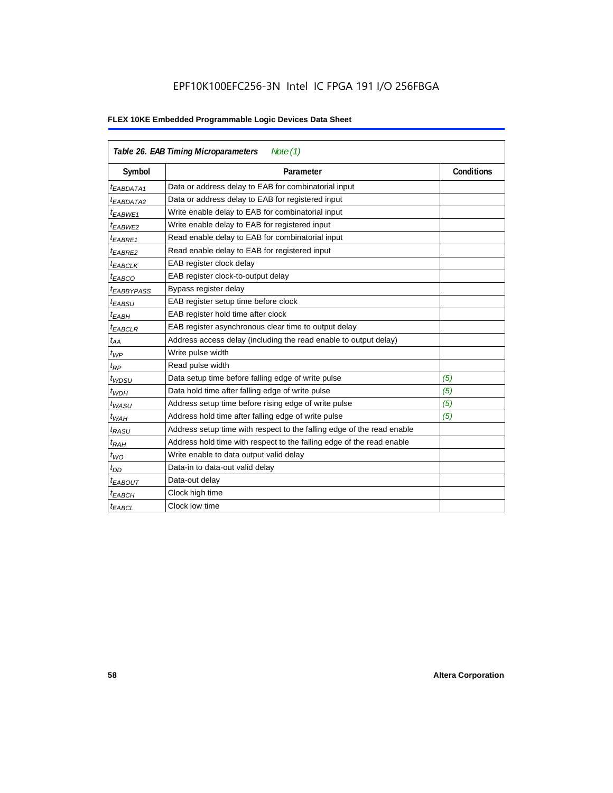| Table 26. EAB Timing Microparameters<br>Note $(1)$ |                                                                        |                   |  |  |  |  |
|----------------------------------------------------|------------------------------------------------------------------------|-------------------|--|--|--|--|
| Symbol                                             | Parameter                                                              | <b>Conditions</b> |  |  |  |  |
| <sup>t</sup> EABDATA1                              | Data or address delay to EAB for combinatorial input                   |                   |  |  |  |  |
| <sup>t</sup> EABDATA2                              | Data or address delay to EAB for registered input                      |                   |  |  |  |  |
| t <sub>EABWE1</sub>                                | Write enable delay to EAB for combinatorial input                      |                   |  |  |  |  |
| t <sub>EABWE2</sub>                                | Write enable delay to EAB for registered input                         |                   |  |  |  |  |
| <sup>t</sup> EABRE1                                | Read enable delay to EAB for combinatorial input                       |                   |  |  |  |  |
| $t_{EABRE2}$                                       | Read enable delay to EAB for registered input                          |                   |  |  |  |  |
| t <sub>EABCLK</sub>                                | EAB register clock delay                                               |                   |  |  |  |  |
| t <sub>EABCO</sub>                                 | EAB register clock-to-output delay                                     |                   |  |  |  |  |
| <sup>t</sup> EABBYPASS                             | Bypass register delay                                                  |                   |  |  |  |  |
| <sup>t</sup> EABSU                                 | EAB register setup time before clock                                   |                   |  |  |  |  |
| t <sub>EABH</sub>                                  | EAB register hold time after clock                                     |                   |  |  |  |  |
| $t_{EABCLR}$                                       | EAB register asynchronous clear time to output delay                   |                   |  |  |  |  |
| $t_{AA}$                                           | Address access delay (including the read enable to output delay)       |                   |  |  |  |  |
| $t_{WP}$                                           | Write pulse width                                                      |                   |  |  |  |  |
| $t_{RP}$                                           | Read pulse width                                                       |                   |  |  |  |  |
| $t_{WDSU}$                                         | Data setup time before falling edge of write pulse                     | (5)               |  |  |  |  |
| $t_{WDH}$                                          | Data hold time after falling edge of write pulse                       | (5)               |  |  |  |  |
| $t_{WASU}$                                         | Address setup time before rising edge of write pulse                   | (5)               |  |  |  |  |
| $t_{WAH}$                                          | Address hold time after falling edge of write pulse                    | (5)               |  |  |  |  |
| t <sub>RASU</sub>                                  | Address setup time with respect to the falling edge of the read enable |                   |  |  |  |  |
| $t_{RAH}$                                          | Address hold time with respect to the falling edge of the read enable  |                   |  |  |  |  |
| $t_{WO}$                                           | Write enable to data output valid delay                                |                   |  |  |  |  |
| $t_{DD}$                                           | Data-in to data-out valid delay                                        |                   |  |  |  |  |
| $t_{EABOUT}$                                       | Data-out delay                                                         |                   |  |  |  |  |
| <sup>t</sup> EABCH                                 | Clock high time                                                        |                   |  |  |  |  |
| $t_{EABCL}$                                        | Clock low time                                                         |                   |  |  |  |  |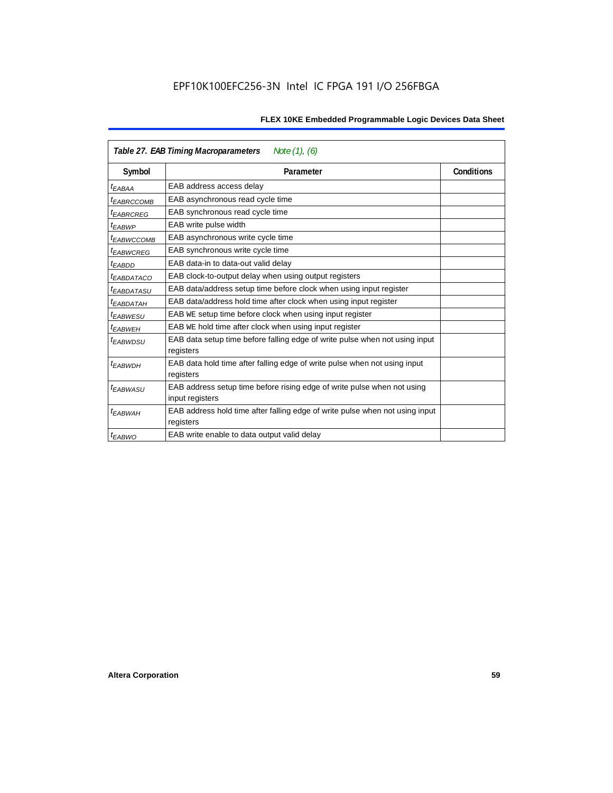|                        | Note $(1)$ , $(6)$<br>Table 27. EAB Timing Macroparameters                                 |            |  |  |  |  |
|------------------------|--------------------------------------------------------------------------------------------|------------|--|--|--|--|
| Symbol                 | Parameter                                                                                  | Conditions |  |  |  |  |
| <sup>t</sup> EABAA     | EAB address access delay                                                                   |            |  |  |  |  |
| <sup>I</sup> EABRCCOMB | EAB asynchronous read cycle time                                                           |            |  |  |  |  |
| <sup>t</sup> EABRCREG  | EAB synchronous read cycle time                                                            |            |  |  |  |  |
| <sup>t</sup> EABWP     | EAB write pulse width                                                                      |            |  |  |  |  |
| <sup>t</sup> ЕАВWССОМВ | EAB asynchronous write cycle time                                                          |            |  |  |  |  |
| <sup>t</sup> EABWCREG  | EAB synchronous write cycle time                                                           |            |  |  |  |  |
| <sup>t</sup> EABDD     | EAB data-in to data-out valid delay                                                        |            |  |  |  |  |
| <sup>t</sup> EABDATACO | EAB clock-to-output delay when using output registers                                      |            |  |  |  |  |
| <sup>t</sup> EABDATASU | EAB data/address setup time before clock when using input register                         |            |  |  |  |  |
| <sup>t</sup> EABDATAH  | EAB data/address hold time after clock when using input register                           |            |  |  |  |  |
| <sup>t</sup> EABWESU   | EAB WE setup time before clock when using input register                                   |            |  |  |  |  |
| <sup>t</sup> EABWEH    | EAB WE hold time after clock when using input register                                     |            |  |  |  |  |
| <sup>t</sup> EABWDSU   | EAB data setup time before falling edge of write pulse when not using input<br>registers   |            |  |  |  |  |
| <sup>t</sup> EABWDH    | EAB data hold time after falling edge of write pulse when not using input<br>registers     |            |  |  |  |  |
| t <sub>EABWASU</sub>   | EAB address setup time before rising edge of write pulse when not using<br>input registers |            |  |  |  |  |
| t <sub>EABWAH</sub>    | EAB address hold time after falling edge of write pulse when not using input<br>registers  |            |  |  |  |  |
| <sup>t</sup> EABWO     | EAB write enable to data output valid delay                                                |            |  |  |  |  |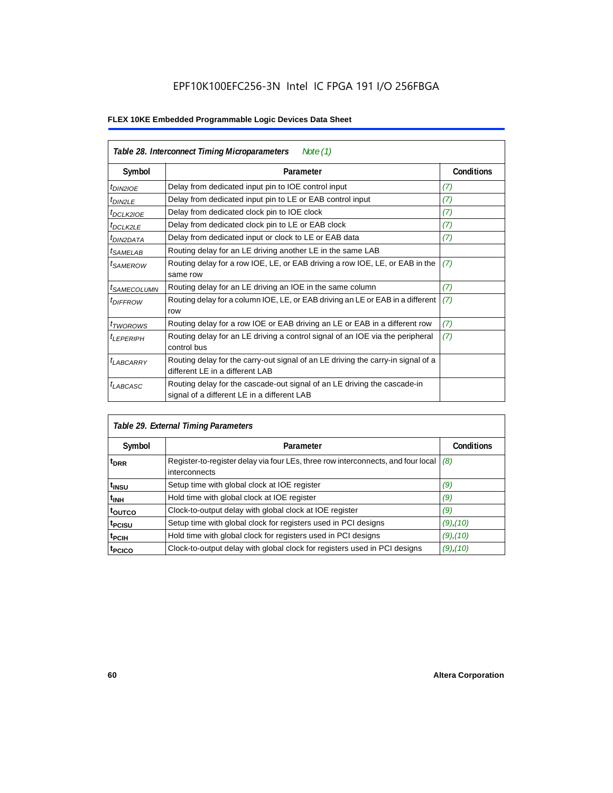| Table 28. Interconnect Timing Microparameters<br>Note $(1)$ |                                                                                                                         |                   |  |  |  |  |
|-------------------------------------------------------------|-------------------------------------------------------------------------------------------------------------------------|-------------------|--|--|--|--|
| Symbol                                                      | Parameter                                                                                                               | <b>Conditions</b> |  |  |  |  |
| $tD$ IN2IOE                                                 | Delay from dedicated input pin to IOE control input                                                                     | (7)               |  |  |  |  |
| $t_{DIN2LE}$                                                | Delay from dedicated input pin to LE or EAB control input                                                               | (7)               |  |  |  |  |
| <sup>t</sup> DCLK2IOE                                       | Delay from dedicated clock pin to IOE clock                                                                             | (7)               |  |  |  |  |
| $t_{DCLK2LE}$                                               | Delay from dedicated clock pin to LE or EAB clock                                                                       | (7)               |  |  |  |  |
| <sup>t</sup> DIN2DATA                                       | Delay from dedicated input or clock to LE or EAB data                                                                   | (7)               |  |  |  |  |
| <sup>t</sup> SAMELAB                                        | Routing delay for an LE driving another LE in the same LAB                                                              |                   |  |  |  |  |
| <sup>t</sup> SAMEROW                                        | Routing delay for a row IOE, LE, or EAB driving a row IOE, LE, or EAB in the<br>same row                                | (7)               |  |  |  |  |
| <sup>t</sup> SAMECOLUMN                                     | Routing delay for an LE driving an IOE in the same column                                                               | (7)               |  |  |  |  |
| <i>t<sub>DIFFROW</sub></i>                                  | Routing delay for a column IOE, LE, or EAB driving an LE or EAB in a different<br>row                                   | (7)               |  |  |  |  |
| <i>t</i> TWOROWS                                            | Routing delay for a row IOE or EAB driving an LE or EAB in a different row                                              | (7)               |  |  |  |  |
| <sup>t</sup> LEPERIPH                                       | Routing delay for an LE driving a control signal of an IOE via the peripheral<br>control bus                            | (7)               |  |  |  |  |
| $t_{LABCARRY}$                                              | Routing delay for the carry-out signal of an LE driving the carry-in signal of a<br>different LE in a different LAB     |                   |  |  |  |  |
| $t_{LABCASC}$                                               | Routing delay for the cascade-out signal of an LE driving the cascade-in<br>signal of a different LE in a different LAB |                   |  |  |  |  |

| Table 29. External Timing Parameters |                                                                                                   |                   |  |  |  |  |
|--------------------------------------|---------------------------------------------------------------------------------------------------|-------------------|--|--|--|--|
| Symbol                               | Parameter                                                                                         | <b>Conditions</b> |  |  |  |  |
| <sup>t</sup> DRR                     | Register-to-register delay via four LEs, three row interconnects, and four local<br>interconnects | (8)               |  |  |  |  |
| t <sub>insu</sub>                    | Setup time with global clock at IOE register                                                      | (9)               |  |  |  |  |
| <sup>t</sup> inh                     | Hold time with global clock at IOE register                                                       | (9)               |  |  |  |  |
| toutco                               | Clock-to-output delay with global clock at IOE register                                           | (9)               |  |  |  |  |
| t <sub>PCISU</sub>                   | Setup time with global clock for registers used in PCI designs                                    | $(9)$ , $(10)$    |  |  |  |  |
| <sup>t</sup> PCIH                    | Hold time with global clock for registers used in PCI designs                                     | $(9)$ , $(10)$    |  |  |  |  |
| <sup>t</sup> PCICO                   | Clock-to-output delay with global clock for registers used in PCI designs                         | $(9)$ , $(10)$    |  |  |  |  |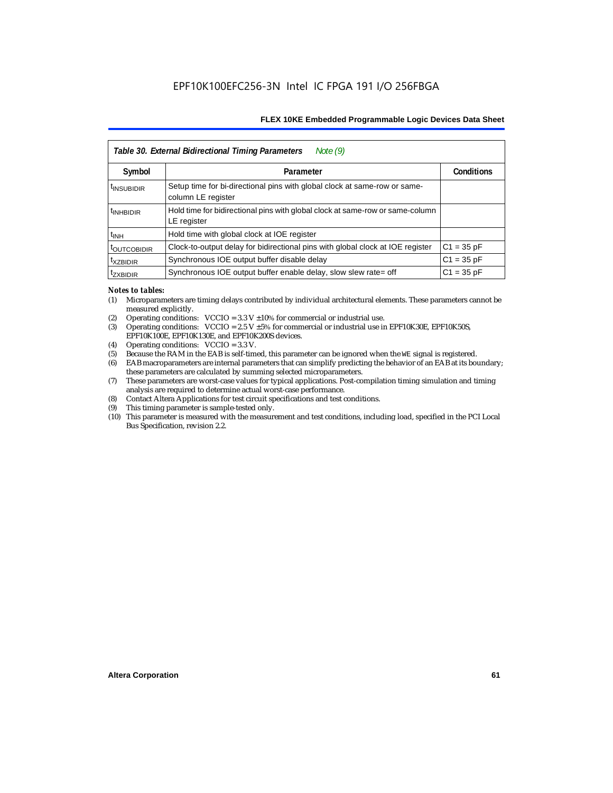| Note $(9)$<br>Table 30. External Bidirectional Timing Parameters |                                                                                                 |                   |  |  |  |  |
|------------------------------------------------------------------|-------------------------------------------------------------------------------------------------|-------------------|--|--|--|--|
| Symbol                                                           | Parameter                                                                                       | <b>Conditions</b> |  |  |  |  |
| <sup>t</sup> INSUBIDIR                                           | Setup time for bi-directional pins with global clock at same-row or same-<br>column LE register |                   |  |  |  |  |
| <sup>t</sup> INHBIDIR                                            | Hold time for bidirectional pins with global clock at same-row or same-column<br>LE register    |                   |  |  |  |  |
| <sup>t</sup> INH                                                 | Hold time with global clock at IOE register                                                     |                   |  |  |  |  |
| <b><i>LOUTCOBIDIR</i></b>                                        | Clock-to-output delay for bidirectional pins with global clock at IOE register                  | $C1 = 35 pF$      |  |  |  |  |
| <sup>t</sup> xzbidir                                             | Synchronous IOE output buffer disable delay                                                     | $C1 = 35 pF$      |  |  |  |  |
| <sup>T</sup> ZXBIDIR                                             | Synchronous IOE output buffer enable delay, slow slew rate= off                                 | $C1 = 35 pF$      |  |  |  |  |

#### *Notes to tables:*

- (1) Microparameters are timing delays contributed by individual architectural elements. These parameters cannot be measured explicitly.
- (2) Operating conditions:  $VCCIO = 3.3 V ±10%$  for commercial or industrial use.<br>(3) Operating conditions:  $VCCIO = 2.5 V ±5%$  for commercial or industrial use in
- Operating conditions: VCCIO =  $2.5$  V  $\pm 5$ % for commercial or industrial use in EPF10K30E, EPF10K50S, EPF10K100E, EPF10K130E, and EPF10K200S devices.
- (4) Operating conditions: VCCIO = 3.3 V.
- (5) Because the RAM in the EAB is self-timed, this parameter can be ignored when the WE signal is registered.<br>(6) EAB macroparameters are internal parameters that can simplify predicting the behavior of an EAB at its bor
- EAB macroparameters are internal parameters that can simplify predicting the behavior of an EAB at its boundary; these parameters are calculated by summing selected microparameters.
- (7) These parameters are worst-case values for typical applications. Post-compilation timing simulation and timing analysis are required to determine actual worst-case performance.
- (8) Contact Altera Applications for test circuit specifications and test conditions.
- (9) This timing parameter is sample-tested only.
- (10) This parameter is measured with the measurement and test conditions, including load, specified in the PCI Local Bus Specification, revision 2.2.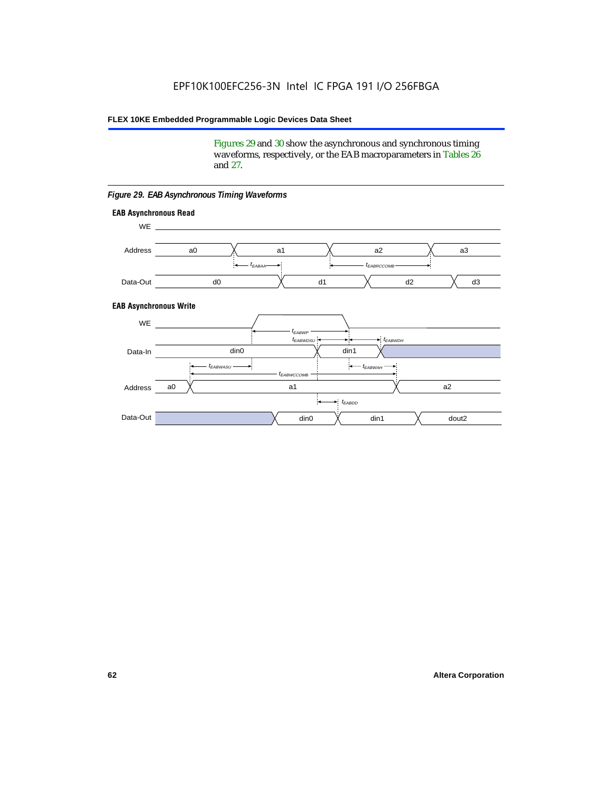Figures 29 and 30 show the asynchronous and synchronous timing waveforms, respectively, or the EAB macroparameters in Tables 26 and 27.

**EAB Asynchronous Write EAB Asynchronous Read** WE. a0 d0 d3  $t_{EABRCCOMB}$ a1 *《*、 a2 *《*、 a3 d2  $t_{FABA}$ d1 Address Data-Out WE a0 din1  $\chi$  dout2  $t_{EABDD}$ a1 a2 din1 din0  $t_{EABWCCOMB}$  $t_{EABWASU}$   $\longrightarrow$  $t_{EABWDSU}$  +  $\longrightarrow$   $t_{EABWDH}$  $t_{EABWP}$ Data-In din0 Address Data-Out

#### *Figure 29. EAB Asynchronous Timing Waveforms*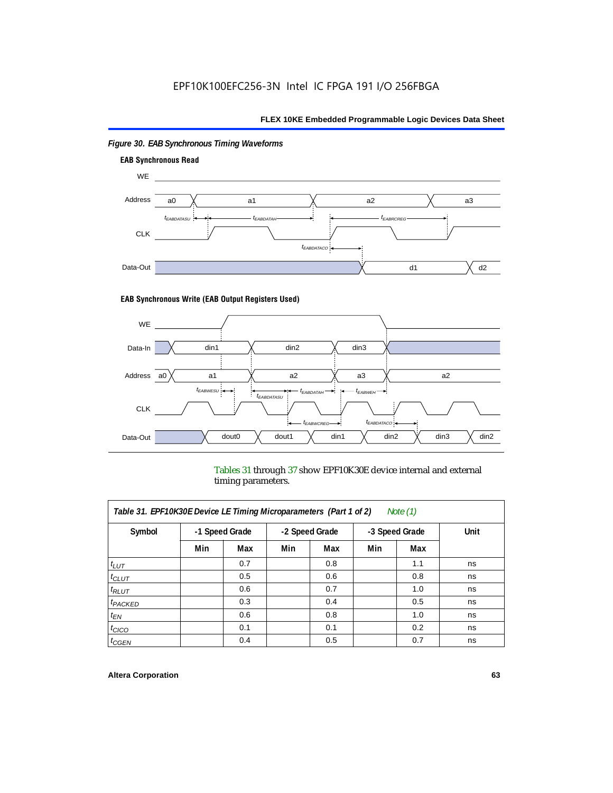

# *Figure 30. EAB Synchronous Timing Waveforms*

### **EAB Synchronous Write (EAB Output Registers Used)**



Tables 31 through 37 show EPF10K30E device internal and external timing parameters.

| Table 31. EPF10K30E Device LE Timing Microparameters (Part 1 of 2)<br>Note $(1)$ |     |                |     |                |     |                |      |  |
|----------------------------------------------------------------------------------|-----|----------------|-----|----------------|-----|----------------|------|--|
| Symbol                                                                           |     | -1 Speed Grade |     | -2 Speed Grade |     | -3 Speed Grade | Unit |  |
|                                                                                  | Min | Max            | Min | Max            | Min | Max            |      |  |
| $t_{LUT}$                                                                        |     | 0.7            |     | 0.8            |     | 1.1            | ns   |  |
| $t_{CLUT}$                                                                       |     | 0.5            |     | 0.6            |     | 0.8            | ns   |  |
| $t_{RLUT}$                                                                       |     | 0.6            |     | 0.7            |     | 1.0            | ns   |  |
| $t_{PACKED}$                                                                     |     | 0.3            |     | 0.4            |     | 0.5            | ns   |  |
| $t_{EN}$                                                                         |     | 0.6            |     | 0.8            |     | 1.0            | ns   |  |
| $t_{CICO}$                                                                       |     | 0.1            |     | 0.1            |     | 0.2            | ns   |  |
| $t_{GEN}$                                                                        |     | 0.4            |     | 0.5            |     | 0.7            | ns   |  |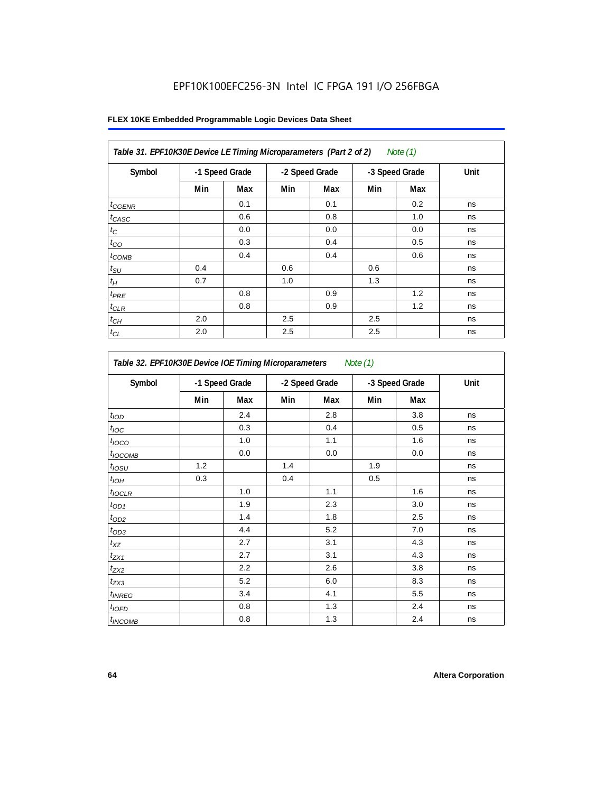# EPF10K100EFC256-3N Intel IC FPGA 191 I/O 256FBGA

| Table 31. EPF10K30E Device LE Timing Microparameters (Part 2 of 2)<br>Note (1) |     |                |     |                |     |                |      |  |
|--------------------------------------------------------------------------------|-----|----------------|-----|----------------|-----|----------------|------|--|
| Symbol                                                                         |     | -1 Speed Grade |     | -2 Speed Grade |     | -3 Speed Grade | Unit |  |
|                                                                                | Min | Max            | Min | Max            | Min | Max            |      |  |
| $t_{GENR}$                                                                     |     | 0.1            |     | 0.1            |     | 0.2            | ns   |  |
| $t_{CASC}$                                                                     |     | 0.6            |     | 0.8            |     | 1.0            | ns   |  |
| $t_C$                                                                          |     | 0.0            |     | 0.0            |     | 0.0            | ns   |  |
| $t_{CO}$                                                                       |     | 0.3            |     | 0.4            |     | 0.5            | ns   |  |
| $t_{COMB}$                                                                     |     | 0.4            |     | 0.4            |     | 0.6            | ns   |  |
| $t_{\text{SU}}$                                                                | 0.4 |                | 0.6 |                | 0.6 |                | ns   |  |
| $t_H\,$                                                                        | 0.7 |                | 1.0 |                | 1.3 |                | ns   |  |
| $t_{PRE}$                                                                      |     | 0.8            |     | 0.9            |     | 1.2            | ns   |  |
| $t_{CLR}$                                                                      |     | 0.8            |     | 0.9            |     | 1.2            | ns   |  |
| $t_{\mathit{CH}}$                                                              | 2.0 |                | 2.5 |                | 2.5 |                | ns   |  |
| $t_{CL}$                                                                       | 2.0 |                | 2.5 |                | 2.5 |                | ns   |  |

| Table 32. EPF10K30E Device IOE Timing Microparameters<br>Note $(1)$ |                |     |                |     |                |     |      |
|---------------------------------------------------------------------|----------------|-----|----------------|-----|----------------|-----|------|
| Symbol                                                              | -1 Speed Grade |     | -2 Speed Grade |     | -3 Speed Grade |     | Unit |
|                                                                     | Min            | Max | Min            | Max | Min            | Max |      |
| t <sub>IOD</sub>                                                    |                | 2.4 |                | 2.8 |                | 3.8 | ns   |
| $t_{\text{IOC}}$                                                    |                | 0.3 |                | 0.4 |                | 0.5 | ns   |
| $t_{IOCO}$                                                          |                | 1.0 |                | 1.1 |                | 1.6 | ns   |
| $t_{\text{IOCOMB}}$                                                 |                | 0.0 |                | 0.0 |                | 0.0 | ns   |
| $t_{IOSU}$                                                          | 1.2            |     | 1.4            |     | 1.9            |     | ns   |
| $t_{I\odot H}$                                                      | 0.3            |     | 0.4            |     | 0.5            |     | ns   |
| $t_{IOCLR}$                                                         |                | 1.0 |                | 1.1 |                | 1.6 | ns   |
| $t_{OD1}$                                                           |                | 1.9 |                | 2.3 |                | 3.0 | ns   |
| $t_{OD2}$                                                           |                | 1.4 |                | 1.8 |                | 2.5 | ns   |
| $t_{OD3}$                                                           |                | 4.4 |                | 5.2 |                | 7.0 | ns   |
| $t_{\mathsf{XZ}}$                                                   |                | 2.7 |                | 3.1 |                | 4.3 | ns   |
| $t_{ZX1}$                                                           |                | 2.7 |                | 3.1 |                | 4.3 | ns   |
| $t_{ZX2}$                                                           |                | 2.2 |                | 2.6 |                | 3.8 | ns   |
| $t_{ZX3}$                                                           |                | 5.2 |                | 6.0 |                | 8.3 | ns   |
| $t_{INREG}$                                                         |                | 3.4 |                | 4.1 |                | 5.5 | ns   |
| $t_{IOED}$                                                          |                | 0.8 |                | 1.3 |                | 2.4 | ns   |
| $t_{INCOMB}$                                                        |                | 0.8 |                | 1.3 |                | 2.4 | ns   |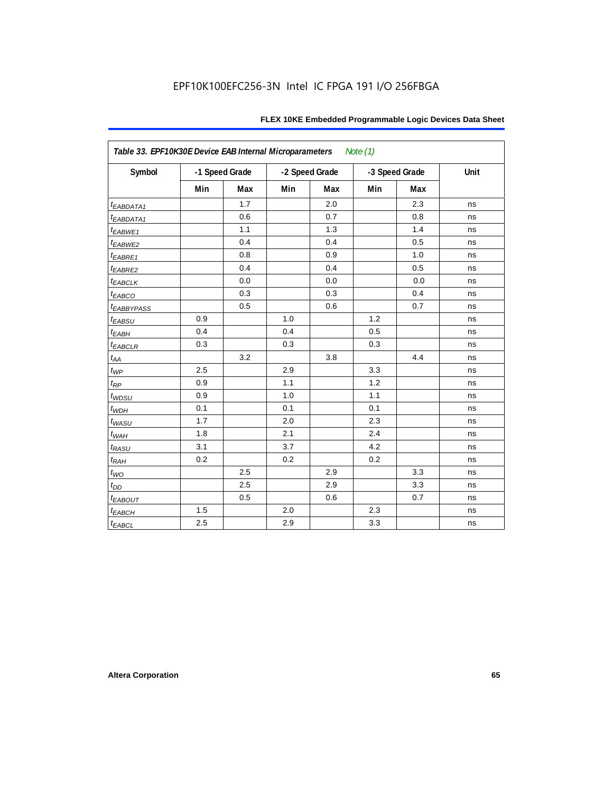| Table 33. EPF10K30E Device EAB Internal Microparameters<br>Note $(1)$ |     |                |     |                |                |     |      |  |  |
|-----------------------------------------------------------------------|-----|----------------|-----|----------------|----------------|-----|------|--|--|
| Symbol                                                                |     | -1 Speed Grade |     | -2 Speed Grade | -3 Speed Grade |     | Unit |  |  |
|                                                                       | Min | <b>Max</b>     | Min | Max            | Min            | Max |      |  |  |
| t <sub>EABDATA1</sub>                                                 |     | 1.7            |     | 2.0            |                | 2.3 | ns   |  |  |
| t <sub>EABDATA1</sub>                                                 |     | 0.6            |     | 0.7            |                | 0.8 | ns   |  |  |
| t <sub>EABWE1</sub>                                                   |     | 1.1            |     | 1.3            |                | 1.4 | ns   |  |  |
| t <sub>EABWE2</sub>                                                   |     | 0.4            |     | 0.4            |                | 0.5 | ns   |  |  |
| $t_{EABRE1}$                                                          |     | 0.8            |     | 0.9            |                | 1.0 | ns   |  |  |
| t <sub>EABRE2</sub>                                                   |     | 0.4            |     | 0.4            |                | 0.5 | ns   |  |  |
| <b><i>EABCLK</i></b>                                                  |     | 0.0            |     | 0.0            |                | 0.0 | ns   |  |  |
| t <sub>EABCO</sub>                                                    |     | 0.3            |     | 0.3            |                | 0.4 | ns   |  |  |
| <b><i>EABBYPASS</i></b>                                               |     | 0.5            |     | 0.6            |                | 0.7 | ns   |  |  |
| $t_{EABSU}$                                                           | 0.9 |                | 1.0 |                | 1.2            |     | ns   |  |  |
| $t_{EABH}$                                                            | 0.4 |                | 0.4 |                | 0.5            |     | ns   |  |  |
| $t_{EABCLR}$                                                          | 0.3 |                | 0.3 |                | 0.3            |     | ns   |  |  |
| $t_{AA}$                                                              |     | 3.2            |     | 3.8            |                | 4.4 | ns   |  |  |
| $t_{\mathit{WP}}$                                                     | 2.5 |                | 2.9 |                | 3.3            |     | ns   |  |  |
| $t_{\!R\!P}$                                                          | 0.9 |                | 1.1 |                | 1.2            |     | ns   |  |  |
| $t_{WDSU}$                                                            | 0.9 |                | 1.0 |                | 1.1            |     | ns   |  |  |
| $t_{WDH}$                                                             | 0.1 |                | 0.1 |                | 0.1            |     | ns   |  |  |
| $t_{WASU}$                                                            | 1.7 |                | 2.0 |                | 2.3            |     | ns   |  |  |
| $t_{WAH}$                                                             | 1.8 |                | 2.1 |                | 2.4            |     | ns   |  |  |
| $t_{RASU}$                                                            | 3.1 |                | 3.7 |                | 4.2            |     | ns   |  |  |
| $t_{R\underline{AH}}$                                                 | 0.2 |                | 0.2 |                | 0.2            |     | ns   |  |  |
| $t_{WO}$                                                              |     | 2.5            |     | 2.9            |                | 3.3 | ns   |  |  |
| $t_{DD}$                                                              |     | 2.5            |     | 2.9            |                | 3.3 | ns   |  |  |
| $t_{EABOUT}$                                                          |     | 0.5            |     | 0.6            |                | 0.7 | ns   |  |  |
| $t_{EABCH}$                                                           | 1.5 |                | 2.0 |                | 2.3            |     | ns   |  |  |
| $t_{EABCL}$                                                           | 2.5 |                | 2.9 |                | 3.3            |     | ns   |  |  |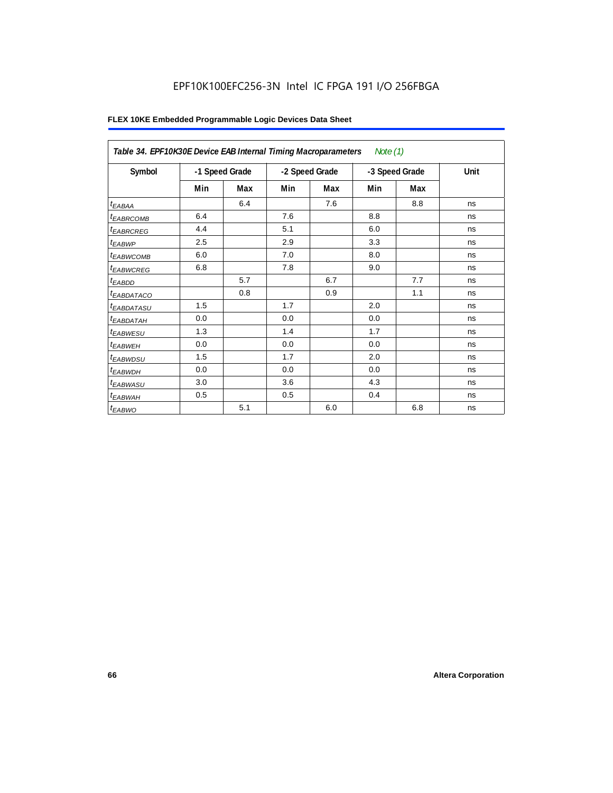# EPF10K100EFC256-3N Intel IC FPGA 191 I/O 256FBGA

| Table 34. EPF10K30E Device EAB Internal Timing Macroparameters<br>Note $(1)$ |                |     |                |     |     |                |      |  |  |
|------------------------------------------------------------------------------|----------------|-----|----------------|-----|-----|----------------|------|--|--|
| Symbol                                                                       | -1 Speed Grade |     | -2 Speed Grade |     |     | -3 Speed Grade | Unit |  |  |
|                                                                              | Min            | Max | Min            | Max | Min | Max            |      |  |  |
| $t_{EABA}$                                                                   |                | 6.4 |                | 7.6 |     | 8.8            | ns   |  |  |
| <sup>t</sup> EABRCOMB                                                        | 6.4            |     | 7.6            |     | 8.8 |                | ns   |  |  |
| <sup>t</sup> EABRCREG                                                        | 4.4            |     | 5.1            |     | 6.0 |                | ns   |  |  |
| $t_{EABWP}$                                                                  | 2.5            |     | 2.9            |     | 3.3 |                | ns   |  |  |
| <sup>t</sup> ЕАВWСОМВ                                                        | 6.0            |     | 7.0            |     | 8.0 |                | ns   |  |  |
| <sup>t</sup> EABWCREG                                                        | 6.8            |     | 7.8            |     | 9.0 |                | ns   |  |  |
| <sup>t</sup> EABDD                                                           |                | 5.7 |                | 6.7 |     | 7.7            | ns   |  |  |
| <sup>t</sup> EABDATACO                                                       |                | 0.8 |                | 0.9 |     | 1.1            | ns   |  |  |
| <sup>t</sup> EABDATASU                                                       | 1.5            |     | 1.7            |     | 2.0 |                | ns   |  |  |
| <sup>t</sup> EABDATAH                                                        | 0.0            |     | 0.0            |     | 0.0 |                | ns   |  |  |
| <sup>t</sup> EABWESU                                                         | 1.3            |     | 1.4            |     | 1.7 |                | ns   |  |  |
| <sup>t</sup> EABWEH                                                          | 0.0            |     | 0.0            |     | 0.0 |                | ns   |  |  |
| t <sub>EABWDSU</sub>                                                         | 1.5            |     | 1.7            |     | 2.0 |                | ns   |  |  |
| <sup>t</sup> EABWDH                                                          | 0.0            |     | 0.0            |     | 0.0 |                | ns   |  |  |
| t <sub>EABWASU</sub>                                                         | 3.0            |     | 3.6            |     | 4.3 |                | ns   |  |  |
| <sup>t</sup> EABWAH                                                          | 0.5            |     | 0.5            |     | 0.4 |                | ns   |  |  |
| $t_{EABWO}$                                                                  |                | 5.1 |                | 6.0 |     | 6.8            | ns   |  |  |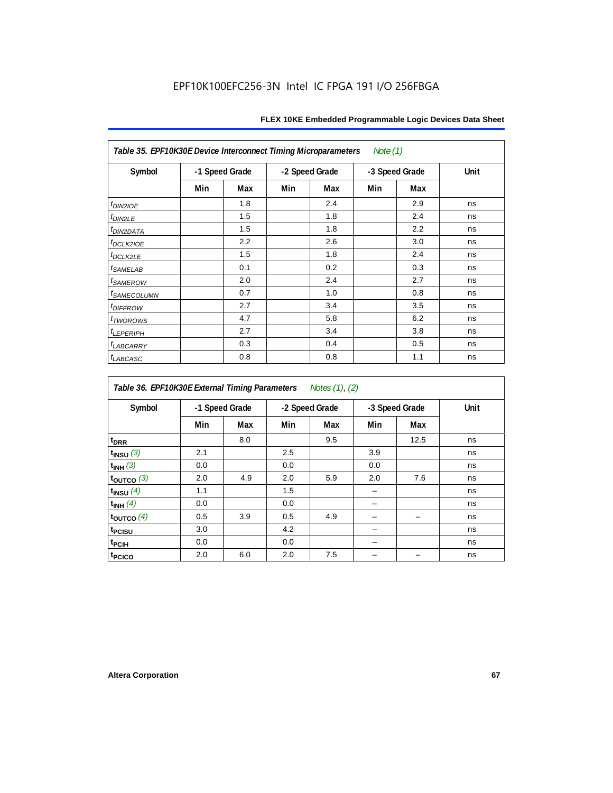| Table 35. EPF10K30E Device Interconnect Timing Microparameters<br>Note $(1)$ |                |     |     |                |     |                |      |  |  |  |
|------------------------------------------------------------------------------|----------------|-----|-----|----------------|-----|----------------|------|--|--|--|
| Symbol                                                                       | -1 Speed Grade |     |     | -2 Speed Grade |     | -3 Speed Grade | Unit |  |  |  |
|                                                                              | Min            | Max | Min | Max            | Min | Max            |      |  |  |  |
| $t_{DIN2IOE}$                                                                |                | 1.8 |     | 2.4            |     | 2.9            | ns   |  |  |  |
| t <sub>DIN2LE</sub>                                                          |                | 1.5 |     | 1.8            |     | 2.4            | ns   |  |  |  |
| t <sub>DIN2DATA</sub>                                                        |                | 1.5 |     | 1.8            |     | 2.2            | ns   |  |  |  |
| t <sub>DCLK2IOE</sub>                                                        |                | 2.2 |     | 2.6            |     | 3.0            | ns   |  |  |  |
| t <sub>DCLK2LE</sub>                                                         |                | 1.5 |     | 1.8            |     | 2.4            | ns   |  |  |  |
| <i>t<sub>SAMELAB</sub></i>                                                   |                | 0.1 |     | 0.2            |     | 0.3            | ns   |  |  |  |
| <i>t<sub>SAMEROW</sub></i>                                                   |                | 2.0 |     | 2.4            |     | 2.7            | ns   |  |  |  |
| <i>t<sub>SAMECOLUMN</sub></i>                                                |                | 0.7 |     | 1.0            |     | 0.8            | ns   |  |  |  |
| t <sub>DIFFROW</sub>                                                         |                | 2.7 |     | 3.4            |     | 3.5            | ns   |  |  |  |
| t <sub>TWOROWS</sub>                                                         |                | 4.7 |     | 5.8            |     | 6.2            | ns   |  |  |  |
| <b><i>ILEPERIPH</i></b>                                                      |                | 2.7 |     | 3.4            |     | 3.8            | ns   |  |  |  |
| <b><i>t<sub>LABCARRY</sub></i></b>                                           |                | 0.3 |     | 0.4            |     | 0.5            | ns   |  |  |  |
| $t_{LABCASC}$                                                                |                | 0.8 |     | 0.8            |     | 1.1            | ns   |  |  |  |

| Table 36. EPF10K30E External Timing Parameters Notes (1), (2) |     |                |     |                |     |                |      |  |  |  |
|---------------------------------------------------------------|-----|----------------|-----|----------------|-----|----------------|------|--|--|--|
| Symbol                                                        |     | -1 Speed Grade |     | -2 Speed Grade |     | -3 Speed Grade | Unit |  |  |  |
|                                                               | Min | Max            | Min | Max            | Min | Max            |      |  |  |  |
| $t_{DRR}$                                                     |     | 8.0            |     | 9.5            |     | 12.5           | ns   |  |  |  |
| $t_{INSU}$ (3)                                                | 2.1 |                | 2.5 |                | 3.9 |                | ns   |  |  |  |
| $t_{INH}$ (3)                                                 | 0.0 |                | 0.0 |                | 0.0 |                | ns   |  |  |  |
| $t_{OUTCO}$ (3)                                               | 2.0 | 4.9            | 2.0 | 5.9            | 2.0 | 7.6            | ns   |  |  |  |
| $t_{INSU}$ (4)                                                | 1.1 |                | 1.5 |                |     |                | ns   |  |  |  |
| $t_{INH}$ (4)                                                 | 0.0 |                | 0.0 |                |     |                | ns   |  |  |  |
| $t_{\text{OUTCO}}(4)$                                         | 0.5 | 3.9            | 0.5 | 4.9            |     |                | ns   |  |  |  |
| t <sub>PCISU</sub>                                            | 3.0 |                | 4.2 |                |     |                | ns   |  |  |  |
| t <sub>PCIH</sub>                                             | 0.0 |                | 0.0 |                |     |                | ns   |  |  |  |
| t <sub>PCICO</sub>                                            | 2.0 | 6.0            | 2.0 | 7.5            |     |                | ns   |  |  |  |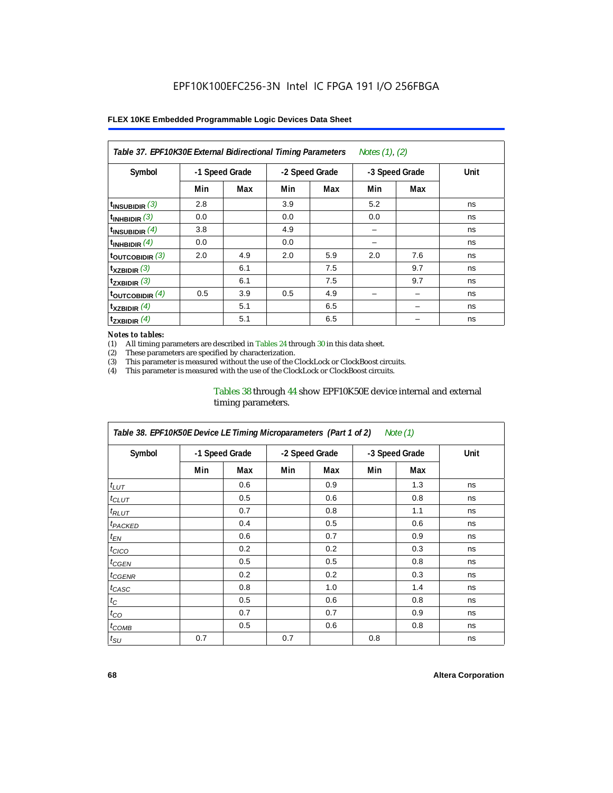| Notes (1), (2)<br>Table 37. EPF10K30E External Bidirectional Timing Parameters |                |     |     |                |     |                |      |  |  |
|--------------------------------------------------------------------------------|----------------|-----|-----|----------------|-----|----------------|------|--|--|
| Symbol                                                                         | -1 Speed Grade |     |     | -2 Speed Grade |     | -3 Speed Grade | Unit |  |  |
|                                                                                | Min            | Max | Min | Max            | Min | Max            |      |  |  |
| $t_{INSUBIDIR}$ (3)                                                            | 2.8            |     | 3.9 |                | 5.2 |                | ns   |  |  |
| $t_{INHBIDIR}$ (3)                                                             | 0.0            |     | 0.0 |                | 0.0 |                | ns   |  |  |
| $t_{INSUBIDIR}(4)$                                                             | 3.8            |     | 4.9 |                |     |                | ns   |  |  |
| $t_{INHBIDIR}$ $(4)$                                                           | 0.0            |     | 0.0 |                |     |                | ns   |  |  |
| $t_{\text{OUTCOBIDIR}}$ (3)                                                    | 2.0            | 4.9 | 2.0 | 5.9            | 2.0 | 7.6            | ns   |  |  |
| $t_{XZBIDIR}$ (3)                                                              |                | 6.1 |     | 7.5            |     | 9.7            | ns   |  |  |
| $t_{ZXBIDIR}$ (3)                                                              |                | 6.1 |     | 7.5            |     | 9.7            | ns   |  |  |
| $t_{\text{OUTCOBIDIR}}$ (4)                                                    | 0.5            | 3.9 | 0.5 | 4.9            |     |                | ns   |  |  |
| $t_{XZBIDIR}$ (4)                                                              |                | 5.1 |     | 6.5            |     |                | ns   |  |  |
| $t_{ZXBIDIR}$ (4)                                                              |                | 5.1 |     | 6.5            |     |                | ns   |  |  |

#### *Notes to tables:*

(1) All timing parameters are described in Tables 24 through 30 in this data sheet.<br>(2) These parameters are specified by characterization.

(2) These parameters are specified by characterization.<br>(3) This parameter is measured without the use of the C

This parameter is measured without the use of the ClockLock or ClockBoost circuits.

(4) This parameter is measured with the use of the ClockLock or ClockBoost circuits.

### Tables 38 through 44 show EPF10K50E device internal and external timing parameters.

| Table 38. EPF10K50E Device LE Timing Microparameters (Part 1 of 2)<br>Note (1) |     |                |     |                |     |                |      |  |  |
|--------------------------------------------------------------------------------|-----|----------------|-----|----------------|-----|----------------|------|--|--|
| Symbol                                                                         |     | -1 Speed Grade |     | -2 Speed Grade |     | -3 Speed Grade | Unit |  |  |
|                                                                                | Min | Max            | Min | Max            | Min | Max            |      |  |  |
| $t_{LUT}$                                                                      |     | 0.6            |     | 0.9            |     | 1.3            | ns   |  |  |
| $t_{CLUT}$                                                                     |     | 0.5            |     | 0.6            |     | 0.8            | ns   |  |  |
| $t_{RLUT}$                                                                     |     | 0.7            |     | 0.8            |     | 1.1            | ns   |  |  |
| <b><i>t<sub>PACKED</sub></i></b>                                               |     | 0.4            |     | 0.5            |     | 0.6            | ns   |  |  |
| $t_{EN}$                                                                       |     | 0.6            |     | 0.7            |     | 0.9            | ns   |  |  |
| $t_{CICO}$                                                                     |     | 0.2            |     | 0.2            |     | 0.3            | ns   |  |  |
| $t_{GEN}$                                                                      |     | 0.5            |     | 0.5            |     | 0.8            | ns   |  |  |
| <sup>t</sup> CGENR                                                             |     | 0.2            |     | 0.2            |     | 0.3            | ns   |  |  |
| t <sub>CASC</sub>                                                              |     | 0.8            |     | 1.0            |     | 1.4            | ns   |  |  |
| $t_C$                                                                          |     | 0.5            |     | 0.6            |     | 0.8            | ns   |  |  |
| $t_{CO}$                                                                       |     | 0.7            |     | 0.7            |     | 0.9            | ns   |  |  |
| $t_{\text{COMB}}$                                                              |     | 0.5            |     | 0.6            |     | 0.8            | ns   |  |  |
| $t_{\text{SU}}$                                                                | 0.7 |                | 0.7 |                | 0.8 |                | ns   |  |  |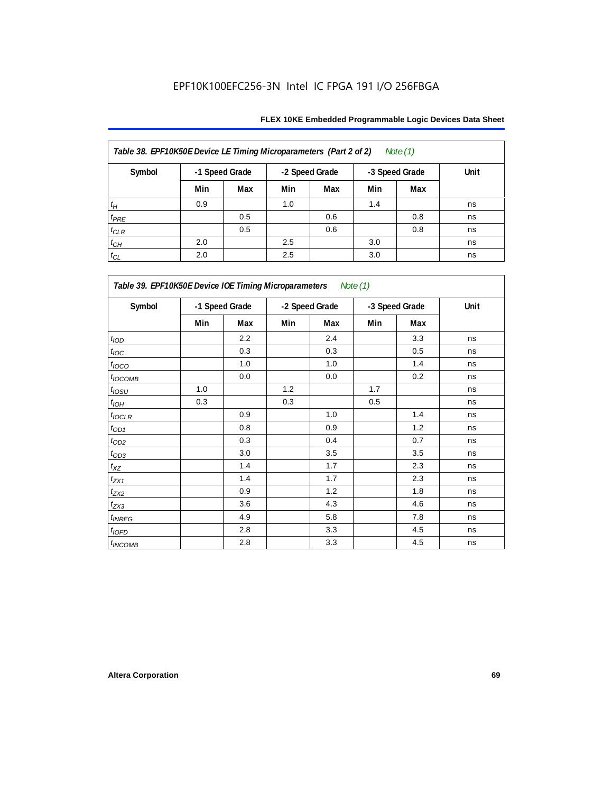| Table 38. EPF10K50E Device LE Timing Microparameters (Part 2 of 2)<br>Note $(1)$ |                |     |                |     |                |     |      |  |  |  |
|----------------------------------------------------------------------------------|----------------|-----|----------------|-----|----------------|-----|------|--|--|--|
| Symbol                                                                           | -1 Speed Grade |     | -2 Speed Grade |     | -3 Speed Grade |     | Unit |  |  |  |
|                                                                                  | Min            | Max | Min            | Max | Min            | Max |      |  |  |  |
| $t_H$                                                                            | 0.9            |     | 1.0            |     | 1.4            |     | ns   |  |  |  |
| $t_{PRE}$                                                                        |                | 0.5 |                | 0.6 |                | 0.8 | ns   |  |  |  |
| $t_{CLR}$                                                                        |                | 0.5 |                | 0.6 |                | 0.8 | ns   |  |  |  |
| $t_{\mathbb{C} H}$                                                               | 2.0            |     | 2.5            |     | 3.0            |     | ns   |  |  |  |
| $t_{CL}$                                                                         | 2.0            |     | 2.5            |     | 3.0            |     | ns   |  |  |  |

| Table 39. EPF10K50E Device IOE Timing Microparameters Note (1) |     |                |     |                |     |                |      |  |  |  |
|----------------------------------------------------------------|-----|----------------|-----|----------------|-----|----------------|------|--|--|--|
| Symbol                                                         |     | -1 Speed Grade |     | -2 Speed Grade |     | -3 Speed Grade | Unit |  |  |  |
|                                                                | Min | Max            | Min | Max            | Min | Max            |      |  |  |  |
| t <sub>IOD</sub>                                               |     | 2.2            |     | 2.4            |     | 3.3            | ns   |  |  |  |
| $t_{\text{IOC}}$                                               |     | 0.3            |     | 0.3            |     | 0.5            | ns   |  |  |  |
| $t_{IOCO}$                                                     |     | 1.0            |     | 1.0            |     | 1.4            | ns   |  |  |  |
| $t_{IOCOMB}$                                                   |     | 0.0            |     | 0.0            |     | 0.2            | ns   |  |  |  |
| $t_{IOSU}$                                                     | 1.0 |                | 1.2 |                | 1.7 |                | ns   |  |  |  |
| $t_{IOH}$                                                      | 0.3 |                | 0.3 |                | 0.5 |                | ns   |  |  |  |
| $t_{IOCLR}$                                                    |     | 0.9            |     | 1.0            |     | 1.4            | ns   |  |  |  |
| $t_{OD1}$                                                      |     | 0.8            |     | 0.9            |     | 1.2            | ns   |  |  |  |
| $t_{OD2}$                                                      |     | 0.3            |     | 0.4            |     | 0.7            | ns   |  |  |  |
| $t_{OD3}$                                                      |     | 3.0            |     | 3.5            |     | 3.5            | ns   |  |  |  |
| $t_{\mathsf{XZ}}$                                              |     | 1.4            |     | 1.7            |     | 2.3            | ns   |  |  |  |
| $t_{ZX1}$                                                      |     | 1.4            |     | 1.7            |     | 2.3            | ns   |  |  |  |
| $t_{ZX2}$                                                      |     | 0.9            |     | 1.2            |     | 1.8            | ns   |  |  |  |
| $t_{ZX3}$                                                      |     | 3.6            |     | 4.3            |     | 4.6            | ns   |  |  |  |
| $t_{INREG}$                                                    |     | 4.9            |     | 5.8            |     | 7.8            | ns   |  |  |  |
| $t_{IOFD}$                                                     |     | 2.8            |     | 3.3            |     | 4.5            | ns   |  |  |  |
| $t_{INCOMB}$                                                   |     | 2.8            |     | 3.3            |     | 4.5            | ns   |  |  |  |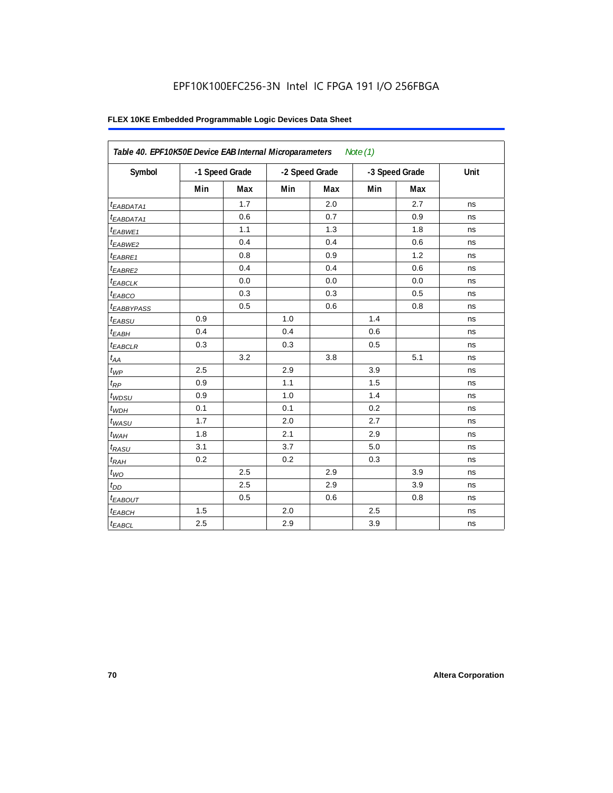| Table 40. EPF10K50E Device EAB Internal Microparameters<br>Note $(1)$ |                |     |                |     |                |     |      |  |  |
|-----------------------------------------------------------------------|----------------|-----|----------------|-----|----------------|-----|------|--|--|
| Symbol                                                                | -1 Speed Grade |     | -2 Speed Grade |     | -3 Speed Grade |     | Unit |  |  |
|                                                                       | Min            | Max | Min            | Max | Min            | Max |      |  |  |
| <sup>t</sup> EABDATA1                                                 |                | 1.7 |                | 2.0 |                | 2.7 | ns   |  |  |
| $t_{EABDATA1}$                                                        |                | 0.6 |                | 0.7 |                | 0.9 | ns   |  |  |
| <sup>t</sup> EABWE1                                                   |                | 1.1 |                | 1.3 |                | 1.8 | ns   |  |  |
| <sup>t</sup> EABWE2                                                   |                | 0.4 |                | 0.4 |                | 0.6 | ns   |  |  |
| t <sub>EABRE1</sub>                                                   |                | 0.8 |                | 0.9 |                | 1.2 | ns   |  |  |
| $t_{EABRE2}$                                                          |                | 0.4 |                | 0.4 |                | 0.6 | ns   |  |  |
| t <sub>EABCLK</sub>                                                   |                | 0.0 |                | 0.0 |                | 0.0 | ns   |  |  |
| t <sub>EABCO</sub>                                                    |                | 0.3 |                | 0.3 |                | 0.5 | ns   |  |  |
| <sup>t</sup> EABBYPASS                                                |                | 0.5 |                | 0.6 |                | 0.8 | ns   |  |  |
| t <sub>EABSU</sub>                                                    | 0.9            |     | 1.0            |     | 1.4            |     | ns   |  |  |
| $t_{EABH}$                                                            | 0.4            |     | 0.4            |     | 0.6            |     | ns   |  |  |
| $t_{EABCLR}$                                                          | 0.3            |     | 0.3            |     | 0.5            |     | ns   |  |  |
| $t_{AA}$                                                              |                | 3.2 |                | 3.8 |                | 5.1 | ns   |  |  |
| $t_{WP}$                                                              | 2.5            |     | 2.9            |     | 3.9            |     | ns   |  |  |
| $t_{\mathsf{RP}}$                                                     | 0.9            |     | 1.1            |     | 1.5            |     | ns   |  |  |
| $t_{WDSU}$                                                            | 0.9            |     | 1.0            |     | 1.4            |     | ns   |  |  |
| $t_{WDH}$                                                             | 0.1            |     | 0.1            |     | 0.2            |     | ns   |  |  |
| $t_{WASU}$                                                            | 1.7            |     | 2.0            |     | 2.7            |     | ns   |  |  |
| $t_{WAH}$                                                             | 1.8            |     | 2.1            |     | 2.9            |     | ns   |  |  |
| $t_{RASU}$                                                            | 3.1            |     | 3.7            |     | 5.0            |     | ns   |  |  |
| t <sub>RAH</sub>                                                      | 0.2            |     | 0.2            |     | 0.3            |     | ns   |  |  |
| $t_{WO}$                                                              |                | 2.5 |                | 2.9 |                | 3.9 | ns   |  |  |
| $t_{DD}$                                                              |                | 2.5 |                | 2.9 |                | 3.9 | ns   |  |  |
| <b><i>EABOUT</i></b>                                                  |                | 0.5 |                | 0.6 |                | 0.8 | ns   |  |  |
| $t_{EABCH}$                                                           | 1.5            |     | 2.0            |     | 2.5            |     | ns   |  |  |
| $t_{EABCL}$                                                           | 2.5            |     | 2.9            |     | 3.9            |     | ns   |  |  |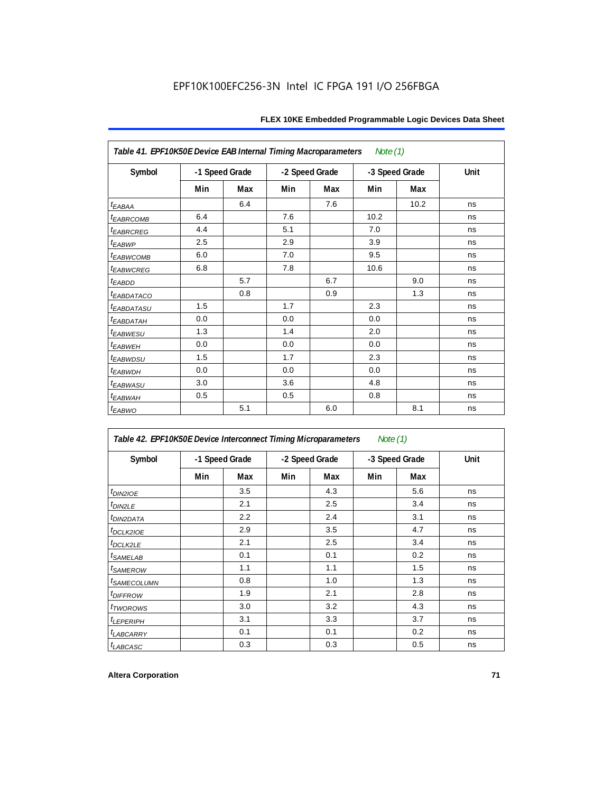| Note $(1)$<br>Table 41. EPF10K50E Device EAB Internal Timing Macroparameters |                |     |                |     |      |                |      |  |  |  |
|------------------------------------------------------------------------------|----------------|-----|----------------|-----|------|----------------|------|--|--|--|
| Symbol                                                                       | -1 Speed Grade |     | -2 Speed Grade |     |      | -3 Speed Grade | Unit |  |  |  |
|                                                                              | Min            | Max | Min            | Max | Min  | Max            |      |  |  |  |
| $t_{EABA}$                                                                   |                | 6.4 |                | 7.6 |      | 10.2           | ns   |  |  |  |
| <b><i>EABRCOMB</i></b>                                                       | 6.4            |     | 7.6            |     | 10.2 |                | ns   |  |  |  |
| <b><i>EABRCREG</i></b>                                                       | 4.4            |     | 5.1            |     | 7.0  |                | ns   |  |  |  |
| t <sub>EABWP</sub>                                                           | 2.5            |     | 2.9            |     | 3.9  |                | ns   |  |  |  |
| <sup>t</sup> EABWCOMB                                                        | 6.0            |     | 7.0            |     | 9.5  |                | ns   |  |  |  |
| <b><i>EABWCREG</i></b>                                                       | 6.8            |     | 7.8            |     | 10.6 |                | ns   |  |  |  |
| $t_{EABDD}$                                                                  |                | 5.7 |                | 6.7 |      | 9.0            | ns   |  |  |  |
| <sup>t</sup> EABDATACO                                                       |                | 0.8 |                | 0.9 |      | 1.3            | ns   |  |  |  |
| <sup>t</sup> EABDATASU                                                       | 1.5            |     | 1.7            |     | 2.3  |                | ns   |  |  |  |
| <sup>t</sup> EABDATAH                                                        | 0.0            |     | 0.0            |     | 0.0  |                | ns   |  |  |  |
| <sup>t</sup> EABWESU                                                         | 1.3            |     | 1.4            |     | 2.0  |                | ns   |  |  |  |
| t <sub>EABWEH</sub>                                                          | 0.0            |     | 0.0            |     | 0.0  |                | ns   |  |  |  |
| <i>t<sub>EABWDSU</sub></i>                                                   | 1.5            |     | 1.7            |     | 2.3  |                | ns   |  |  |  |
| t <sub>EABWDH</sub>                                                          | 0.0            |     | 0.0            |     | 0.0  |                | ns   |  |  |  |
| <sup>t</sup> EABWASU                                                         | 3.0            |     | 3.6            |     | 4.8  |                | ns   |  |  |  |
| t <sub>EABWAH</sub>                                                          | 0.5            |     | 0.5            |     | 0.8  |                | ns   |  |  |  |
| $t_{EABWO}$                                                                  |                | 5.1 |                | 6.0 |      | 8.1            | ns   |  |  |  |

| Table 42. EPF10K50E Device Interconnect Timing Microparameters<br>Note $(1)$ |                |     |                |     |                |     |      |  |  |  |
|------------------------------------------------------------------------------|----------------|-----|----------------|-----|----------------|-----|------|--|--|--|
| Symbol                                                                       | -1 Speed Grade |     | -2 Speed Grade |     | -3 Speed Grade |     | Unit |  |  |  |
|                                                                              | Min            | Max | Min            | Max | Min            | Max |      |  |  |  |
| $tD$ IN2IOE                                                                  |                | 3.5 |                | 4.3 |                | 5.6 | ns   |  |  |  |
| t <sub>DIN2LE</sub>                                                          |                | 2.1 |                | 2.5 |                | 3.4 | ns   |  |  |  |
| <sup>t</sup> DIN2DATA                                                        |                | 2.2 |                | 2.4 |                | 3.1 | ns   |  |  |  |
| $t$ DCLK2IOE                                                                 |                | 2.9 |                | 3.5 |                | 4.7 | ns   |  |  |  |
| $t$ DCLK2LE                                                                  |                | 2.1 |                | 2.5 |                | 3.4 | ns   |  |  |  |
| <sup>t</sup> SAMELAB                                                         |                | 0.1 |                | 0.1 |                | 0.2 | ns   |  |  |  |
| <i>t</i> SAMEROW                                                             |                | 1.1 |                | 1.1 |                | 1.5 | ns   |  |  |  |
| <i>t<sub>SAMECOLUMN</sub></i>                                                |                | 0.8 |                | 1.0 |                | 1.3 | ns   |  |  |  |
| <i>t<sub>DIFFROW</sub></i>                                                   |                | 1.9 |                | 2.1 |                | 2.8 | ns   |  |  |  |
| <i>t</i> TWOROWS                                                             |                | 3.0 |                | 3.2 |                | 4.3 | ns   |  |  |  |
| <b><i>LEPERIPH</i></b>                                                       |                | 3.1 |                | 3.3 |                | 3.7 | ns   |  |  |  |
| <b><i>LABCARRY</i></b>                                                       |                | 0.1 |                | 0.1 |                | 0.2 | ns   |  |  |  |
| t <sub>LABCASC</sub>                                                         |                | 0.3 |                | 0.3 |                | 0.5 | ns   |  |  |  |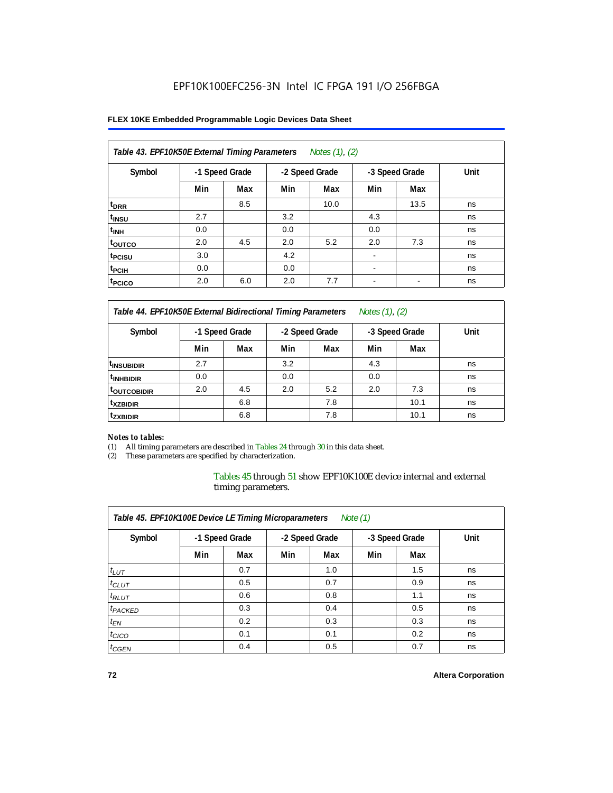#### **FLEX 10KE Embedded Programmable Logic Devices Data Sheet**

| Table 43. EPF10K50E External Timing Parameters<br>Notes $(1)$ , $(2)$ |     |                |                |      |                          |      |      |  |  |  |
|-----------------------------------------------------------------------|-----|----------------|----------------|------|--------------------------|------|------|--|--|--|
| Symbol                                                                |     | -1 Speed Grade | -2 Speed Grade |      | -3 Speed Grade           |      | Unit |  |  |  |
|                                                                       | Min | Max            | Min            | Max  | Min                      | Max  |      |  |  |  |
| t <sub>DRR</sub>                                                      |     | 8.5            |                | 10.0 |                          | 13.5 | ns   |  |  |  |
| t <sub>insu</sub>                                                     | 2.7 |                | 3.2            |      | 4.3                      |      | ns   |  |  |  |
| $t_{\text{INH}}$                                                      | 0.0 |                | 0.0            |      | 0.0                      |      | ns   |  |  |  |
| toutco                                                                | 2.0 | 4.5            | 2.0            | 5.2  | 2.0                      | 7.3  | ns   |  |  |  |
| t <sub>PCISU</sub>                                                    | 3.0 |                | 4.2            |      | $\overline{\phantom{a}}$ |      | ns   |  |  |  |
| <sup>t</sup> PCIH                                                     | 0.0 |                | 0.0            |      | $\overline{\phantom{a}}$ |      | ns   |  |  |  |
| <sup>t</sup> PCICO                                                    | 2.0 | 6.0            | 2.0            | 7.7  | $\blacksquare$           |      | ns   |  |  |  |

*Table 44. EPF10K50E External Bidirectional Timing Parameters Notes (1), (2)*

| Symbol                    | -1 Speed Grade |     | -2 Speed Grade |     | -3 Speed Grade |      | Unit |
|---------------------------|----------------|-----|----------------|-----|----------------|------|------|
|                           | Min            | Max | Min            | Max | Min            | Max  |      |
| <sup>I</sup> INSUBIDIR    | 2.7            |     | 3.2            |     | 4.3            |      | ns   |
| <sup>t</sup> INHBIDIR     | 0.0            |     | 0.0            |     | 0.0            |      | ns   |
| <b><i>LOUTCOBIDIR</i></b> | 2.0            | 4.5 | 2.0            | 5.2 | 2.0            | 7.3  | ns   |
| <sup>t</sup> xzbidir      |                | 6.8 |                | 7.8 |                | 10.1 | ns   |
| <sup>t</sup> zxbidir      |                | 6.8 |                | 7.8 |                | 10.1 | ns   |

#### *Notes to tables:*

(1) All timing parameters are described in Tables 24 through 30 in this data sheet.

(2) These parameters are specified by characterization.

Tables 45 through 51 show EPF10K100E device internal and external timing parameters.

| Table 45. EPF10K100E Device LE Timing Microparameters<br>Note $(1)$ |                |     |                |     |                |     |      |  |  |  |
|---------------------------------------------------------------------|----------------|-----|----------------|-----|----------------|-----|------|--|--|--|
| Symbol                                                              | -1 Speed Grade |     | -2 Speed Grade |     | -3 Speed Grade |     | Unit |  |  |  |
|                                                                     | Min            | Max | Min            | Max | Min            | Max |      |  |  |  |
| $t_{LUT}$                                                           |                | 0.7 |                | 1.0 |                | 1.5 | ns   |  |  |  |
| $t_{CLUT}$                                                          |                | 0.5 |                | 0.7 |                | 0.9 | ns   |  |  |  |
| $t_{RLUT}$                                                          |                | 0.6 |                | 0.8 |                | 1.1 | ns   |  |  |  |
| <sup>t</sup> PACKED                                                 |                | 0.3 |                | 0.4 |                | 0.5 | ns   |  |  |  |
| $t_{EN}$                                                            |                | 0.2 |                | 0.3 |                | 0.3 | ns   |  |  |  |
| $t_{CICO}$                                                          |                | 0.1 |                | 0.1 |                | 0.2 | ns   |  |  |  |
| $t_{\text{GEN}}$                                                    |                | 0.4 |                | 0.5 |                | 0.7 | ns   |  |  |  |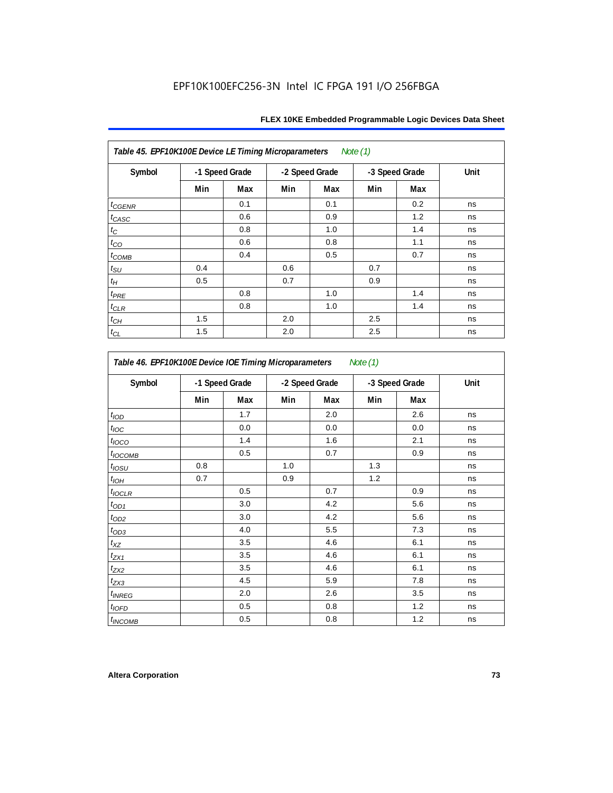| Table 45. EPF10K100E Device LE Timing Microparameters Note (1) |                |     |     |                |     |                |      |  |  |  |
|----------------------------------------------------------------|----------------|-----|-----|----------------|-----|----------------|------|--|--|--|
| Symbol                                                         | -1 Speed Grade |     |     | -2 Speed Grade |     | -3 Speed Grade | Unit |  |  |  |
|                                                                | Min            | Max | Min | Max            | Min | Max            |      |  |  |  |
| $t_{GENR}$                                                     |                | 0.1 |     | 0.1            |     | 0.2            | ns   |  |  |  |
| $t_{CASC}$                                                     |                | 0.6 |     | 0.9            |     | 1.2            | ns   |  |  |  |
| $t_C$                                                          |                | 0.8 |     | 1.0            |     | 1.4            | ns   |  |  |  |
| $t_{CO}$                                                       |                | 0.6 |     | 0.8            |     | 1.1            | ns   |  |  |  |
| $t_{COMB}$                                                     |                | 0.4 |     | 0.5            |     | 0.7            | ns   |  |  |  |
| $t_{\text{SU}}$                                                | 0.4            |     | 0.6 |                | 0.7 |                | ns   |  |  |  |
| $t_H$                                                          | 0.5            |     | 0.7 |                | 0.9 |                | ns   |  |  |  |
| $t_{PRE}$                                                      |                | 0.8 |     | 1.0            |     | 1.4            | ns   |  |  |  |
| $t_{CLR}$                                                      |                | 0.8 |     | 1.0            |     | 1.4            | ns   |  |  |  |
| $t_{CH}$                                                       | 1.5            |     | 2.0 |                | 2.5 |                | ns   |  |  |  |
| $t_{CL}$                                                       | 1.5            |     | 2.0 |                | 2.5 |                | ns   |  |  |  |

| Symbol              | -1 Speed Grade |     |     | -2 Speed Grade | -3 Speed Grade |     | Unit |
|---------------------|----------------|-----|-----|----------------|----------------|-----|------|
|                     | Min            | Max | Min | Max            | Min            | Max |      |
| t <sub>IOD</sub>    |                | 1.7 |     | 2.0            |                | 2.6 | ns   |
| $t_{\text{IOC}}$    |                | 0.0 |     | 0.0            |                | 0.0 | ns   |
| $t_{\text{IOCO}}$   |                | 1.4 |     | 1.6            |                | 2.1 | ns   |
| t <sub>IOCOMB</sub> |                | 0.5 |     | 0.7            |                | 0.9 | ns   |
| $t_{IOSU}$          | 0.8            |     | 1.0 |                | 1.3            |     | ns   |
| $t_{IOH}$           | 0.7            |     | 0.9 |                | 1.2            |     | ns   |
| $t_{IOCLR}$         |                | 0.5 |     | 0.7            |                | 0.9 | ns   |
| $t_{OD1}$           |                | 3.0 |     | 4.2            |                | 5.6 | ns   |
| $t_{OD2}$           |                | 3.0 |     | 4.2            |                | 5.6 | ns   |
| $t_{OD3}$           |                | 4.0 |     | 5.5            |                | 7.3 | ns   |
| $t_{XZ}$            |                | 3.5 |     | 4.6            |                | 6.1 | ns   |
| $t_{ZX1}$           |                | 3.5 |     | 4.6            |                | 6.1 | ns   |
| t <sub>ZX2</sub>    |                | 3.5 |     | 4.6            |                | 6.1 | ns   |
| $t_{ZX3}$           |                | 4.5 |     | 5.9            |                | 7.8 | ns   |
| t <sub>INREG</sub>  |                | 2.0 |     | 2.6            |                | 3.5 | ns   |
| $t_{IOFD}$          |                | 0.5 |     | 0.8            |                | 1.2 | ns   |
| <sup>t</sup> INCOMB |                | 0.5 |     | 0.8            |                | 1.2 | ns   |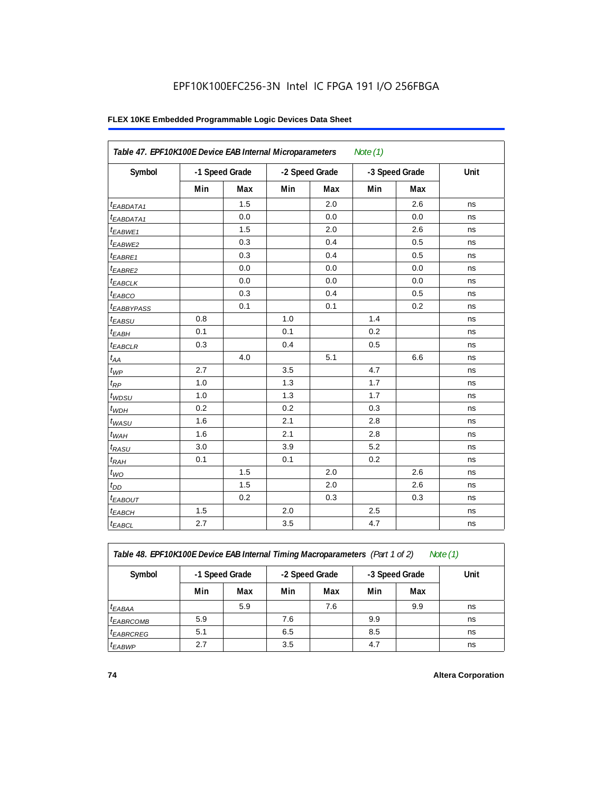### **FLEX 10KE Embedded Programmable Logic Devices Data Sheet**

| Table 47. EPF10K100E Device EAB Internal Microparameters<br>Note $(1)$ |     |                |     |                |     |                |      |  |  |  |
|------------------------------------------------------------------------|-----|----------------|-----|----------------|-----|----------------|------|--|--|--|
| Symbol                                                                 |     | -1 Speed Grade |     | -2 Speed Grade |     | -3 Speed Grade | Unit |  |  |  |
|                                                                        | Min | Max            | Min | Max            | Min | Max            |      |  |  |  |
| <sup>t</sup> EABDATA1                                                  |     | 1.5            |     | 2.0            |     | 2.6            | ns   |  |  |  |
| $t_{EABDATA1}$                                                         |     | 0.0            |     | 0.0            |     | 0.0            | ns   |  |  |  |
| $t_{EABWE1}$                                                           |     | 1.5            |     | 2.0            |     | 2.6            | ns   |  |  |  |
| t <sub>EABWE2</sub>                                                    |     | 0.3            |     | 0.4            |     | 0.5            | ns   |  |  |  |
| t <sub>EABRE1</sub>                                                    |     | 0.3            |     | 0.4            |     | 0.5            | ns   |  |  |  |
| $t_{EABRE2}$                                                           |     | 0.0            |     | 0.0            |     | 0.0            | ns   |  |  |  |
| $t_{EABCLK}$                                                           |     | 0.0            |     | 0.0            |     | 0.0            | ns   |  |  |  |
| $t_{EABCO}$                                                            |     | 0.3            |     | 0.4            |     | 0.5            | ns   |  |  |  |
| t <sub>EABBYPASS</sub>                                                 |     | 0.1            |     | 0.1            |     | 0.2            | ns   |  |  |  |
| $t_{EABSU}$                                                            | 0.8 |                | 1.0 |                | 1.4 |                | ns   |  |  |  |
| $t_{EABH}$                                                             | 0.1 |                | 0.1 |                | 0.2 |                | ns   |  |  |  |
| $t_{EABCLR}$                                                           | 0.3 |                | 0.4 |                | 0.5 |                | ns   |  |  |  |
| $t_{AA}$                                                               |     | 4.0            |     | 5.1            |     | 6.6            | ns   |  |  |  |
| $t_{WP}$                                                               | 2.7 |                | 3.5 |                | 4.7 |                | ns   |  |  |  |
| $t_{RP}$                                                               | 1.0 |                | 1.3 |                | 1.7 |                | ns   |  |  |  |
| $t_{WDSU}$                                                             | 1.0 |                | 1.3 |                | 1.7 |                | ns   |  |  |  |
| $t_{WDH}$                                                              | 0.2 |                | 0.2 |                | 0.3 |                | ns   |  |  |  |
| $t_{WASU}$                                                             | 1.6 |                | 2.1 |                | 2.8 |                | ns   |  |  |  |
| $t_{WAH}$                                                              | 1.6 |                | 2.1 |                | 2.8 |                | ns   |  |  |  |
| $t_{RASU}$                                                             | 3.0 |                | 3.9 |                | 5.2 |                | ns   |  |  |  |
| $t_{RAH}$                                                              | 0.1 |                | 0.1 |                | 0.2 |                | ns   |  |  |  |
| $t_{WO}$                                                               |     | 1.5            |     | 2.0            |     | 2.6            | ns   |  |  |  |
| $t_{DD}$                                                               |     | 1.5            |     | 2.0            |     | 2.6            | ns   |  |  |  |
| $t_{EABOUT}$                                                           |     | 0.2            |     | 0.3            |     | 0.3            | ns   |  |  |  |
| <sup>t</sup> EABCH                                                     | 1.5 |                | 2.0 |                | 2.5 |                | ns   |  |  |  |
| $t_{EABCL}$                                                            | 2.7 |                | 3.5 |                | 4.7 |                | ns   |  |  |  |

*Table 48. EPF10K100E Device EAB Internal Timing Macroparameters (Part 1 of 2) Note (1)*

| Symbol                | -1 Speed Grade |     | -2 Speed Grade |     | -3 Speed Grade |     | Unit |
|-----------------------|----------------|-----|----------------|-----|----------------|-----|------|
|                       | Min            | Max | Min            | Max | Min            | Max |      |
| $t_{EABA}$            |                | 5.9 |                | 7.6 |                | 9.9 | ns   |
| <sup>t</sup> EABRCOMB | 5.9            |     | 7.6            |     | 9.9            |     | ns   |
| $t_{EABRCREG}$        | 5.1            |     | 6.5            |     | 8.5            |     | ns   |
| $t_{EABWP}$           | 2.7            |     | 3.5            |     | 4.7            |     | ns   |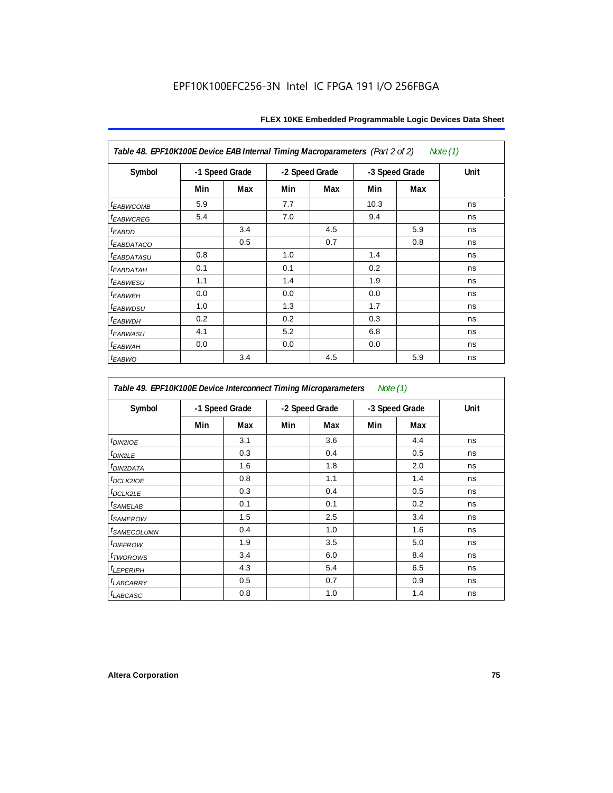| Table 48. EPF10K100E Device EAB Internal Timing Macroparameters (Part 2 of 2)<br>Note (1) |                |     |                |     |                |     |      |  |  |  |
|-------------------------------------------------------------------------------------------|----------------|-----|----------------|-----|----------------|-----|------|--|--|--|
| Symbol                                                                                    | -1 Speed Grade |     | -2 Speed Grade |     | -3 Speed Grade |     | Unit |  |  |  |
|                                                                                           | Min            | Max | Min            | Max | Min            | Max |      |  |  |  |
| <i>t<sub>EABWCOMB</sub></i>                                                               | 5.9            |     | 7.7            |     | 10.3           |     | ns   |  |  |  |
| <sup>t</sup> EABWCREG                                                                     | 5.4            |     | 7.0            |     | 9.4            |     | ns   |  |  |  |
| t <sub>EABDD</sub>                                                                        |                | 3.4 |                | 4.5 |                | 5.9 | ns   |  |  |  |
| <b><i>EABDATACO</i></b>                                                                   |                | 0.5 |                | 0.7 |                | 0.8 | ns   |  |  |  |
| <sup>t</sup> EABDATASU                                                                    | 0.8            |     | 1.0            |     | 1.4            |     | ns   |  |  |  |
| <sup>t</sup> EABDATAH                                                                     | 0.1            |     | 0.1            |     | 0.2            |     | ns   |  |  |  |
| <i>t<sub>EABWESU</sub></i>                                                                | 1.1            |     | 1.4            |     | 1.9            |     | ns   |  |  |  |
| <sup>t</sup> EABWEH                                                                       | 0.0            |     | 0.0            |     | 0.0            |     | ns   |  |  |  |
| <sup>t</sup> EABWDSU                                                                      | 1.0            |     | 1.3            |     | 1.7            |     | ns   |  |  |  |
| t <sub>EABWDH</sub>                                                                       | 0.2            |     | 0.2            |     | 0.3            |     | ns   |  |  |  |
| <sup>t</sup> EABWASU                                                                      | 4.1            |     | 5.2            |     | 6.8            |     | ns   |  |  |  |
| <sup>t</sup> ЕАВWАН                                                                       | 0.0            |     | 0.0            |     | 0.0            |     | ns   |  |  |  |
| t <sub>EABWO</sub>                                                                        |                | 3.4 |                | 4.5 |                | 5.9 | ns   |  |  |  |

*Table 49. EPF10K100E Device Interconnect Timing Microparameters Note (1)*

| Symbol                        |     | -1 Speed Grade |     | -2 Speed Grade |     | -3 Speed Grade | Unit |  |
|-------------------------------|-----|----------------|-----|----------------|-----|----------------|------|--|
|                               | Min | Max            | Min | Max            | Min | Max            |      |  |
| $tD$ IN2IOE                   |     | 3.1            |     | 3.6            |     | 4.4            | ns   |  |
| t <sub>DIN2LE</sub>           |     | 0.3            |     | 0.4            |     | 0.5            | ns   |  |
| <sup>t</sup> DIN2DATA         |     | 1.6            |     | 1.8            |     | 2.0            | ns   |  |
| $t_{DCLK2IOE}$                |     | 0.8            |     | 1.1            |     | 1.4            | ns   |  |
| $t$ DCLK2LE                   |     | 0.3            |     | 0.4            |     | 0.5            | ns   |  |
| <sup>t</sup> SAMELAB          |     | 0.1            |     | 0.1            |     | 0.2            | ns   |  |
| <i>t</i> SAMEROW              |     | 1.5            |     | 2.5            |     | 3.4            | ns   |  |
| <i>t<sub>SAMECOLUMN</sub></i> |     | 0.4            |     | 1.0            |     | 1.6            | ns   |  |
| <i>t<sub>DIFFROW</sub></i>    |     | 1.9            |     | 3.5            |     | 5.0            | ns   |  |
| <i>t</i> TWOROWS              |     | 3.4            |     | 6.0            |     | 8.4            | ns   |  |
| <b>LEPERIPH</b>               |     | 4.3            |     | 5.4            |     | 6.5            | ns   |  |
| t <sub>LABCARRY</sub>         |     | 0.5            |     | 0.7            |     | 0.9            | ns   |  |
| $t_{LABCASC}$                 |     | 0.8            |     | 1.0            |     | 1.4            | ns   |  |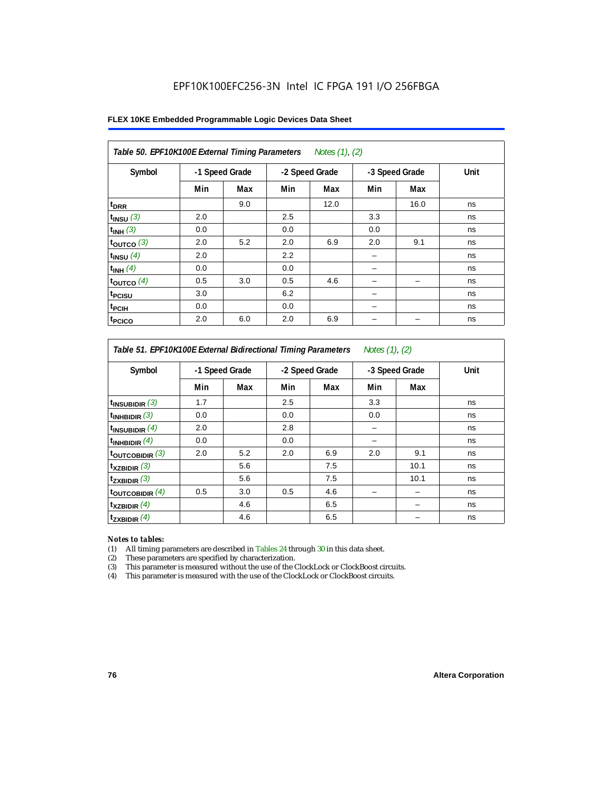|  |  |  | FLEX 10KE Embedded Programmable Logic Devices Data Sheet |  |  |  |  |
|--|--|--|----------------------------------------------------------|--|--|--|--|
|--|--|--|----------------------------------------------------------|--|--|--|--|

| Table 50. EPF10K100E External Timing Parameters Notes (1), (2) |                |     |     |                |     |                |      |  |  |  |
|----------------------------------------------------------------|----------------|-----|-----|----------------|-----|----------------|------|--|--|--|
| Symbol                                                         | -1 Speed Grade |     |     | -2 Speed Grade |     | -3 Speed Grade | Unit |  |  |  |
|                                                                | Min            | Max | Min | Max            | Min | Max            |      |  |  |  |
| t <sub>DRR</sub>                                               |                | 9.0 |     | 12.0           |     | 16.0           | ns   |  |  |  |
| $t_{INSU}$ (3)                                                 | 2.0            |     | 2.5 |                | 3.3 |                | ns   |  |  |  |
| $t_{INH}$ (3)                                                  | 0.0            |     | 0.0 |                | 0.0 |                | ns   |  |  |  |
| $t_{OUTCO}$ (3)                                                | 2.0            | 5.2 | 2.0 | 6.9            | 2.0 | 9.1            | ns   |  |  |  |
| $t_{INSU}$ (4)                                                 | 2.0            |     | 2.2 |                |     |                | ns   |  |  |  |
| $t_{INH}$ (4)                                                  | 0.0            |     | 0.0 |                |     |                | ns   |  |  |  |
| $t_{OUTCO}$ (4)                                                | 0.5            | 3.0 | 0.5 | 4.6            |     |                | ns   |  |  |  |
| t <sub>PCISU</sub>                                             | 3.0            |     | 6.2 |                |     |                | ns   |  |  |  |
| t <sub>PCIH</sub>                                              | 0.0            |     | 0.0 |                | -   |                | ns   |  |  |  |
| t <sub>PCICO</sub>                                             | 2.0            | 6.0 | 2.0 | 6.9            |     |                | ns   |  |  |  |

*Table 51. EPF10K100E External Bidirectional Timing Parameters Notes (1), (2)*

| Symbol                      | -1 Speed Grade |     | -2 Speed Grade |     | -3 Speed Grade |      | Unit |  |
|-----------------------------|----------------|-----|----------------|-----|----------------|------|------|--|
|                             | Min            | Max | Min            | Max | Min            | Max  |      |  |
| $t_{INSUBIDIR}$ (3)         | 1.7            |     | 2.5            |     | 3.3            |      | ns   |  |
| $t_{INHBIDIR}$ (3)          | 0.0            |     | 0.0            |     | 0.0            |      | ns   |  |
| $t_{INSUBIDIR}(4)$          | 2.0            |     | 2.8            |     |                |      | ns   |  |
| $t_{INHBIDIR}$ $(4)$        | 0.0            |     | 0.0            |     |                |      | ns   |  |
| $t_{\text{OUTCOBIDIR}}$ (3) | 2.0            | 5.2 | 2.0            | 6.9 | 2.0            | 9.1  | ns   |  |
| $t_{XZBIDIR}$ (3)           |                | 5.6 |                | 7.5 |                | 10.1 | ns   |  |
| $t_{ZXBIDIR}$ (3)           |                | 5.6 |                | 7.5 |                | 10.1 | ns   |  |
| $t_{\text{OUTCOBIDIR}}$ (4) | 0.5            | 3.0 | 0.5            | 4.6 |                |      | ns   |  |
| $t_{XZBIDIR}$ (4)           |                | 4.6 |                | 6.5 |                |      | ns   |  |
| $t_{ZXBIDIR}$ (4)           |                | 4.6 |                | 6.5 |                |      | ns   |  |

#### *Notes to tables:*

(1) All timing parameters are described in Tables 24 through 30 in this data sheet.

(2) These parameters are specified by characterization.

(3) This parameter is measured without the use of the ClockLock or ClockBoost circuits.

(4) This parameter is measured with the use of the ClockLock or ClockBoost circuits.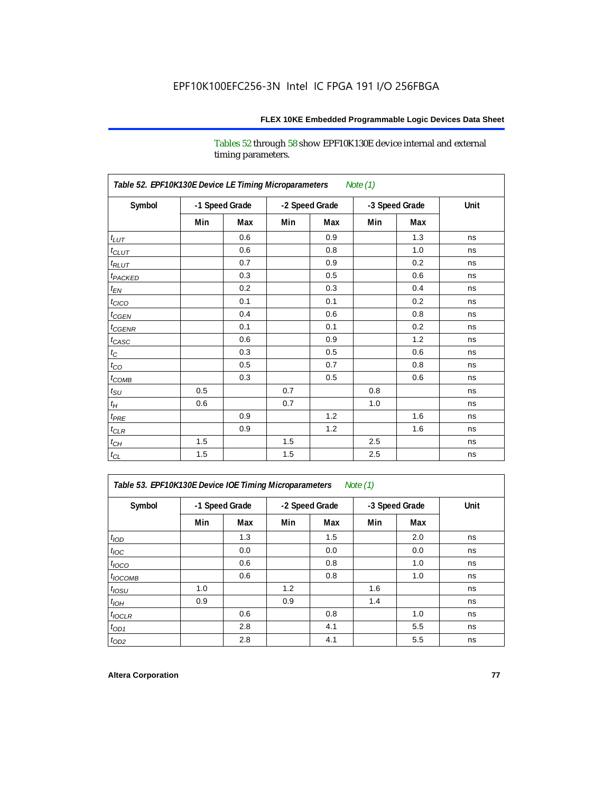Tables 52 through 58 show EPF10K130E device internal and external timing parameters.

| Table 52. EPF10K130E Device LE Timing Microparameters<br><b>Note (1)</b> |                |     |     |                |     |                |      |  |  |  |
|--------------------------------------------------------------------------|----------------|-----|-----|----------------|-----|----------------|------|--|--|--|
| Symbol                                                                   | -1 Speed Grade |     |     | -2 Speed Grade |     | -3 Speed Grade | Unit |  |  |  |
|                                                                          | Min            | Max | Min | Max            | Min | Max            |      |  |  |  |
| $t_{LUT}$                                                                |                | 0.6 |     | 0.9            |     | 1.3            | ns   |  |  |  |
| $t_{CLUT}$                                                               |                | 0.6 |     | 0.8            |     | 1.0            | ns   |  |  |  |
| $t_{RLUT}$                                                               |                | 0.7 |     | 0.9            |     | 0.2            | ns   |  |  |  |
| t <sub>PACKED</sub>                                                      |                | 0.3 |     | 0.5            |     | 0.6            | ns   |  |  |  |
| $t_{EN}$                                                                 |                | 0.2 |     | 0.3            |     | 0.4            | ns   |  |  |  |
| $t_{CICO}$                                                               |                | 0.1 |     | 0.1            |     | 0.2            | ns   |  |  |  |
| $t_{CGEN}$                                                               |                | 0.4 |     | 0.6            |     | 0.8            | ns   |  |  |  |
| $t_{CGENR}$                                                              |                | 0.1 |     | 0.1            |     | 0.2            | ns   |  |  |  |
| $t_{CASC}$                                                               |                | 0.6 |     | 0.9            |     | 1.2            | ns   |  |  |  |
| $t_{\rm C}$                                                              |                | 0.3 |     | 0.5            |     | 0.6            | ns   |  |  |  |
| $t_{CO}$                                                                 |                | 0.5 |     | 0.7            |     | 0.8            | ns   |  |  |  |
| $t_{\text{COMB}}$                                                        |                | 0.3 |     | 0.5            |     | 0.6            | ns   |  |  |  |
| $t_{\rm SU}$                                                             | 0.5            |     | 0.7 |                | 0.8 |                | ns   |  |  |  |
| $t_H$                                                                    | 0.6            |     | 0.7 |                | 1.0 |                | ns   |  |  |  |
| $t_{PRE}$                                                                |                | 0.9 |     | 1.2            |     | 1.6            | ns   |  |  |  |
| $t_{CLR}$                                                                |                | 0.9 |     | 1.2            |     | 1.6            | ns   |  |  |  |
| $t_{CH}$                                                                 | 1.5            |     | 1.5 |                | 2.5 |                | ns   |  |  |  |
| $t_{\rm CL}$                                                             | 1.5            |     | 1.5 |                | 2.5 |                | ns   |  |  |  |

*Table 53. EPF10K130E Device IOE Timing Microparameters Note (1)*

| Symbol           |     | -1 Speed Grade |     | -2 Speed Grade |     | -3 Speed Grade | Unit |  |
|------------------|-----|----------------|-----|----------------|-----|----------------|------|--|
|                  | Min | Max            | Min | Max            | Min | Max            |      |  |
| t <sub>IOD</sub> |     | 1.3            |     | 1.5            |     | 2.0            | ns   |  |
| $t_{\text{IOC}}$ |     | 0.0            |     | 0.0            |     | 0.0            | ns   |  |
| $t_{IOCO}$       |     | 0.6            |     | 0.8            |     | 1.0            | ns   |  |
| $t_{IOCOMB}$     |     | 0.6            |     | 0.8            |     | 1.0            | ns   |  |
| $t_{IOSU}$       | 1.0 |                | 1.2 |                | 1.6 |                | ns   |  |
| $t_{IOH}$        | 0.9 |                | 0.9 |                | 1.4 |                | ns   |  |
| $t_{IOCLR}$      |     | 0.6            |     | 0.8            |     | 1.0            | ns   |  |
| $t_{OD1}$        |     | 2.8            |     | 4.1            |     | 5.5            | ns   |  |
| $t_{OD2}$        |     | 2.8            |     | 4.1            |     | 5.5            | ns   |  |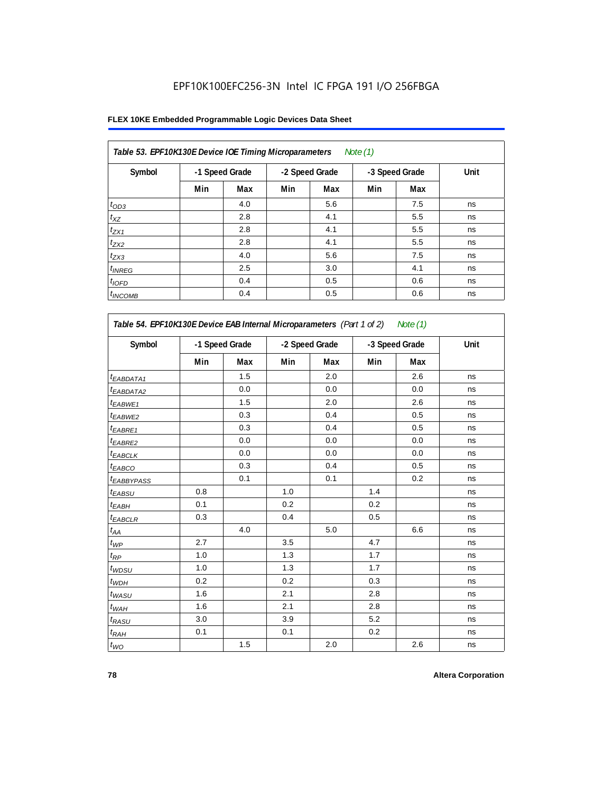| Table 53. EPF10K130E Device IOE Timing Microparameters<br>Note $(1)$ |     |                |     |                |     |                |      |  |  |  |  |
|----------------------------------------------------------------------|-----|----------------|-----|----------------|-----|----------------|------|--|--|--|--|
| Symbol                                                               |     | -1 Speed Grade |     | -2 Speed Grade |     | -3 Speed Grade | Unit |  |  |  |  |
|                                                                      | Min | Max            | Min | Max            | Min | Max            |      |  |  |  |  |
| $t_{OD3}$                                                            |     | 4.0            |     | 5.6            |     | 7.5            | ns   |  |  |  |  |
| $t_{XZ}$                                                             |     | 2.8            |     | 4.1            |     | 5.5            | ns   |  |  |  |  |
| $t_{ZX1}$                                                            |     | 2.8            |     | 4.1            |     | 5.5            | ns   |  |  |  |  |
| $t_{ZX2}$                                                            |     | 2.8            |     | 4.1            |     | 5.5            | ns   |  |  |  |  |
| $t_{ZX3}$                                                            |     | 4.0            |     | 5.6            |     | 7.5            | ns   |  |  |  |  |
| $t_{INREG}$                                                          |     | 2.5            |     | 3.0            |     | 4.1            | ns   |  |  |  |  |
| $t_{IOFD}$                                                           |     | 0.4            |     | 0.5            |     | 0.6            | ns   |  |  |  |  |
| $t_{INCOMB}$                                                         |     | 0.4            |     | 0.5            |     | 0.6            | ns   |  |  |  |  |

| Symbol                 | -1 Speed Grade |            | -2 Speed Grade |     | -3 Speed Grade |     | Unit |
|------------------------|----------------|------------|----------------|-----|----------------|-----|------|
|                        | Min            | <b>Max</b> | Min            | Max | Min            | Max |      |
| $t_{EABDATA1}$         |                | 1.5        |                | 2.0 |                | 2.6 | ns   |
| t <sub>EABDATA2</sub>  |                | 0.0        |                | 0.0 |                | 0.0 | ns   |
| t <sub>EABWE1</sub>    |                | 1.5        |                | 2.0 |                | 2.6 | ns   |
| <sup>t</sup> EABWE2    |                | 0.3        |                | 0.4 |                | 0.5 | ns   |
| t <sub>EABRE1</sub>    |                | 0.3        |                | 0.4 |                | 0.5 | ns   |
| t <sub>EABRE2</sub>    |                | 0.0        |                | 0.0 |                | 0.0 | ns   |
| <sup>t</sup> EABCLK    |                | 0.0        |                | 0.0 |                | 0.0 | ns   |
| t <sub>EABCO</sub>     |                | 0.3        |                | 0.4 |                | 0.5 | ns   |
| t <sub>EABBYPASS</sub> |                | 0.1        |                | 0.1 |                | 0.2 | ns   |
| t <sub>EABSU</sub>     | 0.8            |            | 1.0            |     | 1.4            |     | ns   |
| t <sub>ЕАВН</sub>      | 0.1            |            | 0.2            |     | 0.2            |     | ns   |
| <sup>t</sup> EABCLR    | 0.3            |            | 0.4            |     | 0.5            |     | ns   |
| $t_{AA}$               |                | 4.0        |                | 5.0 |                | 6.6 | ns   |
| $t_{WP}$               | 2.7            |            | 3.5            |     | 4.7            |     | ns   |
| $t_{\mathsf{RP}}$      | 1.0            |            | 1.3            |     | 1.7            |     | ns   |
| $t_{WDSU}$             | 1.0            |            | 1.3            |     | 1.7            |     | ns   |
| $t_{WDH}$              | 0.2            |            | 0.2            |     | 0.3            |     | ns   |
| $t_{WASU}$             | 1.6            |            | 2.1            |     | 2.8            |     | ns   |
| $t_{WAH}$              | 1.6            |            | 2.1            |     | 2.8            |     | ns   |
| $t_{RASU}$             | 3.0            |            | 3.9            |     | 5.2            |     | ns   |
| t <sub>RАН</sub>       | 0.1            |            | 0.1            |     | 0.2            |     | ns   |
| $t_{WO}$               |                | 1.5        |                | 2.0 |                | 2.6 | ns   |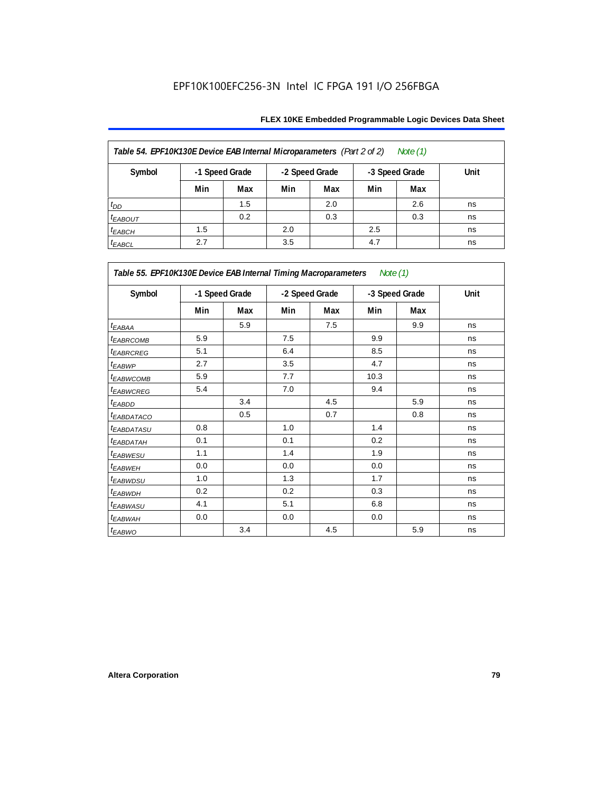| Table 54. EPF10K130E Device EAB Internal Microparameters (Part 2 of 2)<br>Note (1) |     |                |     |                |     |                |      |  |  |  |
|------------------------------------------------------------------------------------|-----|----------------|-----|----------------|-----|----------------|------|--|--|--|
| Symbol                                                                             |     | -1 Speed Grade |     | -2 Speed Grade |     | -3 Speed Grade | Unit |  |  |  |
|                                                                                    | Min | Max            | Min | Max            | Min | Max            |      |  |  |  |
| $t_{DD}$                                                                           |     | 1.5            |     | 2.0            |     | 2.6            | ns   |  |  |  |
| <b><i>EABOUT</i></b>                                                               |     | 0.2            |     | 0.3            |     | 0.3            | ns   |  |  |  |
| $t_{EABCH}$                                                                        | 1.5 |                | 2.0 |                | 2.5 |                | ns   |  |  |  |
| $t_{EABCL}$                                                                        | 2.7 |                | 3.5 |                | 4.7 |                | ns   |  |  |  |

| Table 55. EPF10K130E Device EAB Internal Timing Macroparameters Note (1) |     |                |     |                |      |                |             |
|--------------------------------------------------------------------------|-----|----------------|-----|----------------|------|----------------|-------------|
| Symbol                                                                   |     | -1 Speed Grade |     | -2 Speed Grade |      | -3 Speed Grade | <b>Unit</b> |
|                                                                          | Min | Max            | Min | Max            | Min  | Max            |             |
| $t_{EABA}$                                                               |     | 5.9            |     | 7.5            |      | 9.9            | ns          |
| <sup>t</sup> EABRCOMB                                                    | 5.9 |                | 7.5 |                | 9.9  |                | ns          |
| <sup>t</sup> EABRCREG                                                    | 5.1 |                | 6.4 |                | 8.5  |                | ns          |
| t <sub>EABWP</sub>                                                       | 2.7 |                | 3.5 |                | 4.7  |                | ns          |
| <sup>t</sup> EABWCOMB                                                    | 5.9 |                | 7.7 |                | 10.3 |                | ns          |
| <sup>t</sup> EABWCREG                                                    | 5.4 |                | 7.0 |                | 9.4  |                | ns          |
| <sup>t</sup> EABDD                                                       |     | 3.4            |     | 4.5            |      | 5.9            | ns          |
| <sup>t</sup> EABDATACO                                                   |     | 0.5            |     | 0.7            |      | 0.8            | ns          |
| <sup>t</sup> EABDATASU                                                   | 0.8 |                | 1.0 |                | 1.4  |                | ns          |
| <sup>t</sup> EABDATAH                                                    | 0.1 |                | 0.1 |                | 0.2  |                | ns          |
| t <sub>EABWESU</sub>                                                     | 1.1 |                | 1.4 |                | 1.9  |                | ns          |
| <sup>t</sup> EABWEH                                                      | 0.0 |                | 0.0 |                | 0.0  |                | ns          |
| <sup>t</sup> EABWDSU                                                     | 1.0 |                | 1.3 |                | 1.7  |                | ns          |
| <sup>t</sup> EABWDH                                                      | 0.2 |                | 0.2 |                | 0.3  |                | ns          |
| <sup>t</sup> EABWASU                                                     | 4.1 |                | 5.1 |                | 6.8  |                | ns          |
| <sup>t</sup> EABWAH                                                      | 0.0 |                | 0.0 |                | 0.0  |                | ns          |
| t <sub>EABWO</sub>                                                       |     | 3.4            |     | 4.5            |      | 5.9            | ns          |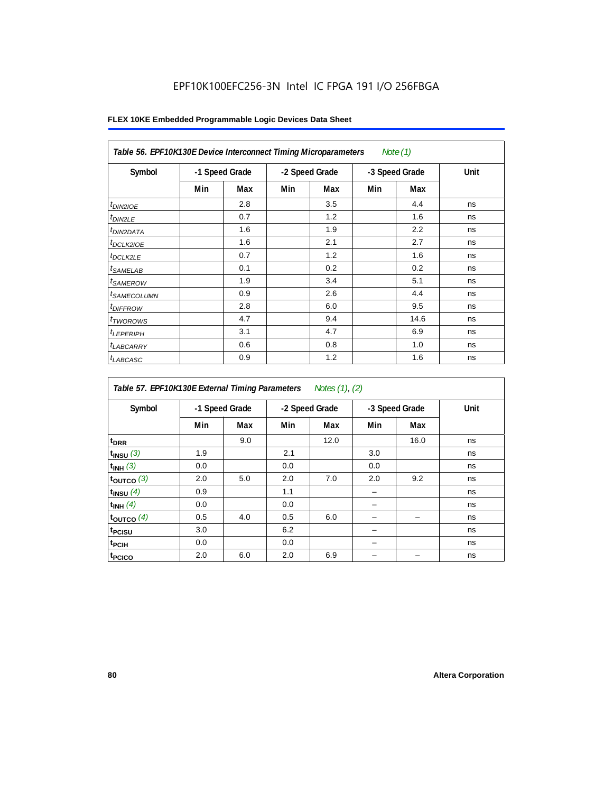| Table 56. EPF10K130E Device Interconnect Timing Microparameters<br>Note $(1)$ |                |     |                |     |                |      |      |  |  |  |
|-------------------------------------------------------------------------------|----------------|-----|----------------|-----|----------------|------|------|--|--|--|
| Symbol                                                                        | -1 Speed Grade |     | -2 Speed Grade |     | -3 Speed Grade |      | Unit |  |  |  |
|                                                                               | Min            | Max | Min            | Max | Min            | Max  |      |  |  |  |
| $t_{DINZIOE}$                                                                 |                | 2.8 |                | 3.5 |                | 4.4  | ns   |  |  |  |
| $t_{DIN2LE}$                                                                  |                | 0.7 |                | 1.2 |                | 1.6  | ns   |  |  |  |
| <sup>t</sup> DIN2DATA                                                         |                | 1.6 |                | 1.9 |                | 2.2  | ns   |  |  |  |
| $t_{DCLK2IOE}$                                                                |                | 1.6 |                | 2.1 |                | 2.7  | ns   |  |  |  |
| $t_{DCLK2LE}$                                                                 |                | 0.7 |                | 1.2 |                | 1.6  | ns   |  |  |  |
| <sup>t</sup> SAMELAB                                                          |                | 0.1 |                | 0.2 |                | 0.2  | ns   |  |  |  |
| <i>t<sub>SAMEROW</sub></i>                                                    |                | 1.9 |                | 3.4 |                | 5.1  | ns   |  |  |  |
| <sup>t</sup> SAMECOLUMN                                                       |                | 0.9 |                | 2.6 |                | 4.4  | ns   |  |  |  |
| <i>t<sub>DIFFROW</sub></i>                                                    |                | 2.8 |                | 6.0 |                | 9.5  | ns   |  |  |  |
| <sup>t</sup> TWOROWS                                                          |                | 4.7 |                | 9.4 |                | 14.6 | ns   |  |  |  |
| <sup>t</sup> LEPERIPH                                                         |                | 3.1 |                | 4.7 |                | 6.9  | ns   |  |  |  |
| <sup>t</sup> LABCARRY                                                         |                | 0.6 |                | 0.8 |                | 1.0  | ns   |  |  |  |
| <sup>t</sup> LABCASC                                                          |                | 0.9 |                | 1.2 |                | 1.6  | ns   |  |  |  |

| Table 57. EPF10K130E External Timing Parameters Notes (1), (2) |                |     |     |                |     |                |      |  |  |  |
|----------------------------------------------------------------|----------------|-----|-----|----------------|-----|----------------|------|--|--|--|
| Symbol                                                         | -1 Speed Grade |     |     | -2 Speed Grade |     | -3 Speed Grade | Unit |  |  |  |
|                                                                | Min            | Max | Min | Max            | Min | Max            |      |  |  |  |
| t <sub>DRR</sub>                                               |                | 9.0 |     | 12.0           |     | 16.0           | ns   |  |  |  |
| $t_{INSU}$ (3)                                                 | 1.9            |     | 2.1 |                | 3.0 |                | ns   |  |  |  |
| $t_{INH}$ (3)                                                  | 0.0            |     | 0.0 |                | 0.0 |                | ns   |  |  |  |
| $t_{OUTCO}$ (3)                                                | 2.0            | 5.0 | 2.0 | 7.0            | 2.0 | 9.2            | ns   |  |  |  |
| $t_{INSU}$ (4)                                                 | 0.9            |     | 1.1 |                |     |                | ns   |  |  |  |
| $t_{INH}$ (4)                                                  | 0.0            |     | 0.0 |                |     |                | ns   |  |  |  |
| toutco $(4)$                                                   | 0.5            | 4.0 | 0.5 | 6.0            |     |                | ns   |  |  |  |
| t <sub>PCISU</sub>                                             | 3.0            |     | 6.2 |                |     |                | ns   |  |  |  |
| <sup>t</sup> PCIH                                              | 0.0            |     | 0.0 |                |     |                | ns   |  |  |  |
| t <sub>PCICO</sub>                                             | 2.0            | 6.0 | 2.0 | 6.9            |     |                | ns   |  |  |  |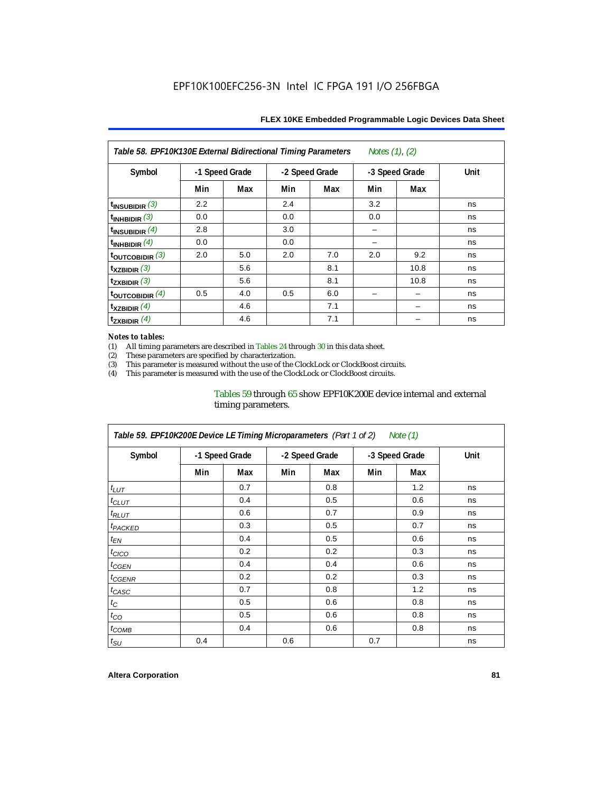| Table 58. EPF10K130E External Bidirectional Timing Parameters<br>Notes (1), (2) |                |     |                |     |                |      |      |  |  |  |
|---------------------------------------------------------------------------------|----------------|-----|----------------|-----|----------------|------|------|--|--|--|
| Symbol                                                                          | -1 Speed Grade |     | -2 Speed Grade |     | -3 Speed Grade |      | Unit |  |  |  |
|                                                                                 | Min            | Max | Min            | Max | Min            | Max  |      |  |  |  |
| $t_{INSUBIDIR}$ (3)                                                             | 2.2            |     | 2.4            |     | 3.2            |      | ns   |  |  |  |
| $\mathsf{t}_{\mathsf{INHBIDIR}}(3)$                                             | 0.0            |     | 0.0            |     | 0.0            |      | ns   |  |  |  |
| $\mathsf{t}_{\mathsf{INSUBIDIR}}$ (4)                                           | 2.8            |     | 3.0            |     |                |      | ns   |  |  |  |
| $t_{INHBIDIR}$ $(4)$                                                            | 0.0            |     | 0.0            |     |                |      | ns   |  |  |  |
| $\frac{1}{2}$ toutcobidir $\frac{3}{2}$                                         | 2.0            | 5.0 | 2.0            | 7.0 | 2.0            | 9.2  | ns   |  |  |  |
| $\mathsf{t}_{\mathsf{XZBIDIR}}$ (3)                                             |                | 5.6 |                | 8.1 |                | 10.8 | ns   |  |  |  |
| $\mathsf{t}_{\mathsf{ZXBIDIR}}(3)$                                              |                | 5.6 |                | 8.1 |                | 10.8 | ns   |  |  |  |
| toutcobidir $(4)$                                                               | 0.5            | 4.0 | 0.5            | 6.0 |                |      | ns   |  |  |  |
| $t_{XZBIDIR}$ $(4)$                                                             |                | 4.6 |                | 7.1 |                |      | ns   |  |  |  |
| $\mathsf{t}_{\mathsf{ZXBIDIR}}$ (4)                                             |                | 4.6 |                | 7.1 |                |      | ns   |  |  |  |

#### *Notes to tables:*

(1) All timing parameters are described in Tables 24 through 30 in this data sheet.<br>(2) These parameters are specified by characterization.

(2) These parameters are specified by characterization.<br>
(3) This parameter is measured without the use of the C

This parameter is measured without the use of the ClockLock or ClockBoost circuits.

(4) This parameter is measured with the use of the ClockLock or ClockBoost circuits.

#### Tables 59 through 65 show EPF10K200E device internal and external timing parameters.

| Table 59. EPF10K200E Device LE Timing Microparameters (Part 1 of 2) Note (1) |                |     |                |     |                |     |             |  |  |  |
|------------------------------------------------------------------------------|----------------|-----|----------------|-----|----------------|-----|-------------|--|--|--|
| Symbol                                                                       | -1 Speed Grade |     | -2 Speed Grade |     | -3 Speed Grade |     | <b>Unit</b> |  |  |  |
|                                                                              | Min            | Max | Min            | Max | Min            | Max |             |  |  |  |
| $t_{LUT}$                                                                    |                | 0.7 |                | 0.8 |                | 1.2 | ns          |  |  |  |
| $t_{CLUT}$                                                                   |                | 0.4 |                | 0.5 |                | 0.6 | ns          |  |  |  |
| $t_{RLUT}$                                                                   |                | 0.6 |                | 0.7 |                | 0.9 | ns          |  |  |  |
| <sup>t</sup> PACKED                                                          |                | 0.3 |                | 0.5 |                | 0.7 | ns          |  |  |  |
| $t_{EN}$                                                                     |                | 0.4 |                | 0.5 |                | 0.6 | ns          |  |  |  |
| $t_{CICO}$                                                                   |                | 0.2 |                | 0.2 |                | 0.3 | ns          |  |  |  |
| $t_{\text{GEN}}$                                                             |                | 0.4 |                | 0.4 |                | 0.6 | ns          |  |  |  |
| <sup>t</sup> CGENR                                                           |                | 0.2 |                | 0.2 |                | 0.3 | ns          |  |  |  |
| $t_{CASC}$                                                                   |                | 0.7 |                | 0.8 |                | 1.2 | ns          |  |  |  |
| $t_C$                                                                        |                | 0.5 |                | 0.6 |                | 0.8 | ns          |  |  |  |
| $t_{CO}$                                                                     |                | 0.5 |                | 0.6 |                | 0.8 | ns          |  |  |  |
| $t_{COMB}$                                                                   |                | 0.4 |                | 0.6 |                | 0.8 | ns          |  |  |  |
| $t_{\text{SU}}$                                                              | 0.4            |     | 0.6            |     | 0.7            |     | ns          |  |  |  |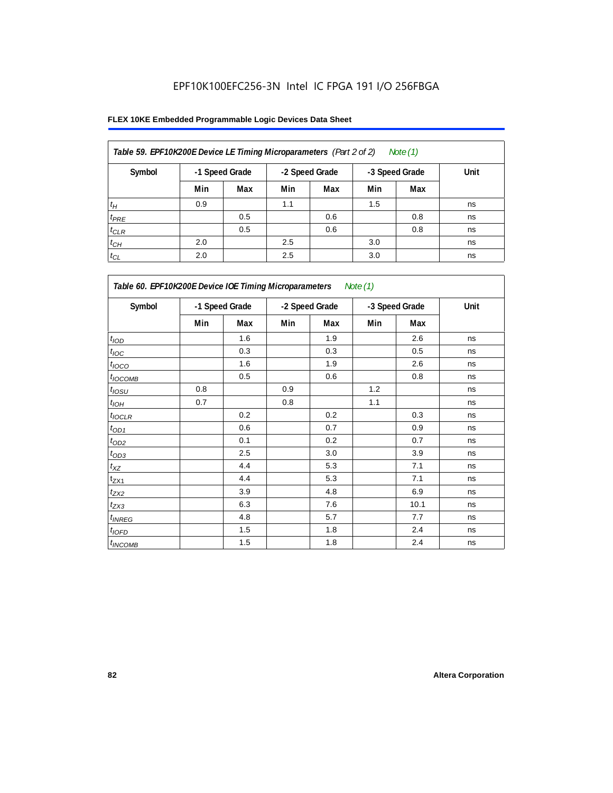| Table 59. EPF10K200E Device LE Timing Microparameters (Part 2 of 2) |     |                |     |                |     | Note (1)       |      |
|---------------------------------------------------------------------|-----|----------------|-----|----------------|-----|----------------|------|
| Symbol                                                              |     | -1 Speed Grade |     | -2 Speed Grade |     | -3 Speed Grade | Unit |
|                                                                     | Min | Max            | Min | Max            | Min | Max            |      |
| $t_H$                                                               | 0.9 |                | 1.1 |                | 1.5 |                | ns   |
| $t_{PRE}$                                                           |     | 0.5            |     | 0.6            |     | 0.8            | ns   |
| $t_{CLR}$                                                           |     | 0.5            |     | 0.6            |     | 0.8            | ns   |
| $t_{CH}$                                                            | 2.0 |                | 2.5 |                | 3.0 |                | ns   |
| $t_{CL}$                                                            | 2.0 |                | 2.5 |                | 3.0 |                | ns   |

| Table 60. EPF10K200E Device IOE Timing Microparameters Note (1) |                |     |                |     |                |      |      |  |  |
|-----------------------------------------------------------------|----------------|-----|----------------|-----|----------------|------|------|--|--|
| Symbol                                                          | -1 Speed Grade |     | -2 Speed Grade |     | -3 Speed Grade |      | Unit |  |  |
|                                                                 | Min            | Max | Min            | Max | Min            | Max  |      |  |  |
| t <sub>IOD</sub>                                                |                | 1.6 |                | 1.9 |                | 2.6  | ns   |  |  |
| $t_{\text{IOC}}$                                                |                | 0.3 |                | 0.3 |                | 0.5  | ns   |  |  |
| $t_{IOCO}$                                                      |                | 1.6 |                | 1.9 |                | 2.6  | ns   |  |  |
| $t_{IOCOMB}$                                                    |                | 0.5 |                | 0.6 |                | 0.8  | ns   |  |  |
| $t_{IOSU}$                                                      | 0.8            |     | 0.9            |     | 1.2            |      | ns   |  |  |
| $t_{IOH}$                                                       | 0.7            |     | 0.8            |     | 1.1            |      | ns   |  |  |
| $t_{IOCLR}$                                                     |                | 0.2 |                | 0.2 |                | 0.3  | ns   |  |  |
| $t_{OD1}$                                                       |                | 0.6 |                | 0.7 |                | 0.9  | ns   |  |  |
| $t_{OD2}$                                                       |                | 0.1 |                | 0.2 |                | 0.7  | ns   |  |  |
| $t_{\underline{OD3}}$                                           |                | 2.5 |                | 3.0 |                | 3.9  | ns   |  |  |
| $t_{\mathsf{XZ}}$                                               |                | 4.4 |                | 5.3 |                | 7.1  | ns   |  |  |
| $t_{ZX1}$                                                       |                | 4.4 |                | 5.3 |                | 7.1  | ns   |  |  |
| $t_{ZX2}$                                                       |                | 3.9 |                | 4.8 |                | 6.9  | ns   |  |  |
| $t_{ZX3}$                                                       |                | 6.3 |                | 7.6 |                | 10.1 | ns   |  |  |
| $t_{INREG}$                                                     |                | 4.8 |                | 5.7 |                | 7.7  | ns   |  |  |
| $t_{IOED}$                                                      |                | 1.5 |                | 1.8 |                | 2.4  | ns   |  |  |
| $t_{INCOMB}$                                                    |                | 1.5 |                | 1.8 |                | 2.4  | ns   |  |  |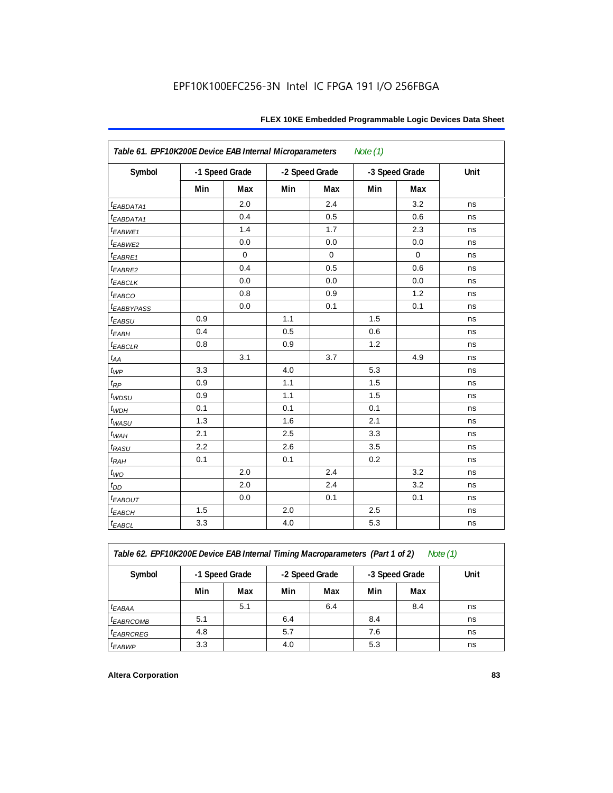| Table 61. EPF10K200E Device EAB Internal Microparameters<br>Note $(1)$ |     |                |     |                |     |                |      |  |  |
|------------------------------------------------------------------------|-----|----------------|-----|----------------|-----|----------------|------|--|--|
| Symbol                                                                 |     | -1 Speed Grade |     | -2 Speed Grade |     | -3 Speed Grade | Unit |  |  |
|                                                                        | Min | Max            | Min | Max            | Min | Max            |      |  |  |
| t <sub>EABDATA1</sub>                                                  |     | 2.0            |     | 2.4            |     | 3.2            | ns   |  |  |
| t <sub>EABDATA1</sub>                                                  |     | 0.4            |     | 0.5            |     | 0.6            | ns   |  |  |
| t <sub>EABWE1</sub>                                                    |     | 1.4            |     | 1.7            |     | 2.3            | ns   |  |  |
| t <sub>EABWE2</sub>                                                    |     | 0.0            |     | 0.0            |     | 0.0            | ns   |  |  |
| $t_{EABRE1}$                                                           |     | $\mathbf 0$    |     | $\mathbf 0$    |     | $\pmb{0}$      | ns   |  |  |
| t <sub>EABRE2</sub>                                                    |     | 0.4            |     | 0.5            |     | 0.6            | ns   |  |  |
| $t_{EABCLK}$                                                           |     | 0.0            |     | 0.0            |     | 0.0            | ns   |  |  |
| t <sub>EABCO</sub>                                                     |     | 0.8            |     | 0.9            |     | 1.2            | ns   |  |  |
| <sup>t</sup> EABBYPASS                                                 |     | 0.0            |     | 0.1            |     | 0.1            | ns   |  |  |
| $t_{EABSU}$                                                            | 0.9 |                | 1.1 |                | 1.5 |                | ns   |  |  |
| $t_{EABH}$                                                             | 0.4 |                | 0.5 |                | 0.6 |                | ns   |  |  |
| $t_{EABCLR}$                                                           | 0.8 |                | 0.9 |                | 1.2 |                | ns   |  |  |
| $t_{AA}$                                                               |     | 3.1            |     | 3.7            |     | 4.9            | ns   |  |  |
| $t_{\mathit{WP}}$                                                      | 3.3 |                | 4.0 |                | 5.3 |                | ns   |  |  |
| $t_{RP}$                                                               | 0.9 |                | 1.1 |                | 1.5 |                | ns   |  |  |
| $t_{WDSU}$                                                             | 0.9 |                | 1.1 |                | 1.5 |                | ns   |  |  |
| $t_{WDH}$                                                              | 0.1 |                | 0.1 |                | 0.1 |                | ns   |  |  |
| $t_{\text{WASU}}$                                                      | 1.3 |                | 1.6 |                | 2.1 |                | ns   |  |  |
| $t_{W\!AH}$                                                            | 2.1 |                | 2.5 |                | 3.3 |                | ns   |  |  |
| $t_{RASU}$                                                             | 2.2 |                | 2.6 |                | 3.5 |                | ns   |  |  |
| $t_{RAH}$                                                              | 0.1 |                | 0.1 |                | 0.2 |                | ns   |  |  |
| $t_{WO}$                                                               |     | 2.0            |     | 2.4            |     | 3.2            | ns   |  |  |
| $t_{DD}$                                                               |     | 2.0            |     | 2.4            |     | 3.2            | ns   |  |  |
| $t_{EABOUT}$                                                           |     | 0.0            |     | 0.1            |     | 0.1            | ns   |  |  |
| $t_{EABCH}$                                                            | 1.5 |                | 2.0 |                | 2.5 |                | ns   |  |  |
| $t_{EABCL}$                                                            | 3.3 |                | 4.0 |                | 5.3 |                | ns   |  |  |

*Table 62. EPF10K200E Device EAB Internal Timing Macroparameters (Part 1 of 2) Note (1)*

| Symbol                 | -1 Speed Grade |     | -2 Speed Grade |     | -3 Speed Grade |     | Unit |
|------------------------|----------------|-----|----------------|-----|----------------|-----|------|
|                        | Min            | Max | Min            | Max | Min            | Max |      |
| $t_{EABA}$             |                | 5.1 |                | 6.4 |                | 8.4 | ns   |
| <i><b>EABRCOMB</b></i> | 5.1            |     | 6.4            |     | 8.4            |     | ns   |
| <i>EABRCREG</i>        | 4.8            |     | 5.7            |     | 7.6            |     | ns   |
| <sup>t</sup> EABWP     | 3.3            |     | 4.0            |     | 5.3            |     | ns   |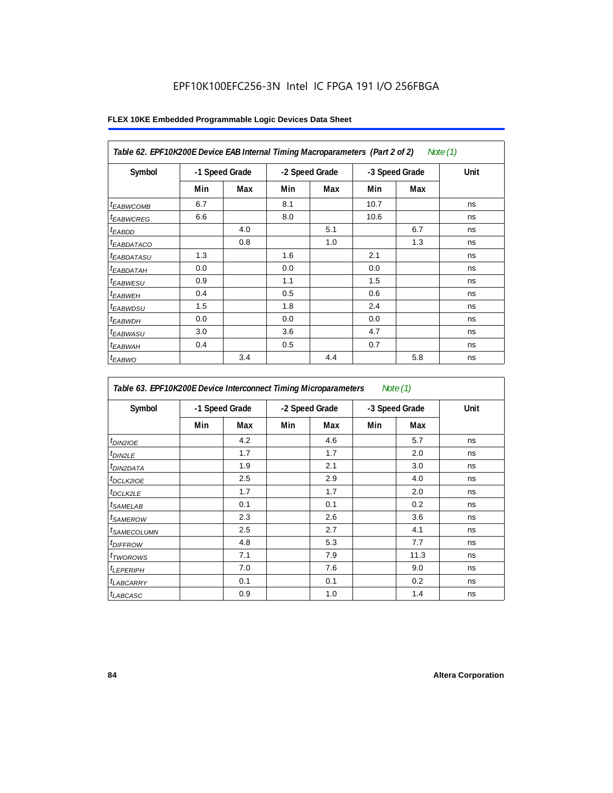| Table 62. EPF10K200E Device EAB Internal Timing Macroparameters (Part 2 of 2)<br>Note (1) |     |                |     |                |      |                |      |  |  |
|-------------------------------------------------------------------------------------------|-----|----------------|-----|----------------|------|----------------|------|--|--|
| Symbol                                                                                    |     | -1 Speed Grade |     | -2 Speed Grade |      | -3 Speed Grade | Unit |  |  |
|                                                                                           | Min | Max            | Min | Max            | Min  | Max            |      |  |  |
| <b><i>EABWCOMB</i></b>                                                                    | 6.7 |                | 8.1 |                | 10.7 |                | ns   |  |  |
| <sup>t</sup> EABWCREG                                                                     | 6.6 |                | 8.0 |                | 10.6 |                | ns   |  |  |
| <sup>t</sup> EABDD                                                                        |     | 4.0            |     | 5.1            |      | 6.7            | ns   |  |  |
| <sup>t</sup> EABDATACO                                                                    |     | 0.8            |     | 1.0            |      | 1.3            | ns   |  |  |
| <sup>t</sup> EABDATASU                                                                    | 1.3 |                | 1.6 |                | 2.1  |                | ns   |  |  |
| <sup>t</sup> EABDATAH                                                                     | 0.0 |                | 0.0 |                | 0.0  |                | ns   |  |  |
| <sup>t</sup> EABWESU                                                                      | 0.9 |                | 1.1 |                | 1.5  |                | ns   |  |  |
| <sup>t</sup> EABWEH                                                                       | 0.4 |                | 0.5 |                | 0.6  |                | ns   |  |  |
| <sup>t</sup> EABWDSU                                                                      | 1.5 |                | 1.8 |                | 2.4  |                | ns   |  |  |
| <sup>t</sup> EABWDH                                                                       | 0.0 |                | 0.0 |                | 0.0  |                | ns   |  |  |
| <sup>t</sup> EABWASU                                                                      | 3.0 |                | 3.6 |                | 4.7  |                | ns   |  |  |
| <sup>t</sup> EABWAH                                                                       | 0.4 |                | 0.5 |                | 0.7  |                | ns   |  |  |
| <sup>t</sup> EABWO                                                                        |     | 3.4            |     | 4.4            |      | 5.8            | ns   |  |  |

| Table 63. EPF10K200E Device Interconnect Timing Microparameters<br>Note $(1)$ |     |                |                |     |                |      |      |  |  |  |
|-------------------------------------------------------------------------------|-----|----------------|----------------|-----|----------------|------|------|--|--|--|
| Symbol                                                                        |     | -1 Speed Grade | -2 Speed Grade |     | -3 Speed Grade |      | Unit |  |  |  |
|                                                                               | Min | Max            | Min            | Max | Min            | Max  |      |  |  |  |
| $t_{DINZIOE}$                                                                 |     | 4.2            |                | 4.6 |                | 5.7  | ns   |  |  |  |
| $t_{DIN2LE}$                                                                  |     | 1.7            |                | 1.7 |                | 2.0  | ns   |  |  |  |
| <sup>t</sup> DIN2DATA                                                         |     | 1.9            |                | 2.1 |                | 3.0  | ns   |  |  |  |
| <sup>t</sup> DCLK2IOE                                                         |     | 2.5            |                | 2.9 |                | 4.0  | ns   |  |  |  |
| <sup>t</sup> DCLK2LE                                                          |     | 1.7            |                | 1.7 |                | 2.0  | ns   |  |  |  |
| <sup>t</sup> SAMELAB                                                          |     | 0.1            |                | 0.1 |                | 0.2  | ns   |  |  |  |
| <sup>t</sup> SAMEROW                                                          |     | 2.3            |                | 2.6 |                | 3.6  | ns   |  |  |  |
| <sup>t</sup> SAMECOLUMN                                                       |     | 2.5            |                | 2.7 |                | 4.1  | ns   |  |  |  |
| <sup>t</sup> DIFFROW                                                          |     | 4.8            |                | 5.3 |                | 7.7  | ns   |  |  |  |
| t <sub>TWOROWS</sub>                                                          |     | 7.1            |                | 7.9 |                | 11.3 | ns   |  |  |  |
| $t_{LEPERIPH}$                                                                |     | 7.0            |                | 7.6 |                | 9.0  | ns   |  |  |  |
| <sup>t</sup> LABCARRY                                                         |     | 0.1            |                | 0.1 |                | 0.2  | ns   |  |  |  |
| <sup>t</sup> LABCASC                                                          |     | 0.9            |                | 1.0 |                | 1.4  | ns   |  |  |  |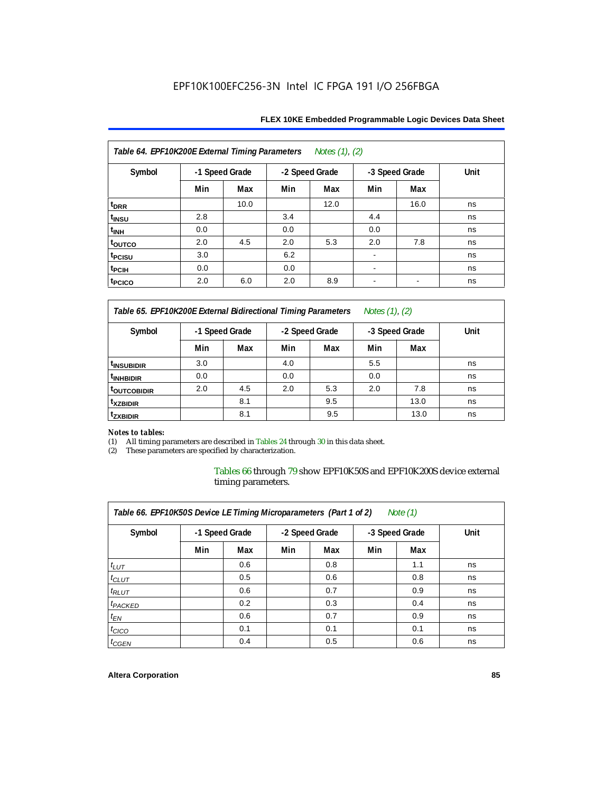| Table 64. EPF10K200E External Timing Parameters Notes (1), (2) |                |      |     |                |      |                |      |  |  |  |
|----------------------------------------------------------------|----------------|------|-----|----------------|------|----------------|------|--|--|--|
| Symbol                                                         | -1 Speed Grade |      |     | -2 Speed Grade |      | -3 Speed Grade | Unit |  |  |  |
|                                                                | Min            | Max  | Min | Max            | Min  | Max            |      |  |  |  |
| t <sub>DRR</sub>                                               |                | 10.0 |     | 12.0           |      | 16.0           | ns   |  |  |  |
| t <sub>INSU</sub>                                              | 2.8            |      | 3.4 |                | 4.4  |                | ns   |  |  |  |
| $t_{\rm INH}$                                                  | 0.0            |      | 0.0 |                | 0.0  |                | ns   |  |  |  |
| toutco                                                         | 2.0            | 4.5  | 2.0 | 5.3            | 2.0  | 7.8            | ns   |  |  |  |
| t <sub>PCISU</sub>                                             | 3.0            |      | 6.2 |                |      |                | ns   |  |  |  |
| t <sub>PCIH</sub>                                              | 0.0            |      | 0.0 |                | $\,$ |                | ns   |  |  |  |
| t <sub>PCICO</sub>                                             | 2.0            | 6.0  | 2.0 | 8.9            | ۰    | $\blacksquare$ | ns   |  |  |  |

*Table 65. EPF10K200E External Bidirectional Timing Parameters Notes (1), (2)*

| Symbol                  | -1 Speed Grade |     | -2 Speed Grade |     | -3 Speed Grade |      | Unit |  |  |  |
|-------------------------|----------------|-----|----------------|-----|----------------|------|------|--|--|--|
|                         | Min            | Max | Min            | Max | Min            | Max  |      |  |  |  |
| <sup>t</sup> INSUBIDIR  | 3.0            |     | 4.0            |     | 5.5            |      | ns   |  |  |  |
| <sup>t</sup> INHBIDIR   | 0.0            |     | 0.0            |     | 0.0            |      | ns   |  |  |  |
| <sup>T</sup> OUTCOBIDIR | 2.0            | 4.5 | 2.0            | 5.3 | 2.0            | 7.8  | ns   |  |  |  |
| <sup>t</sup> xzbidir    |                | 8.1 |                | 9.5 |                | 13.0 | ns   |  |  |  |
| <sup>t</sup> zxbidir    |                | 8.1 |                | 9.5 |                | 13.0 | ns   |  |  |  |

# *Notes to tables:*

(1) All timing parameters are described in Tables 24 through 30 in this data sheet.<br>(2) These parameters are specified by characterization.

These parameters are specified by characterization.

Tables 66 through 79 show EPF10K50S and EPF10K200S device external timing parameters.

| Table 66. EPF10K50S Device LE Timing Microparameters (Part 1 of 2)<br>Note $(1)$ |                |     |                |     |                |     |      |  |  |  |
|----------------------------------------------------------------------------------|----------------|-----|----------------|-----|----------------|-----|------|--|--|--|
| Symbol                                                                           | -1 Speed Grade |     | -2 Speed Grade |     | -3 Speed Grade |     | Unit |  |  |  |
|                                                                                  | Min            | Max | Min            | Max | Min            | Max |      |  |  |  |
| $t_{LUT}$                                                                        |                | 0.6 |                | 0.8 |                | 1.1 | ns   |  |  |  |
| $t_{CLUT}$                                                                       |                | 0.5 |                | 0.6 |                | 0.8 | ns   |  |  |  |
| $t_{RLUT}$                                                                       |                | 0.6 |                | 0.7 |                | 0.9 | ns   |  |  |  |
| <sup>t</sup> PACKED                                                              |                | 0.2 |                | 0.3 |                | 0.4 | ns   |  |  |  |
| $t_{EN}$                                                                         |                | 0.6 |                | 0.7 |                | 0.9 | ns   |  |  |  |
| $t_{CICO}$                                                                       |                | 0.1 |                | 0.1 |                | 0.1 | ns   |  |  |  |
| $t_{GEN}$                                                                        |                | 0.4 |                | 0.5 |                | 0.6 | ns   |  |  |  |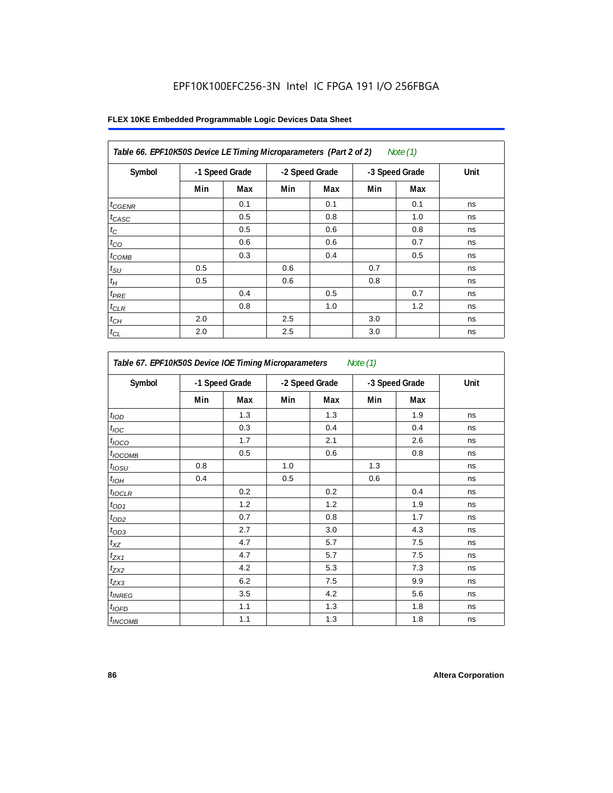| Table 66. EPF10K50S Device LE Timing Microparameters (Part 2 of 2)<br>Note (1) |                |     |                |     |                |     |      |  |  |  |
|--------------------------------------------------------------------------------|----------------|-----|----------------|-----|----------------|-----|------|--|--|--|
| Symbol                                                                         | -1 Speed Grade |     | -2 Speed Grade |     | -3 Speed Grade |     | Unit |  |  |  |
|                                                                                | Min            | Max | Min            | Max | Min            | Max |      |  |  |  |
| $t_{GENR}$                                                                     |                | 0.1 |                | 0.1 |                | 0.1 | ns   |  |  |  |
| $t_{CASC}$                                                                     |                | 0.5 |                | 0.8 |                | 1.0 | ns   |  |  |  |
| $t_C$                                                                          |                | 0.5 |                | 0.6 |                | 0.8 | ns   |  |  |  |
| $t_{CO}$                                                                       |                | 0.6 |                | 0.6 |                | 0.7 | ns   |  |  |  |
| $t_{COMB}$                                                                     |                | 0.3 |                | 0.4 |                | 0.5 | ns   |  |  |  |
| $t_{\text{SU}}$                                                                | 0.5            |     | 0.6            |     | 0.7            |     | ns   |  |  |  |
| $t_H\,$                                                                        | 0.5            |     | 0.6            |     | 0.8            |     | ns   |  |  |  |
| $t_{PRE}$                                                                      |                | 0.4 |                | 0.5 |                | 0.7 | ns   |  |  |  |
| $t_{CLR}$                                                                      |                | 0.8 |                | 1.0 |                | 1.2 | ns   |  |  |  |
| $t_{CH}$                                                                       | 2.0            |     | 2.5            |     | 3.0            |     | ns   |  |  |  |
| $t_{CL}$                                                                       | 2.0            |     | 2.5            |     | 3.0            |     | ns   |  |  |  |

| Table 67. EPF10K50S Device IOE Timing Microparameters<br>Note $(1)$ |                |     |     |                |     |                |      |  |  |
|---------------------------------------------------------------------|----------------|-----|-----|----------------|-----|----------------|------|--|--|
| Symbol                                                              | -1 Speed Grade |     |     | -2 Speed Grade |     | -3 Speed Grade | Unit |  |  |
|                                                                     | Min            | Max | Min | Max            | Min | Max            |      |  |  |
| t <sub>IOD</sub>                                                    |                | 1.3 |     | 1.3            |     | 1.9            | ns   |  |  |
| $t_{\text{IOC}}$                                                    |                | 0.3 |     | 0.4            |     | 0.4            | ns   |  |  |
| $t_{IOCO}$                                                          |                | 1.7 |     | 2.1            |     | 2.6            | ns   |  |  |
| $t_{\text{IOCOMB}}$                                                 |                | 0.5 |     | 0.6            |     | 0.8            | ns   |  |  |
| $t_{IOSU}$                                                          | 0.8            |     | 1.0 |                | 1.3 |                | ns   |  |  |
| $t_{IOH}$                                                           | 0.4            |     | 0.5 |                | 0.6 |                | ns   |  |  |
| $t_{IOCLR}$                                                         |                | 0.2 |     | 0.2            |     | 0.4            | ns   |  |  |
| $t_{OD1}$                                                           |                | 1.2 |     | 1.2            |     | 1.9            | ns   |  |  |
| $t_{OD2}$                                                           |                | 0.7 |     | 0.8            |     | 1.7            | ns   |  |  |
| $t_{OD3}$                                                           |                | 2.7 |     | 3.0            |     | 4.3            | ns   |  |  |
| $t_{\mathsf{XZ}}$                                                   |                | 4.7 |     | 5.7            |     | 7.5            | ns   |  |  |
| $t_{ZX1}$                                                           |                | 4.7 |     | 5.7            |     | 7.5            | ns   |  |  |
| $t_{ZX2}$                                                           |                | 4.2 |     | 5.3            |     | 7.3            | ns   |  |  |
| $t_{ZX3}$                                                           |                | 6.2 |     | 7.5            |     | 9.9            | ns   |  |  |
| $t_{INREG}$                                                         |                | 3.5 |     | 4.2            |     | 5.6            | ns   |  |  |
| $t_{IOED}$                                                          |                | 1.1 |     | 1.3            |     | 1.8            | ns   |  |  |
| $t_{INCOMB}$                                                        |                | 1.1 |     | 1.3            |     | 1.8            | ns   |  |  |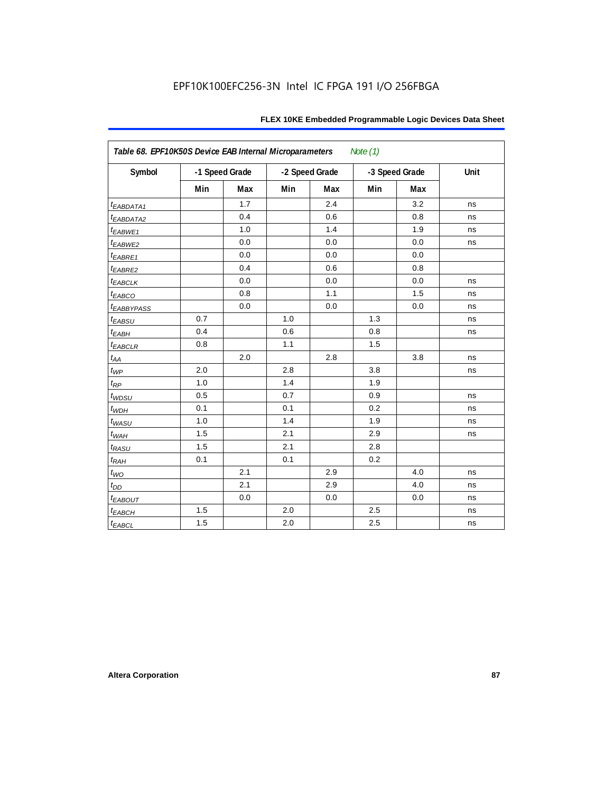| Table 68. EPF10K50S Device EAB Internal Microparameters<br>Note (1) |     |                |     |                |     |                |      |  |  |
|---------------------------------------------------------------------|-----|----------------|-----|----------------|-----|----------------|------|--|--|
| Symbol                                                              |     | -1 Speed Grade |     | -2 Speed Grade |     | -3 Speed Grade | Unit |  |  |
|                                                                     | Min | Max            | Min | Max            | Min | <b>Max</b>     |      |  |  |
| <i>EABDATA1</i>                                                     |     | 1.7            |     | 2.4            |     | 3.2            | ns   |  |  |
| t <sub>EABDATA2</sub>                                               |     | 0.4            |     | 0.6            |     | 0.8            | ns   |  |  |
| $t_{EABWE1}$                                                        |     | 1.0            |     | 1.4            |     | 1.9            | ns   |  |  |
| t <sub>EABWE2</sub>                                                 |     | 0.0            |     | 0.0            |     | 0.0            | ns   |  |  |
| $t_{EABRE1}$                                                        |     | 0.0            |     | 0.0            |     | 0.0            |      |  |  |
| t <sub>EABRE2</sub>                                                 |     | 0.4            |     | 0.6            |     | 0.8            |      |  |  |
| <b><i>EABCLK</i></b>                                                |     | 0.0            |     | 0.0            |     | 0.0            | ns   |  |  |
| t <sub>EABCO</sub>                                                  |     | 0.8            |     | 1.1            |     | 1.5            | ns   |  |  |
| <i><b>LEABBYPASS</b></i>                                            |     | 0.0            |     | 0.0            |     | 0.0            | ns   |  |  |
| $t_{EABSU}$                                                         | 0.7 |                | 1.0 |                | 1.3 |                | ns   |  |  |
| $t_{EABH}$                                                          | 0.4 |                | 0.6 |                | 0.8 |                | ns   |  |  |
| $t_{EABCLR}$                                                        | 0.8 |                | 1.1 |                | 1.5 |                |      |  |  |
| $t_{AA}$                                                            |     | 2.0            |     | 2.8            |     | 3.8            | ns   |  |  |
| $t_{WP}$                                                            | 2.0 |                | 2.8 |                | 3.8 |                | ns   |  |  |
| $t_{\!R\!P}$                                                        | 1.0 |                | 1.4 |                | 1.9 |                |      |  |  |
| $t_{WDSU}$                                                          | 0.5 |                | 0.7 |                | 0.9 |                | ns   |  |  |
| $t_{WDH}$                                                           | 0.1 |                | 0.1 |                | 0.2 |                | ns   |  |  |
| $t_{WASU}$                                                          | 1.0 |                | 1.4 |                | 1.9 |                | ns   |  |  |
| $t_{W\!AH}$                                                         | 1.5 |                | 2.1 |                | 2.9 |                | ns   |  |  |
| $t_{RASU}$                                                          | 1.5 |                | 2.1 |                | 2.8 |                |      |  |  |
| $t_{RAH}$                                                           | 0.1 |                | 0.1 |                | 0.2 |                |      |  |  |
| $t_{WO}$                                                            |     | 2.1            |     | 2.9            |     | 4.0            | ns   |  |  |
| $t_{DD}$                                                            |     | 2.1            |     | 2.9            |     | 4.0            | ns   |  |  |
| $t_{EABOUT}$                                                        |     | 0.0            |     | 0.0            |     | 0.0            | ns   |  |  |
| $t_{EABCH}$                                                         | 1.5 |                | 2.0 |                | 2.5 |                | ns   |  |  |
| $t_{EABCL}$                                                         | 1.5 |                | 2.0 |                | 2.5 |                | ns   |  |  |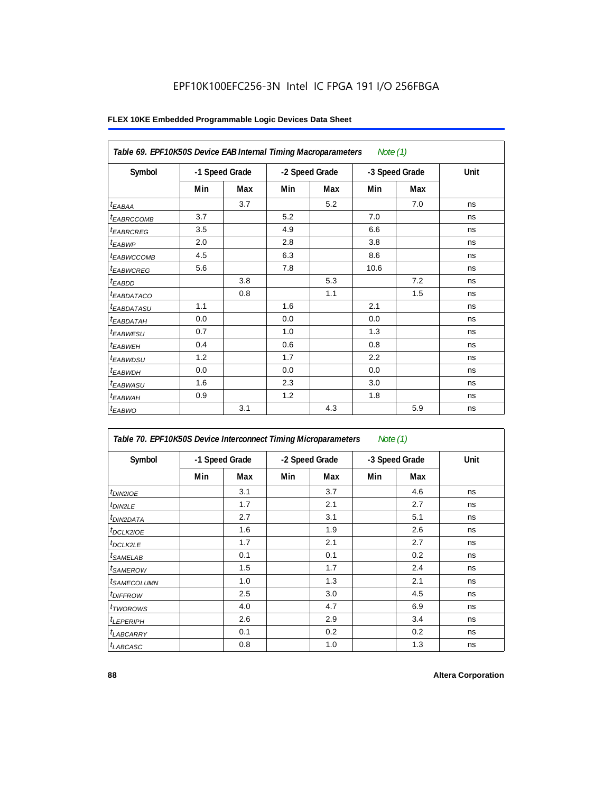| Table 69. EPF10K50S Device EAB Internal Timing Macroparameters<br>Note (1) |                |     |                |     |                |     |      |  |  |
|----------------------------------------------------------------------------|----------------|-----|----------------|-----|----------------|-----|------|--|--|
| Symbol                                                                     | -1 Speed Grade |     | -2 Speed Grade |     | -3 Speed Grade |     | Unit |  |  |
|                                                                            | Min            | Max | Min            | Max | Min            | Max |      |  |  |
| $t_{EABA}$                                                                 |                | 3.7 |                | 5.2 |                | 7.0 | ns   |  |  |
| t <sub>EABRCCOMB</sub>                                                     | 3.7            |     | 5.2            |     | 7.0            |     | ns   |  |  |
| <b>t</b> EABRCREG                                                          | 3.5            |     | 4.9            |     | 6.6            |     | ns   |  |  |
| $t_{EABWP}$                                                                | 2.0            |     | 2.8            |     | 3.8            |     | ns   |  |  |
| <sup>t</sup> ЕАВWССОМВ                                                     | 4.5            |     | 6.3            |     | 8.6            |     | ns   |  |  |
| t <sub>EABWCREG</sub>                                                      | 5.6            |     | 7.8            |     | 10.6           |     | ns   |  |  |
| $t_{EABDD}$                                                                |                | 3.8 |                | 5.3 |                | 7.2 | ns   |  |  |
| <sup>t</sup> EABDATACO                                                     |                | 0.8 |                | 1.1 |                | 1.5 | ns   |  |  |
| <i>t<sub>EABDATASU</sub></i>                                               | 1.1            |     | 1.6            |     | 2.1            |     | ns   |  |  |
| t <sub>EABDATAH</sub>                                                      | 0.0            |     | 0.0            |     | 0.0            |     | ns   |  |  |
| <sup>t</sup> EABWESU                                                       | 0.7            |     | 1.0            |     | 1.3            |     | ns   |  |  |
| t <sub>EABWEH</sub>                                                        | 0.4            |     | 0.6            |     | 0.8            |     | ns   |  |  |
| t <sub>EABWDSU</sub>                                                       | 1.2            |     | 1.7            |     | 2.2            |     | ns   |  |  |
| t <sub>EABWDH</sub>                                                        | 0.0            |     | 0.0            |     | 0.0            |     | ns   |  |  |
| <sup>t</sup> EABWASU                                                       | 1.6            |     | 2.3            |     | 3.0            |     | ns   |  |  |
| <sup>t</sup> EABWAH                                                        | 0.9            |     | 1.2            |     | 1.8            |     | ns   |  |  |
| $t_{EABWO}$                                                                |                | 3.1 |                | 4.3 |                | 5.9 | ns   |  |  |

| Symbol                     |     | -1 Speed Grade |     | -2 Speed Grade |     | -3 Speed Grade | Unit |
|----------------------------|-----|----------------|-----|----------------|-----|----------------|------|
|                            | Min | Max            | Min | Max            | Min | Max            |      |
| $t_{DIN2IOE}$              |     | 3.1            |     | 3.7            |     | 4.6            | ns   |
| <sup>t</sup> DIN2LE        |     | 1.7            |     | 2.1            |     | 2.7            | ns   |
| <sup>t</sup> DIN2DATA      |     | 2.7            |     | 3.1            |     | 5.1            | ns   |
| <sup>t</sup> DCLK2IOE      |     | 1.6            |     | 1.9            |     | 2.6            | ns   |
| <sup>t</sup> DCLK2LE       |     | 1.7            |     | 2.1            |     | 2.7            | ns   |
| <sup>t</sup> SAMELAB       |     | 0.1            |     | 0.1            |     | 0.2            | ns   |
| <sup>t</sup> SAMEROW       |     | 1.5            |     | 1.7            |     | 2.4            | ns   |
| <sup>t</sup> SAMECOLUMN    |     | 1.0            |     | 1.3            |     | 2.1            | ns   |
| <i>t<sub>DIFFROW</sub></i> |     | 2.5            |     | 3.0            |     | 4.5            | ns   |
| <sup>t</sup> TWOROWS       |     | 4.0            |     | 4.7            |     | 6.9            | ns   |
| <sup>t</sup> LEPERIPH      |     | 2.6            |     | 2.9            |     | 3.4            | ns   |
| <sup>t</sup> LABCARRY      |     | 0.1            |     | 0.2            |     | 0.2            | ns   |
| <sup>t</sup> LABCASC       |     | 0.8            |     | 1.0            |     | 1.3            | ns   |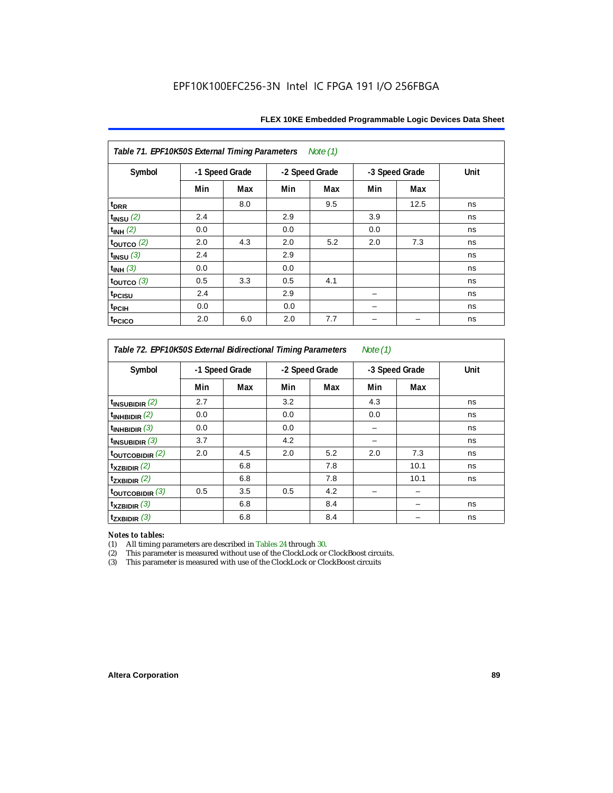| Table 71. EPF10K50S External Timing Parameters Note (1) |                |     |     |                |     |                |      |  |  |  |  |
|---------------------------------------------------------|----------------|-----|-----|----------------|-----|----------------|------|--|--|--|--|
| Symbol                                                  | -1 Speed Grade |     |     | -2 Speed Grade |     | -3 Speed Grade | Unit |  |  |  |  |
|                                                         | Min            | Max | Min | Max            | Min | Max            |      |  |  |  |  |
| t <sub>DRR</sub>                                        |                | 8.0 |     | 9.5            |     | 12.5           | ns   |  |  |  |  |
| $t_{INSU}$ (2)                                          | 2.4            |     | 2.9 |                | 3.9 |                | ns   |  |  |  |  |
| $t_{INH}$ (2)                                           | 0.0            |     | 0.0 |                | 0.0 |                | ns   |  |  |  |  |
| $t_{OUTCO}$ (2)                                         | 2.0            | 4.3 | 2.0 | 5.2            | 2.0 | 7.3            | ns   |  |  |  |  |
| $t_{INSU}$ (3)                                          | 2.4            |     | 2.9 |                |     |                | ns   |  |  |  |  |
| $t_{INH}$ (3)                                           | 0.0            |     | 0.0 |                |     |                | ns   |  |  |  |  |
| $t_{OUTCO}$ (3)                                         | 0.5            | 3.3 | 0.5 | 4.1            |     |                | ns   |  |  |  |  |
| t <sub>PCISU</sub>                                      | 2.4            |     | 2.9 |                |     |                | ns   |  |  |  |  |
| <sup>t</sup> PCIH                                       | 0.0            |     | 0.0 |                |     |                | ns   |  |  |  |  |
| t <sub>PCICO</sub>                                      | 2.0            | 6.0 | 2.0 | 7.7            |     |                | ns   |  |  |  |  |

*Table 72. EPF10K50S External Bidirectional Timing Parameters Note (1)*

| Symbol                     |     | -1 Speed Grade |     | -2 Speed Grade |     | -3 Speed Grade | Unit |  |
|----------------------------|-----|----------------|-----|----------------|-----|----------------|------|--|
|                            | Min | Max            | Min | Max            | Min | Max            |      |  |
| $t_{\text{INSUBIDIR}}(2)$  | 2.7 |                | 3.2 |                | 4.3 |                | ns   |  |
| $t_{INHBIDIR}$ (2)         | 0.0 |                | 0.0 |                | 0.0 |                | ns   |  |
| $t_{INHBIDIR}$ (3)         | 0.0 |                | 0.0 |                |     |                | ns   |  |
| $t_{INSUBIDIR}$ (3)        | 3.7 |                | 4.2 |                |     |                | ns   |  |
| $t_{\text{OUTCOBIDIR}}(2)$ | 2.0 | 4.5            | 2.0 | 5.2            | 2.0 | 7.3            | ns   |  |
| $t_{XZBIDIR}$ $(2)$        |     | 6.8            |     | 7.8            |     | 10.1           | ns   |  |
| $t_{ZXBIDIR}$ (2)          |     | 6.8            |     | 7.8            |     | 10.1           | ns   |  |
| toutcobidir $(3)$          | 0.5 | 3.5            | 0.5 | 4.2            |     |                |      |  |
| $t_{XZBIDIR}$ (3)          |     | 6.8            |     | 8.4            |     |                | ns   |  |
| $t_{ZXBIDIR}$ (3)          |     | 6.8            |     | 8.4            |     |                | ns   |  |

*Notes to tables:* All timing parameters are described in Tables 24 through 30.

(2) This parameter is measured without use of the ClockLock or ClockBoost circuits.<br>(3) This parameter is measured with use of the ClockLock or ClockBoost circuits

This parameter is measured with use of the ClockLock or ClockBoost circuits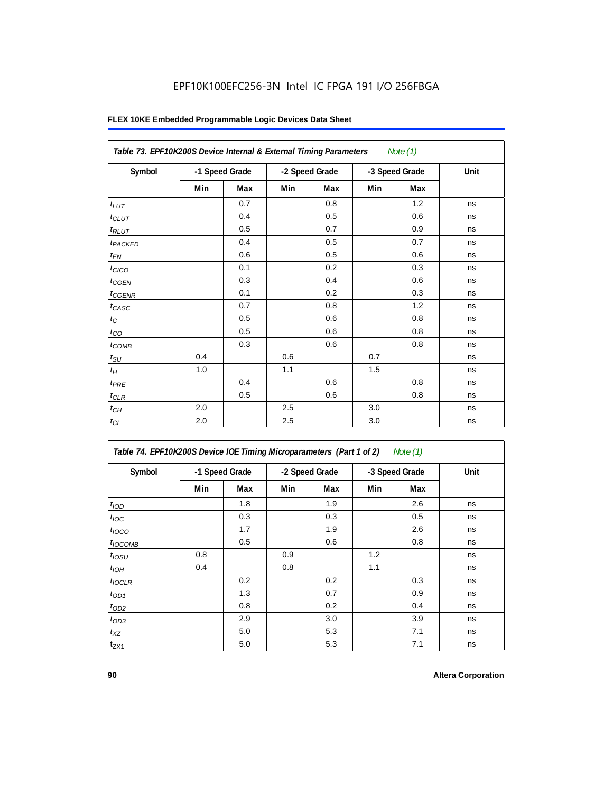| Table 73. EPF10K200S Device Internal & External Timing Parameters |                |     |     |                |                | Note $(1)$ |      |
|-------------------------------------------------------------------|----------------|-----|-----|----------------|----------------|------------|------|
| Symbol                                                            | -1 Speed Grade |     |     | -2 Speed Grade | -3 Speed Grade |            | Unit |
|                                                                   | Min            | Max | Min | Max            | Min            | Max        |      |
| $t_{LUT}$                                                         |                | 0.7 |     | 0.8            |                | 1.2        | ns   |
| $t_{CLUT}$                                                        |                | 0.4 |     | 0.5            |                | 0.6        | ns   |
| $t_{RLUT}$                                                        |                | 0.5 |     | 0.7            |                | 0.9        | ns   |
| <b>t</b> <sub>PACKED</sub>                                        |                | 0.4 |     | 0.5            |                | 0.7        | ns   |
| $t_{EN}$                                                          |                | 0.6 |     | 0.5            |                | 0.6        | ns   |
| $t_{CICO}$                                                        |                | 0.1 |     | 0.2            |                | 0.3        | ns   |
| $t_{CGEN}$                                                        |                | 0.3 |     | 0.4            |                | 0.6        | ns   |
| $t_{\text{GENR}}$                                                 |                | 0.1 |     | 0.2            |                | 0.3        | ns   |
| $t_{CASC}$                                                        |                | 0.7 |     | 0.8            |                | 1.2        | ns   |
| $t_C$                                                             |                | 0.5 |     | 0.6            |                | 0.8        | ns   |
| $t_{CO}$                                                          |                | 0.5 |     | 0.6            |                | 0.8        | ns   |
| $t_{COMB}$                                                        |                | 0.3 |     | 0.6            |                | 0.8        | ns   |
| $t_{\text{SU}}$                                                   | 0.4            |     | 0.6 |                | 0.7            |            | ns   |
| $t_H\,$                                                           | 1.0            |     | 1.1 |                | 1.5            |            | ns   |
| $t_{P\!R\!E}$                                                     |                | 0.4 |     | 0.6            |                | 0.8        | ns   |
| $t_{CLR}$                                                         |                | 0.5 |     | 0.6            |                | 0.8        | ns   |
| $t_{CH}$                                                          | 2.0            |     | 2.5 |                | 3.0            |            | ns   |
| $t_{CL}$                                                          | 2.0            |     | 2.5 |                | 3.0            |            | ns   |

| Table 74. EPF10K200S Device IOE Timing Microparameters (Part 1 of 2) Note (1) |  |  |  |
|-------------------------------------------------------------------------------|--|--|--|
|-------------------------------------------------------------------------------|--|--|--|

| Symbol           | -1 Speed Grade |     |     | -2 Speed Grade |     | -3 Speed Grade | Unit |
|------------------|----------------|-----|-----|----------------|-----|----------------|------|
|                  | Min            | Max | Min | Max            | Min | Max            |      |
| t <sub>IOD</sub> |                | 1.8 |     | 1.9            |     | 2.6            | ns   |
| $t_{\text{IOC}}$ |                | 0.3 |     | 0.3            |     | 0.5            | ns   |
| $t_{IOCO}$       |                | 1.7 |     | 1.9            |     | 2.6            | ns   |
| $t_{IOCOMB}$     |                | 0.5 |     | 0.6            |     | 0.8            | ns   |
| $t_{IOSU}$       | 0.8            |     | 0.9 |                | 1.2 |                | ns   |
| $t_{IOH}$        | 0.4            |     | 0.8 |                | 1.1 |                | ns   |
| $t_{IOCLR}$      |                | 0.2 |     | 0.2            |     | 0.3            | ns   |
| $t_{OD1}$        |                | 1.3 |     | 0.7            |     | 0.9            | ns   |
| $t_{OD2}$        |                | 0.8 |     | 0.2            |     | 0.4            | ns   |
| $t_{OD3}$        |                | 2.9 |     | 3.0            |     | 3.9            | ns   |
| $t_{XZ}$         |                | 5.0 |     | 5.3            |     | 7.1            | ns   |
| $t_{ZX1}$        |                | 5.0 |     | 5.3            |     | 7.1            | ns   |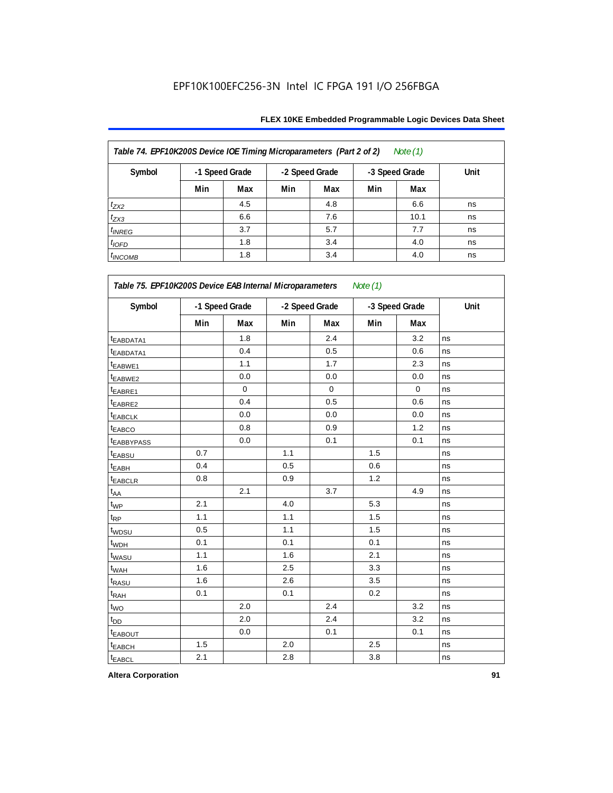| Table 74. EPF10K200S Device IOE Timing Microparameters (Part 2 of 2)<br>Note $(1)$ |                |     |     |                |     |                |      |  |  |  |  |
|------------------------------------------------------------------------------------|----------------|-----|-----|----------------|-----|----------------|------|--|--|--|--|
| Symbol                                                                             | -1 Speed Grade |     |     | -2 Speed Grade |     | -3 Speed Grade | Unit |  |  |  |  |
|                                                                                    | Min            | Max | Min | Max            | Min | Max            |      |  |  |  |  |
| $t_{ZX2}$                                                                          |                | 4.5 |     | 4.8            |     | 6.6            | ns   |  |  |  |  |
| $t_{ZX3}$                                                                          |                | 6.6 |     | 7.6            |     | 10.1           | ns   |  |  |  |  |
| $t_{INREG}$                                                                        |                | 3.7 |     | 5.7            |     | 7.7            | ns   |  |  |  |  |
| $t_{IOFD}$                                                                         |                | 1.8 |     | 3.4            |     | 4.0            | ns   |  |  |  |  |
| $t_{INCOMB}$                                                                       |                | 1.8 |     | 3.4            |     | 4.0            | ns   |  |  |  |  |

| Symbol                  |     | -1 Speed Grade |     | -2 Speed Grade |     | -3 Speed Grade | Unit |  |
|-------------------------|-----|----------------|-----|----------------|-----|----------------|------|--|
|                         | Min | Max            | Min | Max            | Min | Max            |      |  |
| t <sub>EABDATA1</sub>   |     | 1.8            |     | 2.4            |     | 3.2            | ns   |  |
| t <sub>EABDATA1</sub>   |     | 0.4            |     | 0.5            |     | 0.6            | ns   |  |
| t <sub>EABWE1</sub>     |     | 1.1            |     | 1.7            |     | 2.3            | ns   |  |
| t <sub>EABWE2</sub>     |     | 0.0            |     | $0.0\,$        |     | 0.0            | ns   |  |
| <sup>t</sup> EABRE1     |     | $\mathbf 0$    |     | $\mathbf 0$    |     | $\mathbf 0$    | ns   |  |
| t <sub>EABRE2</sub>     |     | 0.4            |     | 0.5            |     | 0.6            | ns   |  |
| t <sub>EABCLK</sub>     |     | 0.0            |     | 0.0            |     | 0.0            | ns   |  |
| t <sub>EABCO</sub>      |     | 0.8            |     | 0.9            |     | 1.2            | ns   |  |
| <b><i>EABBYPASS</i></b> |     | 0.0            |     | 0.1            |     | 0.1            | ns   |  |
| t <sub>EABSU</sub>      | 0.7 |                | 1.1 |                | 1.5 |                | ns   |  |
| <sup>t</sup> EABH       | 0.4 |                | 0.5 |                | 0.6 |                | ns   |  |
| t <sub>EABCLR</sub>     | 0.8 |                | 0.9 |                | 1.2 |                | ns   |  |
| $t_{AA}$                |     | 2.1            |     | 3.7            |     | 4.9            | ns   |  |
| $t_{WP}$                | 2.1 |                | 4.0 |                | 5.3 |                | ns   |  |
| t <sub>RP</sub>         | 1.1 |                | 1.1 |                | 1.5 |                | ns   |  |
| t <sub>WDSU</sub>       | 0.5 |                | 1.1 |                | 1.5 |                | ns   |  |
| t <sub>WDH</sub>        | 0.1 |                | 0.1 |                | 0.1 |                | ns   |  |
| t <sub>WASU</sub>       | 1.1 |                | 1.6 |                | 2.1 |                | ns   |  |
| t <sub>WAH</sub>        | 1.6 |                | 2.5 |                | 3.3 |                | ns   |  |
| t <sub>RASU</sub>       | 1.6 |                | 2.6 |                | 3.5 |                | ns   |  |
| t <sub>RAH</sub>        | 0.1 |                | 0.1 |                | 0.2 |                | ns   |  |
| $t_{WO}$                |     | 2.0            |     | 2.4            |     | 3.2            | ns   |  |
| t <sub>DD</sub>         |     | 2.0            |     | 2.4            |     | 3.2            | ns   |  |
| <b><i>EABOUT</i></b>    |     | 0.0            |     | 0.1            |     | 0.1            | ns   |  |
| t <sub>EABCH</sub>      | 1.5 |                | 2.0 |                | 2.5 |                | ns   |  |
| t <sub>EABCL</sub>      | 2.1 |                | 2.8 |                | 3.8 |                | ns   |  |

**Altera Corporation 91**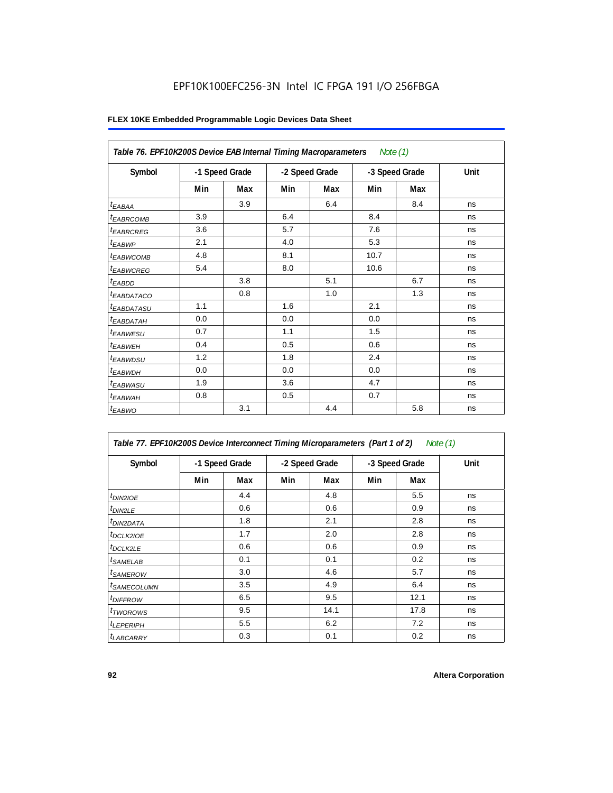| Table 76. EPF10K200S Device EAB Internal Timing Macroparameters Note (1) |                |     |                |     |                |     |      |
|--------------------------------------------------------------------------|----------------|-----|----------------|-----|----------------|-----|------|
| Symbol                                                                   | -1 Speed Grade |     | -2 Speed Grade |     | -3 Speed Grade |     | Unit |
|                                                                          | Min            | Max | Min            | Max | Min            | Max |      |
| $t_{EABA}$                                                               |                | 3.9 |                | 6.4 |                | 8.4 | ns   |
| <sup>t</sup> EABRCOMB                                                    | 3.9            |     | 6.4            |     | 8.4            |     | ns   |
| <sup>t</sup> EABRCREG                                                    | 3.6            |     | 5.7            |     | 7.6            |     | ns   |
| <sup>t</sup> EABWP                                                       | 2.1            |     | 4.0            |     | 5.3            |     | ns   |
| <sup>I</sup> EABWCOMB                                                    | 4.8            |     | 8.1            |     | 10.7           |     | ns   |
| <sup>t</sup> EABWCREG                                                    | 5.4            |     | 8.0            |     | 10.6           |     | ns   |
| $t_{EABDD}$                                                              |                | 3.8 |                | 5.1 |                | 6.7 | ns   |
| <sup>t</sup> EA <u>BDATACO</u>                                           |                | 0.8 |                | 1.0 |                | 1.3 | ns   |
| <sup>t</sup> EABDATASU                                                   | 1.1            |     | 1.6            |     | 2.1            |     | ns   |
| <sup>t</sup> EABDATAH                                                    | 0.0            |     | 0.0            |     | 0.0            |     | ns   |
| <sup>t</sup> EABWESU                                                     | 0.7            |     | 1.1            |     | 1.5            |     | ns   |
| <sup>t</sup> EABWEH                                                      | 0.4            |     | 0.5            |     | 0.6            |     | ns   |
| t <sub>EABWDSU</sub>                                                     | 1.2            |     | 1.8            |     | 2.4            |     | ns   |
| <sup>t</sup> EABWDH                                                      | 0.0            |     | 0.0            |     | 0.0            |     | ns   |
| <sup>t</sup> EABWASU                                                     | 1.9            |     | 3.6            |     | 4.7            |     | ns   |
| <sup>t</sup> EABWAH                                                      | 0.8            |     | 0.5            |     | 0.7            |     | ns   |
| $t_{EABWO}$                                                              |                | 3.1 |                | 4.4 |                | 5.8 | ns   |

| Table 77. EPF10K200S Device Interconnect Timing Microparameters (Part 1 of 2)<br>Note (1) |     |                |     |                |     |                |      |  |  |
|-------------------------------------------------------------------------------------------|-----|----------------|-----|----------------|-----|----------------|------|--|--|
| Symbol                                                                                    |     | -1 Speed Grade |     | -2 Speed Grade |     | -3 Speed Grade | Unit |  |  |
|                                                                                           | Min | Max            | Min | Max            | Min | Max            |      |  |  |
| $t_{DIN2IOE}$                                                                             |     | 4.4            |     | 4.8            |     | 5.5            | ns   |  |  |
| $t_{DIN2LE}$                                                                              |     | 0.6            |     | 0.6            |     | 0.9            | ns   |  |  |
| <sup>t</sup> DIN2DATA                                                                     |     | 1.8            |     | 2.1            |     | 2.8            | ns   |  |  |
| <sup>t</sup> DCLK2IOE                                                                     |     | 1.7            |     | 2.0            |     | 2.8            | ns   |  |  |
| <sup>t</sup> DCLK2LE                                                                      |     | 0.6            |     | 0.6            |     | 0.9            | ns   |  |  |
| <sup>t</sup> SAMELAB                                                                      |     | 0.1            |     | 0.1            |     | 0.2            | ns   |  |  |
| <sup>t</sup> SAMEROW                                                                      |     | 3.0            |     | 4.6            |     | 5.7            | ns   |  |  |
| <sup>t</sup> SAMECOLUMN                                                                   |     | 3.5            |     | 4.9            |     | 6.4            | ns   |  |  |
| <sup>t</sup> DIFFROW                                                                      |     | 6.5            |     | 9.5            |     | 12.1           | ns   |  |  |
| <sup>t</sup> TWOROWS                                                                      |     | 9.5            |     | 14.1           |     | 17.8           | ns   |  |  |
| <sup>t</sup> LEPERIPH                                                                     |     | 5.5            |     | 6.2            |     | 7.2            | ns   |  |  |
| <b><i>LABCARRY</i></b>                                                                    |     | 0.3            |     | 0.1            |     | 0.2            | ns   |  |  |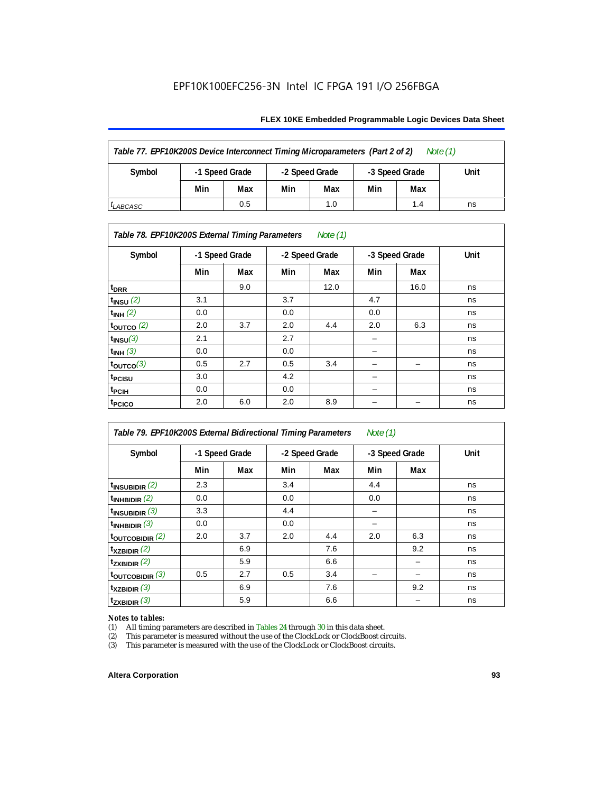#### **FLEX 10KE Embedded Programmable Logic Devices Data Sheet**

| Table 77. EPF10K200S Device Interconnect Timing Microparameters (Part 2 of 2)<br>Note $(1)$ |     |                                                    |     |     |      |     |    |  |  |
|---------------------------------------------------------------------------------------------|-----|----------------------------------------------------|-----|-----|------|-----|----|--|--|
| Symbol                                                                                      |     | -3 Speed Grade<br>-1 Speed Grade<br>-2 Speed Grade |     |     | Unit |     |    |  |  |
|                                                                                             | Min | Max                                                | Min | Max | Min  | Max |    |  |  |
| <sup>I</sup> LABCASC                                                                        |     | 0.5                                                |     | 1.0 |      | 1.4 | ns |  |  |

#### *Table 78. EPF10K200S External Timing Parameters Note (1)*

| Symbol                    |     | -1 Speed Grade |     | -2 Speed Grade |     | -3 Speed Grade | Unit |
|---------------------------|-----|----------------|-----|----------------|-----|----------------|------|
|                           | Min | Max            | Min | Max            | Min | Max            |      |
| t <sub>DRR</sub>          |     | 9.0            |     | 12.0           |     | 16.0           | ns   |
| $t$ <sub>INSU</sub> $(2)$ | 3.1 |                | 3.7 |                | 4.7 |                | ns   |
| $t_{INH}$ (2)             | 0.0 |                | 0.0 |                | 0.0 |                | ns   |
| $t_{\text{OUTCO}}(2)$     | 2.0 | 3.7            | 2.0 | 4.4            | 2.0 | 6.3            | ns   |
| $t_{INSU}(3)$             | 2.1 |                | 2.7 |                |     |                | ns   |
| $t_{INH}$ (3)             | 0.0 |                | 0.0 |                | -   |                | ns   |
| $t_{OUTCO}(3)$            | 0.5 | 2.7            | 0.5 | 3.4            | -   | -              | ns   |
| t <sub>PCISU</sub>        | 3.0 |                | 4.2 |                | -   |                | ns   |
| <sup>t</sup> PCIH         | 0.0 |                | 0.0 |                | -   |                | ns   |
| t <sub>PCICO</sub>        | 2.0 | 6.0            | 2.0 | 8.9            |     |                | ns   |

| Table 79. EPF10K200S External Bidirectional Timing Parameters<br>Note $(1)$ |     |     |                |     |                |     |      |
|-----------------------------------------------------------------------------|-----|-----|----------------|-----|----------------|-----|------|
| Symbol<br>-1 Speed Grade                                                    |     |     | -2 Speed Grade |     | -3 Speed Grade |     | Unit |
|                                                                             | Min | Max | Min            | Max | Min            | Max |      |
| $t_{\text{INSUBIDIR}}(2)$                                                   | 2.3 |     | 3.4            |     | 4.4            |     | ns   |
| $t_{INHBIDIR}$ (2)                                                          | 0.0 |     | 0.0            |     | 0.0            |     | ns   |
| $t_{INSUBIDIR}$ (3)                                                         | 3.3 |     | 4.4            |     |                |     | ns   |
| $t_{INHBIDIR}$ (3)                                                          | 0.0 |     | 0.0            |     |                |     | ns   |
| toutcobidir $(2)$                                                           | 2.0 | 3.7 | 2.0            | 4.4 | 2.0            | 6.3 | ns   |
| $t_{XZBIDIR}$ (2)                                                           |     | 6.9 |                | 7.6 |                | 9.2 | ns   |
| $t_{ZXBIDIR}$ (2)                                                           |     | 5.9 |                | 6.6 |                |     | ns   |
| $t_{\text{OUTC}OBIDIR}$ (3)                                                 | 0.5 | 2.7 | 0.5            | 3.4 |                |     | ns   |
| $t_{XZBIDIR}$ (3)                                                           |     | 6.9 |                | 7.6 |                | 9.2 | ns   |
| $t_{ZXBIDIR}$ (3)                                                           |     | 5.9 |                | 6.6 |                |     | ns   |

# *Notes to tables:*<br>(1) All timing p

(1) All timing parameters are described in Tables  $24$  through  $30$  in this data sheet.<br>
(2) This parameter is measured without the use of the ClockLock or ClockBoost ci

(2) This parameter is measured without the use of the ClockLock or ClockBoost circuits.<br>(3) This parameter is measured with the use of the ClockLock or ClockBoost circuits.

This parameter is measured with the use of the ClockLock or ClockBoost circuits.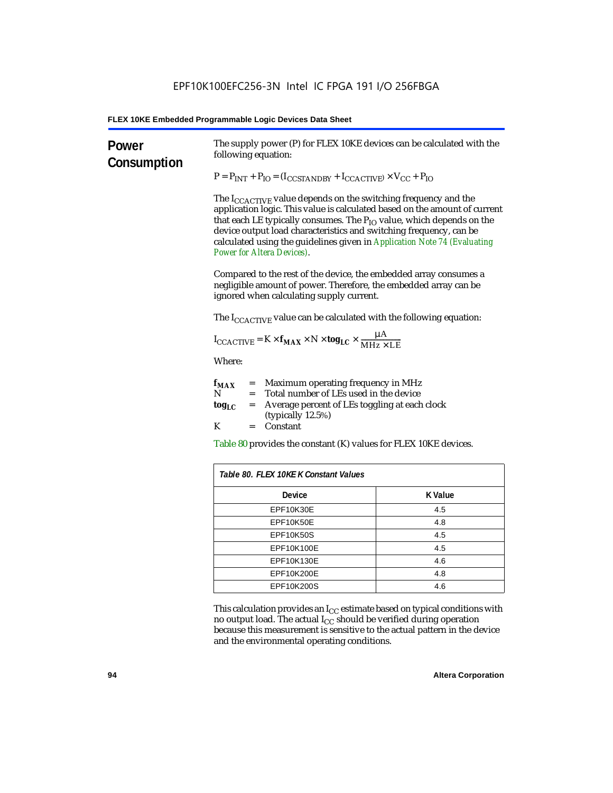| <b>Power</b><br>Consumption                                                                                                                                                                                                    | The supply power (P) for FLEX 10KE devices can be calculated with the<br>following equation:<br>$P = P_{INT} + P_{IO} = (I_{COSTANDBY} + I_{CCACTIVE}) \times V_{CC} + P_{IO}$<br>The $I_{\text{CCACTIVE}}$ value depends on the switching frequency and the<br>application logic. This value is calculated based on the amount of current<br>that each LE typically consumes. The $P_{IO}$ value, which depends on the<br>device output load characteristics and switching frequency, can be<br>calculated using the guidelines given in Application Note 74 (Evaluating<br><b>Power for Altera Devices).</b><br>Compared to the rest of the device, the embedded array consumes a<br>negligible amount of power. Therefore, the embedded array can be<br>ignored when calculating supply current. |  |  |                                                                  |  |                                                                                                                                         |  |  |  |
|--------------------------------------------------------------------------------------------------------------------------------------------------------------------------------------------------------------------------------|-----------------------------------------------------------------------------------------------------------------------------------------------------------------------------------------------------------------------------------------------------------------------------------------------------------------------------------------------------------------------------------------------------------------------------------------------------------------------------------------------------------------------------------------------------------------------------------------------------------------------------------------------------------------------------------------------------------------------------------------------------------------------------------------------------|--|--|------------------------------------------------------------------|--|-----------------------------------------------------------------------------------------------------------------------------------------|--|--|--|
|                                                                                                                                                                                                                                |                                                                                                                                                                                                                                                                                                                                                                                                                                                                                                                                                                                                                                                                                                                                                                                                     |  |  |                                                                  |  | The I <sub>CCACTIVE</sub> value can be calculated with the following equation:                                                          |  |  |  |
|                                                                                                                                                                                                                                |                                                                                                                                                                                                                                                                                                                                                                                                                                                                                                                                                                                                                                                                                                                                                                                                     |  |  |                                                                  |  | $I_{\text{CCACTIVE}} = K \times f_{\text{MAX}} \times N \times \text{tog}_{\text{LC}} \times \frac{\mu A}{\text{MHz} \times \text{LE}}$ |  |  |  |
| Where:                                                                                                                                                                                                                         |                                                                                                                                                                                                                                                                                                                                                                                                                                                                                                                                                                                                                                                                                                                                                                                                     |  |  |                                                                  |  |                                                                                                                                         |  |  |  |
| = Maximum operating frequency in MHz<br>$f_{MAX}$<br>N<br>= Total number of LEs used in the device<br>Average percent of LEs toggling at each clock<br>$\log_{LC}$<br>$=$<br>(typically $12.5\%$ )<br>K<br>Constant<br>$=$ $-$ |                                                                                                                                                                                                                                                                                                                                                                                                                                                                                                                                                                                                                                                                                                                                                                                                     |  |  |                                                                  |  |                                                                                                                                         |  |  |  |
|                                                                                                                                                                                                                                |                                                                                                                                                                                                                                                                                                                                                                                                                                                                                                                                                                                                                                                                                                                                                                                                     |  |  | Table 80 provides the constant (K) values for FLEX 10KE devices. |  |                                                                                                                                         |  |  |  |
| Table 80. FLEX 10KE K Constant Values                                                                                                                                                                                          |                                                                                                                                                                                                                                                                                                                                                                                                                                                                                                                                                                                                                                                                                                                                                                                                     |  |  |                                                                  |  |                                                                                                                                         |  |  |  |
| <b>Device</b>                                                                                                                                                                                                                  | <b>K</b> Value                                                                                                                                                                                                                                                                                                                                                                                                                                                                                                                                                                                                                                                                                                                                                                                      |  |  |                                                                  |  |                                                                                                                                         |  |  |  |
| EPF10K30E                                                                                                                                                                                                                      | 4.5                                                                                                                                                                                                                                                                                                                                                                                                                                                                                                                                                                                                                                                                                                                                                                                                 |  |  |                                                                  |  |                                                                                                                                         |  |  |  |
| EPF10K50E<br>4.8                                                                                                                                                                                                               |                                                                                                                                                                                                                                                                                                                                                                                                                                                                                                                                                                                                                                                                                                                                                                                                     |  |  |                                                                  |  |                                                                                                                                         |  |  |  |
| <b>EPF10K50S</b><br>4.5                                                                                                                                                                                                        |                                                                                                                                                                                                                                                                                                                                                                                                                                                                                                                                                                                                                                                                                                                                                                                                     |  |  |                                                                  |  |                                                                                                                                         |  |  |  |
| EPF10K100E<br>4.5                                                                                                                                                                                                              |                                                                                                                                                                                                                                                                                                                                                                                                                                                                                                                                                                                                                                                                                                                                                                                                     |  |  |                                                                  |  |                                                                                                                                         |  |  |  |
| EPF10K130E<br>4.6                                                                                                                                                                                                              |                                                                                                                                                                                                                                                                                                                                                                                                                                                                                                                                                                                                                                                                                                                                                                                                     |  |  |                                                                  |  |                                                                                                                                         |  |  |  |
| EPF10K200E<br>4.8                                                                                                                                                                                                              |                                                                                                                                                                                                                                                                                                                                                                                                                                                                                                                                                                                                                                                                                                                                                                                                     |  |  |                                                                  |  |                                                                                                                                         |  |  |  |
| EPF10K200S<br>4.6                                                                                                                                                                                                              |                                                                                                                                                                                                                                                                                                                                                                                                                                                                                                                                                                                                                                                                                                                                                                                                     |  |  |                                                                  |  |                                                                                                                                         |  |  |  |

This calculation provides an  $\rm I_{CC}$  estimate based on typical conditions with no output load. The actual I $_{\rm CC}$  should be verified during operation because this measurement is sensitive to the actual pattern in the device and the environmental operating conditions.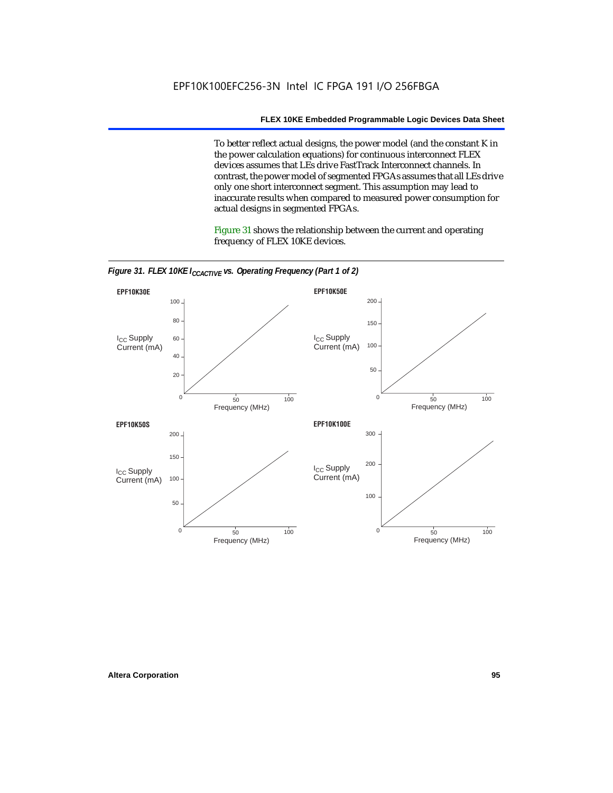To better reflect actual designs, the power model (and the constant K in the power calculation equations) for continuous interconnect FLEX devices assumes that LEs drive FastTrack Interconnect channels. In contrast, the power model of segmented FPGAs assumes that all LEs drive only one short interconnect segment. This assumption may lead to inaccurate results when compared to measured power consumption for actual designs in segmented FPGAs.

Figure 31 shows the relationship between the current and operating frequency of FLEX 10KE devices.



*Figure 31. FLEX 10KE I<sub>CCACTIVE</sub> vs. Operating Frequency (Part 1 of 2)*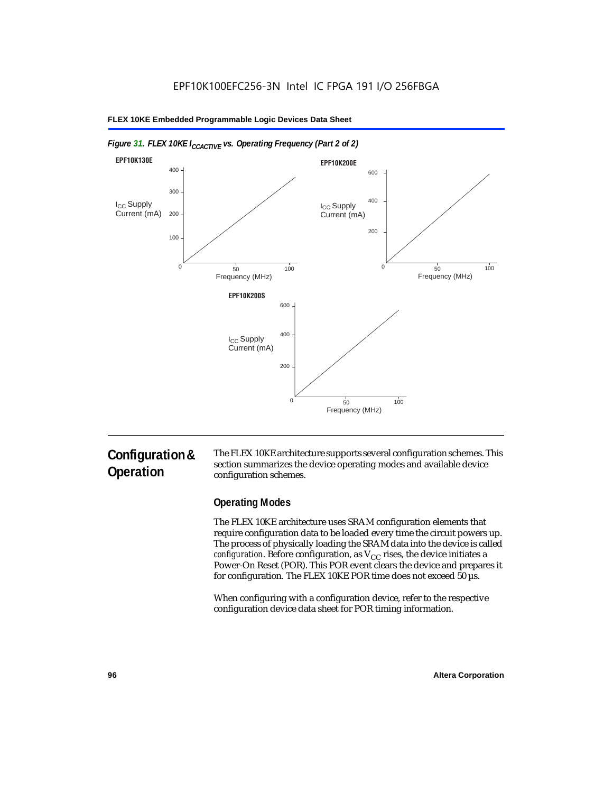

#### *Figure 31. FLEX 10KE I<sub>CCACTIVE</sub> vs. Operating Frequency (Part 2 of 2)*

# **Configuration & Operation**

The FLEX 10KE architecture supports several configuration schemes. This section summarizes the device operating modes and available device configuration schemes.

### **Operating Modes**

The FLEX 10KE architecture uses SRAM configuration elements that require configuration data to be loaded every time the circuit powers up. The process of physically loading the SRAM data into the device is called *configuration.* Before configuration, as  $V_{CC}$  rises, the device initiates a Power-On Reset (POR). This POR event clears the device and prepares it for configuration. The FLEX 10KE POR time does not exceed 50 µs.

When configuring with a configuration device, refer to the respective configuration device data sheet for POR timing information.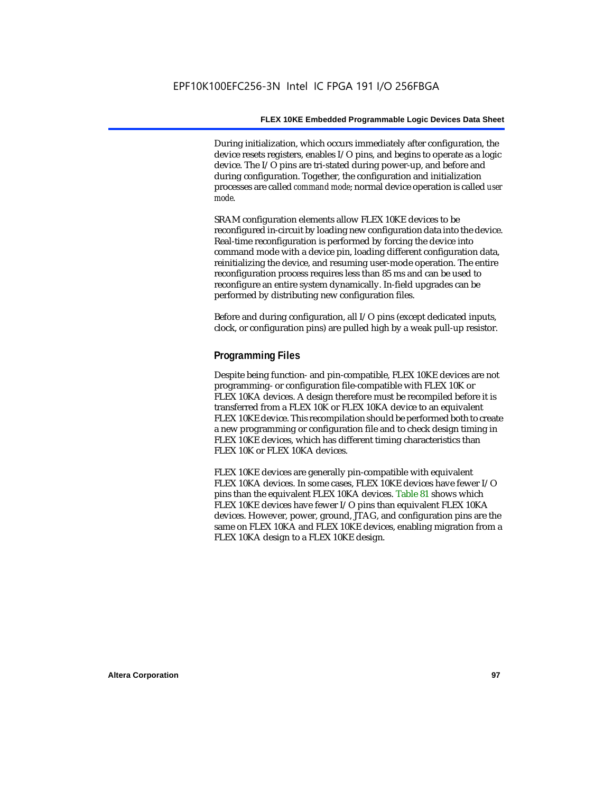During initialization, which occurs immediately after configuration, the device resets registers, enables I/O pins, and begins to operate as a logic device. The I/O pins are tri-stated during power-up, and before and during configuration. Together, the configuration and initialization processes are called *command mode*; normal device operation is called *user mode*.

SRAM configuration elements allow FLEX 10KE devices to be reconfigured in-circuit by loading new configuration data into the device. Real-time reconfiguration is performed by forcing the device into command mode with a device pin, loading different configuration data, reinitializing the device, and resuming user-mode operation. The entire reconfiguration process requires less than 85 ms and can be used to reconfigure an entire system dynamically. In-field upgrades can be performed by distributing new configuration files.

Before and during configuration, all I/O pins (except dedicated inputs, clock, or configuration pins) are pulled high by a weak pull-up resistor.

#### **Programming Files**

Despite being function- and pin-compatible, FLEX 10KE devices are not programming- or configuration file-compatible with FLEX 10K or FLEX 10KA devices. A design therefore must be recompiled before it is transferred from a FLEX 10K or FLEX 10KA device to an equivalent FLEX 10KE device. This recompilation should be performed both to create a new programming or configuration file and to check design timing in FLEX 10KE devices, which has different timing characteristics than FLEX 10K or FLEX 10KA devices.

FLEX 10KE devices are generally pin-compatible with equivalent FLEX 10KA devices. In some cases, FLEX 10KE devices have fewer I/O pins than the equivalent FLEX 10KA devices. Table 81 shows which FLEX 10KE devices have fewer I/O pins than equivalent FLEX 10KA devices. However, power, ground, JTAG, and configuration pins are the same on FLEX 10KA and FLEX 10KE devices, enabling migration from a FLEX 10KA design to a FLEX 10KE design.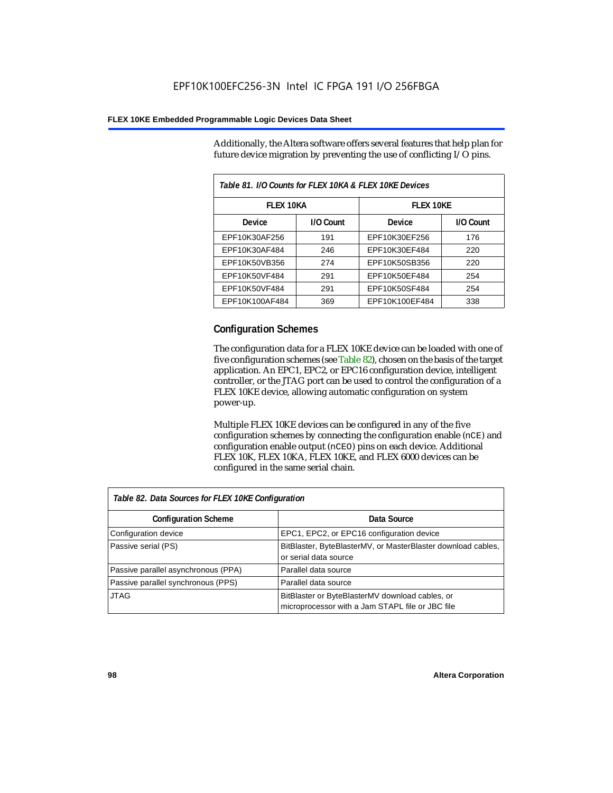Additionally, the Altera software offers several features that help plan for future device migration by preventing the use of conflicting I/O pins.

| Table 81. I/O Counts for FLEX 10KA & FLEX 10KE Devices |           |                  |           |  |
|--------------------------------------------------------|-----------|------------------|-----------|--|
| <b>FLEX 10KA</b>                                       |           | <b>FLEX 10KE</b> |           |  |
| <b>Device</b>                                          | I/O Count | Device           | I/O Count |  |
| EPF10K30AF256                                          | 191       | EPF10K30EF256    | 176       |  |
| EPF10K30AF484                                          | 246       | EPF10K30EF484    | 220       |  |
| EPF10K50VB356                                          | 274       | EPF10K50SB356    | 220       |  |
| EPF10K50VF484                                          | 291       | EPF10K50EF484    | 254       |  |
| EPF10K50VF484                                          | 291       | EPF10K50SF484    | 254       |  |
| EPF10K100AF484                                         | 369       | EPF10K100EF484   | 338       |  |

#### **Configuration Schemes**

The configuration data for a FLEX 10KE device can be loaded with one of five configuration schemes (see Table 82), chosen on the basis of the target application. An EPC1, EPC2, or EPC16 configuration device, intelligent controller, or the JTAG port can be used to control the configuration of a FLEX 10KE device, allowing automatic configuration on system power-up.

Multiple FLEX 10KE devices can be configured in any of the five configuration schemes by connecting the configuration enable (nCE) and configuration enable output (nCEO) pins on each device. Additional FLEX 10K, FLEX 10KA, FLEX 10KE, and FLEX 6000 devices can be configured in the same serial chain.

| Table 82. Data Sources for FLEX 10KE Configuration |                                                                                                     |
|----------------------------------------------------|-----------------------------------------------------------------------------------------------------|
| <b>Configuration Scheme</b>                        | Data Source                                                                                         |
| Configuration device                               | EPC1, EPC2, or EPC16 configuration device                                                           |
| Passive serial (PS)                                | BitBlaster, ByteBlasterMV, or MasterBlaster download cables,<br>or serial data source               |
| Passive parallel asynchronous (PPA)                | Parallel data source                                                                                |
| Passive parallel synchronous (PPS)                 | Parallel data source                                                                                |
| <b>JTAG</b>                                        | BitBlaster or ByteBlasterMV download cables, or<br>microprocessor with a Jam STAPL file or JBC file |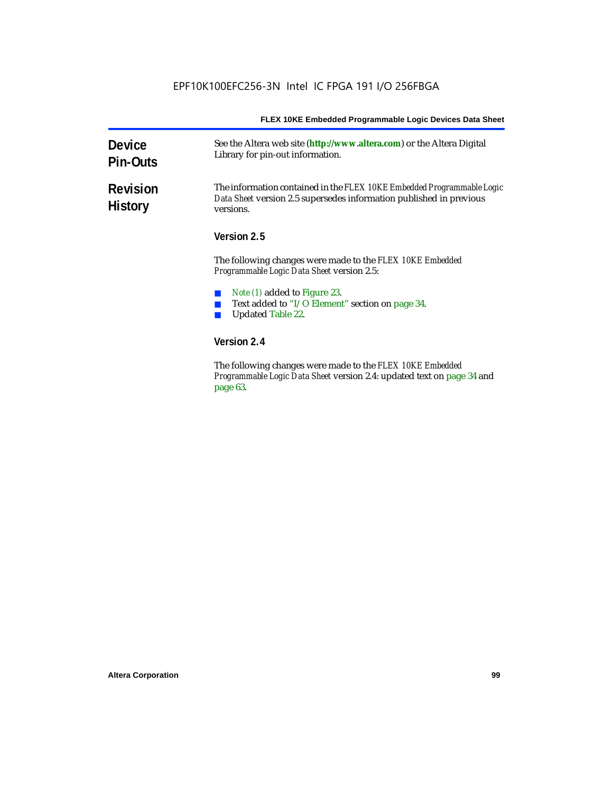| <b>Device</b><br><b>Pin-Outs</b>  | See the Altera web site (http://www.altera.com) or the Altera Digital<br>Library for pin-out information.                                                  |  |  |
|-----------------------------------|------------------------------------------------------------------------------------------------------------------------------------------------------------|--|--|
| <b>Revision</b><br><b>History</b> | The information contained in the FLEX 10KE Embedded Programmable Logic<br>Data Sheet version 2.5 supersedes information published in previous<br>versions. |  |  |
|                                   | Version 2.5                                                                                                                                                |  |  |
|                                   | The following changes were made to the FLEX 10KE Embedded<br><i>Programmable Logic Data Sheet version 2.5:</i>                                             |  |  |
|                                   | <i>Note (1)</i> added to Figure 23.<br>Text added to "I/O Element" section on page 34.<br><b>Updated Table 22.</b>                                         |  |  |
|                                   | Version 2.4                                                                                                                                                |  |  |
|                                   | The fillends a decorate come and details. IT EV 101/E Each dd.d                                                                                            |  |  |

The following changes were made to the *FLEX 10KE Embedded Programmable Logic Data Sheet* version 2.4: updated text on page 34 and page 63.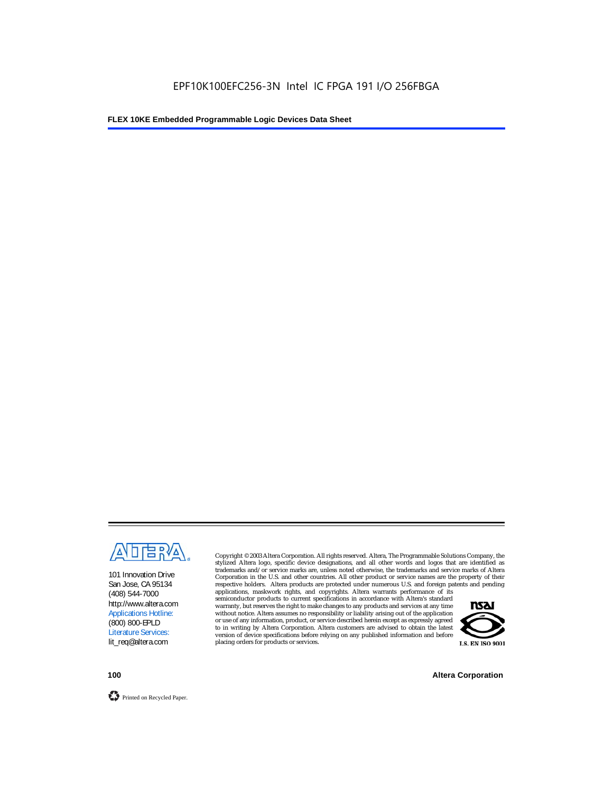

101 Innovation Drive San Jose, CA 95134 (408) 544-7000 http://www.altera.com Applications Hotline: (800) 800-EPLD Literature Services: lit\_req@altera.com

Copyright © 2003 Altera Corporation. All rights reserved. Altera, The Programmable Solutions Company, the stylized Altera logo, specific device designations, and all other words and logos that are identified as trademarks and/or service marks are, unless noted otherwise, the trademarks and service marks of Altera Corporation in the U.S. and other countries. All other product or service names are the property of their respective holders. Altera products are protected under numerous U.S. and foreign patents and pending

applications, maskwork rights, and copyrights. Altera warrants performance of its semiconductor products to current specifications in accordance with Altera's standard warranty, but reserves the right to make changes to any products and services at any time without notice. Altera assumes no responsibility or liability arising out of the application or use of any information, product, or service described herein except as expressly agreed to in writing by Altera Corporation. Altera customers are advised to obtain the latest version of device specifications before relying on any published information and before placing orders for products or services.



**100 Altera Corporation**